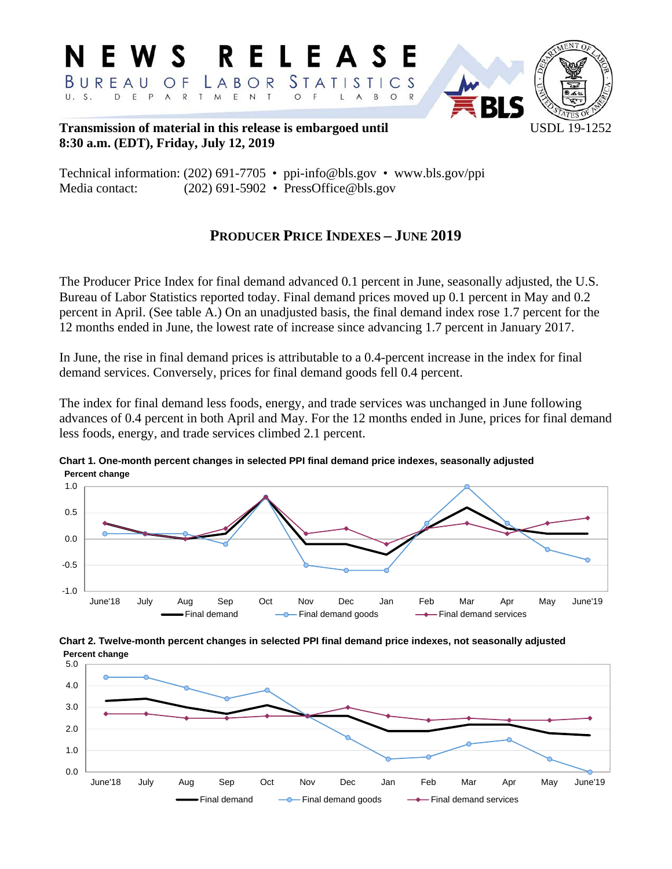

**Transmission of material in this release is embargoed until USDL 19-1252 8:30 a.m. (EDT), Friday, July 12, 2019** 

Technical information: (202) 691-7705 • ppi-info@bls.gov • www.bls.gov/ppi Media contact: (202) 691-5902 • PressOffice@bls.gov

# **PRODUCER PRICE INDEXES – JUNE 2019**

The Producer Price Index for final demand advanced 0.1 percent in June, seasonally adjusted, the U.S. Bureau of Labor Statistics reported today. Final demand prices moved up 0.1 percent in May and 0.2 percent in April. (See table A.) On an unadjusted basis, the final demand index rose 1.7 percent for the 12 months ended in June, the lowest rate of increase since advancing 1.7 percent in January 2017.

In June, the rise in final demand prices is attributable to a 0.4-percent increase in the index for final demand services. Conversely, prices for final demand goods fell 0.4 percent.

The index for final demand less foods, energy, and trade services was unchanged in June following advances of 0.4 percent in both April and May. For the 12 months ended in June, prices for final demand less foods, energy, and trade services climbed 2.1 percent.



**Chart 1. One-month percent changes in selected PPI final demand price indexes, seasonally adjusted Percent change**

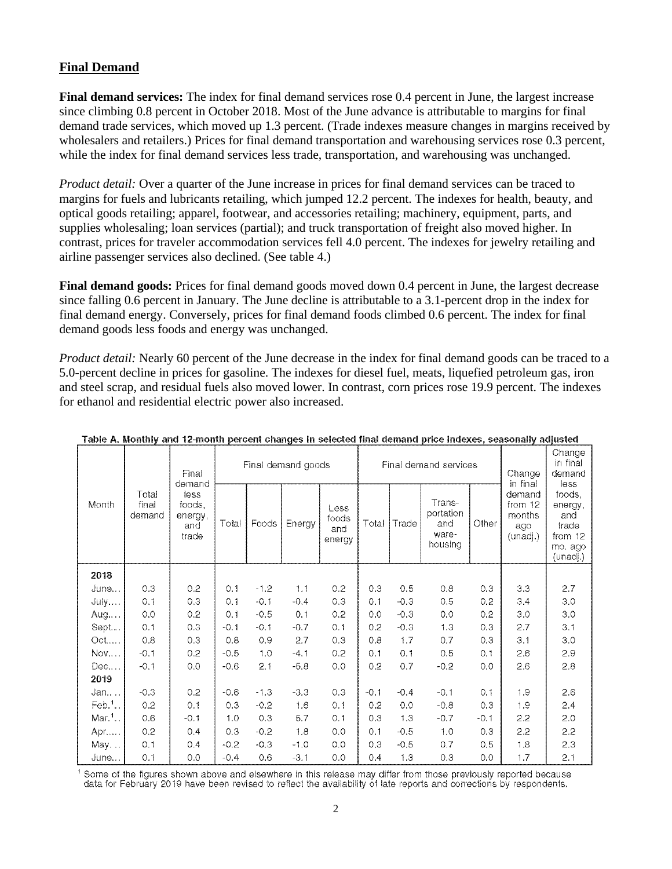# **Final Demand**

**Final demand services:** The index for final demand services rose 0.4 percent in June, the largest increase since climbing 0.8 percent in October 2018. Most of the June advance is attributable to margins for final demand trade services, which moved up 1.3 percent. (Trade indexes measure changes in margins received by wholesalers and retailers.) Prices for final demand transportation and warehousing services rose 0.3 percent, while the index for final demand services less trade, transportation, and warehousing was unchanged.

*Product detail:* Over a quarter of the June increase in prices for final demand services can be traced to margins for fuels and lubricants retailing, which jumped 12.2 percent. The indexes for health, beauty, and optical goods retailing; apparel, footwear, and accessories retailing; machinery, equipment, parts, and supplies wholesaling; loan services (partial); and truck transportation of freight also moved higher. In contrast, prices for traveler accommodation services fell 4.0 percent. The indexes for jewelry retailing and airline passenger services also declined. (See table 4.)

**Final demand goods:** Prices for final demand goods moved down 0.4 percent in June, the largest decrease since falling 0.6 percent in January. The June decline is attributable to a 3.1-percent drop in the index for final demand energy. Conversely, prices for final demand foods climbed 0.6 percent. The index for final demand goods less foods and energy was unchanged.

*Product detail:* Nearly 60 percent of the June decrease in the index for final demand goods can be traced to a 5.0-percent decline in prices for gasoline. The indexes for diesel fuel, meats, liquefied petroleum gas, iron and steel scrap, and residual fuels also moved lower. In contrast, corn prices rose 19.9 percent. The indexes for ethanol and residential electric power also increased.

|                     |                          | Final<br>demand                           | Final demand goods |        |        | Final demand services          |        |        |                                                | Change<br>in final | Change<br>in final<br>demand<br>less                                                                                  |     |
|---------------------|--------------------------|-------------------------------------------|--------------------|--------|--------|--------------------------------|--------|--------|------------------------------------------------|--------------------|-----------------------------------------------------------------------------------------------------------------------|-----|
| Month               | Total<br>final<br>demand | less<br>foods,<br>energy.<br>and<br>trade | Total              | Foods  | Energy | Less<br>foods<br>and<br>energy | Total  | Trade  | Trans-<br>portation<br>and<br>ware-<br>housing | Other              | demand<br>foods,<br>from 12<br>energy,<br>months<br>and<br>trade<br>ago<br>(unadj.)<br>from 12<br>mo. ago<br>(unadj.) |     |
| 2018                |                          |                                           |                    |        |        |                                |        |        |                                                |                    |                                                                                                                       |     |
| June                | 0.3                      | 0.2                                       | 0.1                | $-1.2$ | 1.1    | 0.2                            | 0.3    | 0.5    | 0.8                                            | 0.3                | 3.3                                                                                                                   | 2.7 |
| July                | 0.1                      | 0.3                                       | 0.1                | $-0.1$ | $-0.4$ | 0.3                            | 0.1    | $-0.3$ | 0.5                                            | 0.2                | 3.4                                                                                                                   | 3.0 |
| Aug                 | 0.0                      | 0.2                                       | 0.1                | $-0.5$ | 0.1    | 0.2                            | 0.0    | $-0.3$ | 0.0                                            | 0.2                | 3.0                                                                                                                   | 3.0 |
| Sept                | 0.1                      | 0.3                                       | $-0.1$             | $-0.1$ | $-0.7$ | 0.1                            | 0.2    | $-0.3$ | 1.3                                            | 0.3                | 2.7                                                                                                                   | 3.1 |
| Oct                 | 0.8                      | 0.3                                       | 0.8                | 0.9    | 2.7    | 0.3                            | 0.8    | 1.7    | 0.7                                            | 0.3                | 3.1                                                                                                                   | 3.0 |
| Nov                 | $-0.1$                   | 0.2                                       | $-0.5$             | 1.0    | $-4.1$ | 0.2                            | 0.1    | 0.1    | 0.5                                            | 0.1                | 2.6                                                                                                                   | 2.9 |
| Dec                 | $-0.1$                   | 0.0                                       | $-0.6$             | 2.1    | $-5.8$ | 0.0                            | 0.2    | 0.7    | $-0.2$                                         | 0.0                | 2.6                                                                                                                   | 2.8 |
| 2019                |                          |                                           |                    |        |        |                                |        |        |                                                |                    |                                                                                                                       |     |
| Jan                 | $-0.3$                   | 0.2                                       | $-0.6$             | $-1.3$ | $-3.3$ | 0.3                            | $-0.1$ | $-0.4$ | $-0.1$                                         | 0.1                | 1.9                                                                                                                   | 2.6 |
| $Feb.1$ .           | 0.2                      | 0.1                                       | 0.3                | $-0.2$ | 1.6    | 0.1                            | 0.2    | 0.0    | $-0.8$                                         | 0.3                | 1.9                                                                                                                   | 2.4 |
| $Mar.$ <sup>1</sup> | 0.6                      | $-0.1$                                    | 1.0                | 0.3    | 5.7    | 0.1                            | 0.3    | 1.3    | $-0.7$                                         | $-0.1$             | 2.2                                                                                                                   | 2.0 |
| Apr                 | 0.2                      | 0.4                                       | 0.3                | $-0.2$ | 1.8    | 0.0                            | 0.1    | $-0.5$ | 1.0                                            | 0.3                | 2.2                                                                                                                   | 2.2 |
| May                 | 0.1                      | 0.4                                       | $-0.2$             | $-0.3$ | $-1.0$ | 0.0                            | 0.3    | $-0.5$ | 0.7                                            | 0.5                | 1.8                                                                                                                   | 2.3 |
| June                | 0.1                      | 0.0                                       | $-0.4$             | 0.6    | $-3.1$ | 0.0                            | 0.4    | 1.3    | 0.3                                            | 0.0                | 1.7                                                                                                                   | 2.1 |

#### Table A. Monthly and 12-month percent changes in selected final demand price indexes, seasonally adjusted

Some of the figures shown above and elsewhere in this release may differ from those previously reported because data for February 2019 have been revised to reflect the availability of late reports and corrections by respondents.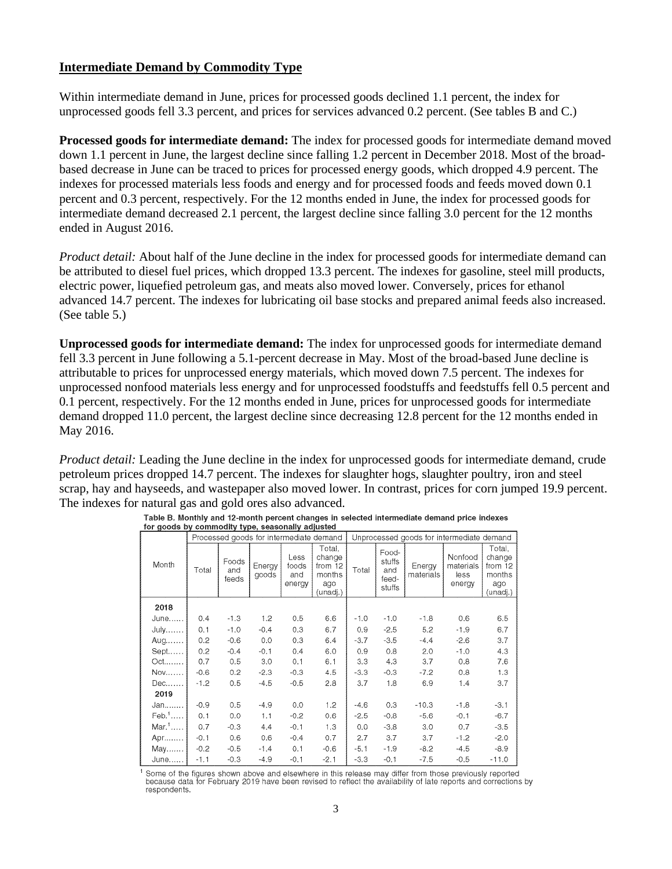# **Intermediate Demand by Commodity Type**

Within intermediate demand in June, prices for processed goods declined 1.1 percent, the index for unprocessed goods fell 3.3 percent, and prices for services advanced 0.2 percent. (See tables B and C.)

**Processed goods for intermediate demand:** The index for processed goods for intermediate demand moved down 1.1 percent in June, the largest decline since falling 1.2 percent in December 2018. Most of the broadbased decrease in June can be traced to prices for processed energy goods, which dropped 4.9 percent. The indexes for processed materials less foods and energy and for processed foods and feeds moved down 0.1 percent and 0.3 percent, respectively. For the 12 months ended in June, the index for processed goods for intermediate demand decreased 2.1 percent, the largest decline since falling 3.0 percent for the 12 months ended in August 2016.

*Product detail:* About half of the June decline in the index for processed goods for intermediate demand can be attributed to diesel fuel prices, which dropped 13.3 percent. The indexes for gasoline, steel mill products, electric power, liquefied petroleum gas, and meats also moved lower. Conversely, prices for ethanol advanced 14.7 percent. The indexes for lubricating oil base stocks and prepared animal feeds also increased. (See table 5.)

**Unprocessed goods for intermediate demand:** The index for unprocessed goods for intermediate demand fell 3.3 percent in June following a 5.1-percent decrease in May. Most of the broad-based June decline is attributable to prices for unprocessed energy materials, which moved down 7.5 percent. The indexes for unprocessed nonfood materials less energy and for unprocessed foodstuffs and feedstuffs fell 0.5 percent and 0.1 percent, respectively. For the 12 months ended in June, prices for unprocessed goods for intermediate demand dropped 11.0 percent, the largest decline since decreasing 12.8 percent for the 12 months ended in May 2016.

*Product detail:* Leading the June decline in the index for unprocessed goods for intermediate demand, crude petroleum prices dropped 14.7 percent. The indexes for slaughter hogs, slaughter poultry, iron and steel scrap, hay and hayseeds, and wastepaper also moved lower. In contrast, prices for corn jumped 19.9 percent. The indexes for natural gas and gold ores also advanced.

|                     |        | Processed goods for intermediate demand |                 |                                |                                                          |        |                                           | Unprocessed goods for intermediate demand |                                        |                                                          |
|---------------------|--------|-----------------------------------------|-----------------|--------------------------------|----------------------------------------------------------|--------|-------------------------------------------|-------------------------------------------|----------------------------------------|----------------------------------------------------------|
| Month               | Total  | Foods<br>and<br>feeds                   | Energy<br>goods | Less<br>foods<br>and<br>energy | Total,<br>change<br>from 12<br>months<br>ago<br>(unadj.) | Total  | Food-<br>stuffs<br>and<br>feed-<br>stuffs | Energy<br>materials                       | Nonfood<br>materials<br>less<br>energy | Total,<br>change<br>from 12<br>months<br>ago<br>(unadj.) |
| 2018                |        |                                         |                 |                                |                                                          |        |                                           |                                           |                                        |                                                          |
| June                | 0.4    | $-1.3$                                  | 1.2             | 0.5                            | 6.6                                                      | $-1.0$ | $-1.0$                                    | $-1.8$                                    | 0.6                                    | 6.5                                                      |
| <b>July</b>         | 0.1    | $-1.0$                                  | $-0.4$          | 0.3                            | 6.7                                                      | 0.9    | $-2.5$                                    | 5.2                                       | $-1.9$                                 | 6.7                                                      |
| Aug                 | 0.2    | $-0.6$                                  | 0.0             | 0.3                            | 6.4                                                      | $-3.7$ | $-3.5$                                    | $-4.4$                                    | $-2.6$                                 | 3.7                                                      |
| Sept                | 0.2    | $-0.4$                                  | $-0.1$          | 0.4                            | 6.0                                                      | 0.9    | 0.8                                       | 2.0                                       | $-1.0$                                 | 4.3                                                      |
| Oct                 | 0.7    | 0.5                                     | 3.0             | 0.1                            | 6.1                                                      | 3.3    | 4.3                                       | 3.7                                       | 0.8                                    | 7.6                                                      |
| Nov                 | $-0.6$ | 0.2                                     | $-2.3$          | $-0.3$                         | 4.5                                                      | $-3.3$ | $-0.3$                                    | $-7.2$                                    | 0.8                                    | 1.3                                                      |
| Dec                 | $-1.2$ | 0.5                                     | $-4.5$          | $-0.5$                         | 2.8                                                      | 3.7    | 1.8                                       | 6.9                                       | 1.4                                    | 3.7                                                      |
| 2019                |        |                                         |                 |                                |                                                          |        |                                           |                                           |                                        |                                                          |
| Jan                 | $-0.9$ | 0.5                                     | $-4.9$          | 0.0                            | 1.2                                                      | $-4.6$ | 0.3                                       | $-10.3$                                   | $-1.8$                                 | $-3.1$                                                   |
| $Feb.1$             | 0.1    | 0.0                                     | 1.1             | $-0.2$                         | 0.6                                                      | $-2.5$ | $-0.8$                                    | $-5.6$                                    | $-0.1$                                 | $-6.7$                                                   |
| $Mar.$ <sup>1</sup> | 0.7    | $-0.3$                                  | 4.4             | $-0.1$                         | 1.3                                                      | 0.0    | $-3.8$                                    | 3.0                                       | 0.7                                    | $-3.5$                                                   |
| Apr                 | $-0.1$ | 0.6                                     | 0.6             | $-0.4$                         | 0.7                                                      | 2.7    | 3.7                                       | 3.7                                       | $-1.2$                                 | $-2.0$                                                   |
| May                 | $-0.2$ | $-0.5$                                  | $-1.4$          | 0.1                            | $-0.6$                                                   | $-5.1$ | $-1.9$                                    | $-8.2$                                    | $-4.5$                                 | $-8.9$                                                   |
| June                | $-1.1$ | $-0.3$                                  | $-4.9$          | $-0.1$                         | $-2.1$                                                   | $-3.3$ | $-0.1$                                    | $-7.5$                                    | $-0.5$                                 | $-11.0$                                                  |

Table B. Monthly and 12-month percent changes in selected intermediate demand price indexes for goods by commodity type, seasonally adjusted

Some of the figures shown above and elsewhere in this release may differ from those previously reported because data for February 2019 have been revised to reflect the availability of late reports and corrections by respondents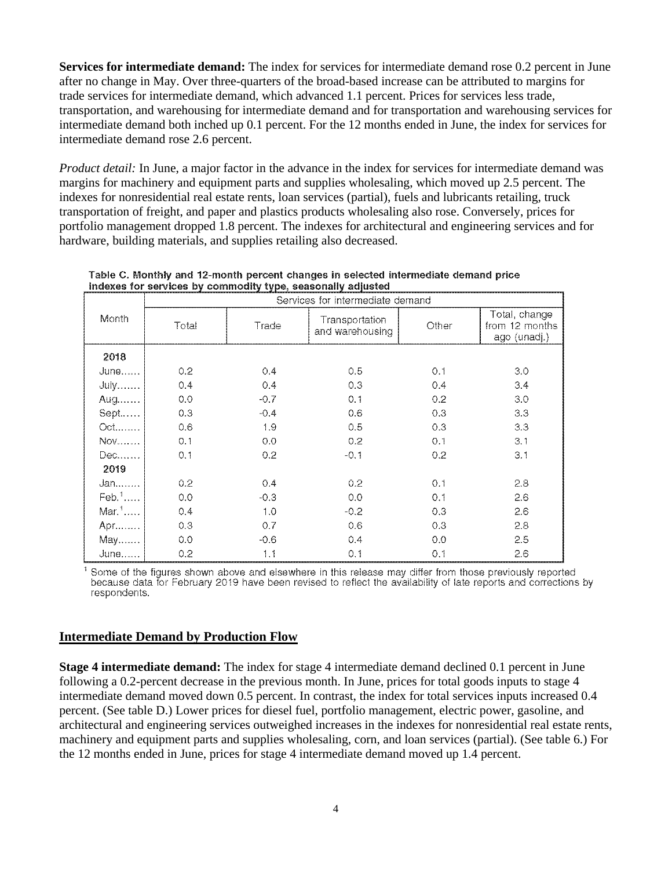**Services for intermediate demand:** The index for services for intermediate demand rose 0.2 percent in June after no change in May. Over three-quarters of the broad-based increase can be attributed to margins for trade services for intermediate demand, which advanced 1.1 percent. Prices for services less trade, transportation, and warehousing for intermediate demand and for transportation and warehousing services for intermediate demand both inched up 0.1 percent. For the 12 months ended in June, the index for services for intermediate demand rose 2.6 percent.

*Product detail:* In June, a major factor in the advance in the index for services for intermediate demand was margins for machinery and equipment parts and supplies wholesaling, which moved up 2.5 percent. The indexes for nonresidential real estate rents, loan services (partial), fuels and lubricants retailing, truck transportation of freight, and paper and plastics products wholesaling also rose. Conversely, prices for portfolio management dropped 1.8 percent. The indexes for architectural and engineering services and for hardware, building materials, and supplies retailing also decreased.

|                     | Services for intermediate demand |        |                                   |       |                                                 |  |  |  |  |
|---------------------|----------------------------------|--------|-----------------------------------|-------|-------------------------------------------------|--|--|--|--|
| Month               | Total                            | Trade  | Transportation<br>and warehousing | Other | Total, change<br>from 12 months<br>ago (unadj.) |  |  |  |  |
| 2018                |                                  |        |                                   |       |                                                 |  |  |  |  |
| June                | 0.2                              | 0,4    | 0.5                               | 0.1   | 3.0                                             |  |  |  |  |
| $July$              | 0.4                              | 0,4    | 0.3                               | 0.4   | 3.4                                             |  |  |  |  |
| Aug                 | 0.0                              | $-0.7$ | 0.1                               | 0.2   | 3.0                                             |  |  |  |  |
| Sept                | 0.3                              | $-0.4$ | 0.6                               | 0.3   | 3.3                                             |  |  |  |  |
| Oct                 | 0.6                              | 1.9    | 0.5                               | 0.3   | 3.3                                             |  |  |  |  |
| <b>Nov</b>          | 0.1                              | 0.0    | 0.2                               | 0.1   | 3.1                                             |  |  |  |  |
| Dec <i>.</i>        | 0,1                              | 0.2    | $-0.1$                            | 0.2   | 3.1                                             |  |  |  |  |
| 2019                |                                  |        |                                   |       |                                                 |  |  |  |  |
| Jan,                | 0.2                              | 0.4    | 0.2                               | 0.1   | 2.8                                             |  |  |  |  |
| $\mathsf{Feb.}^1$   | 0.0                              | $-0.3$ | 0.0                               | 0.1   | 2.6                                             |  |  |  |  |
| $Mar.$ <sup>1</sup> | 0.4                              | 1.0    | $-0.2$                            | 0.3   | 2.6                                             |  |  |  |  |
| Apr                 | 0.3                              | 0.7    | 0.6                               | 0.3   | 2.8                                             |  |  |  |  |
| May                 | 0.0                              | $-0.6$ | 0.4                               | 0.0   | 2.5                                             |  |  |  |  |
| June                | 0.2                              | 1.1    | 0.1                               | 0.1   | 2.6                                             |  |  |  |  |

Table C. Monthly and 12-month percent changes in selected intermediate demand price indexes for services by commodity type, seasonally adjusted

Some of the figures shown above and elsewhere in this release may differ from those previously reported because data for February 2019 have been revised to reflect the availability of late reports and corrections by respondents.

# **Intermediate Demand by Production Flow**

**Stage 4 intermediate demand:** The index for stage 4 intermediate demand declined 0.1 percent in June following a 0.2-percent decrease in the previous month. In June, prices for total goods inputs to stage 4 intermediate demand moved down 0.5 percent. In contrast, the index for total services inputs increased 0.4 percent. (See table D.) Lower prices for diesel fuel, portfolio management, electric power, gasoline, and architectural and engineering services outweighed increases in the indexes for nonresidential real estate rents, machinery and equipment parts and supplies wholesaling, corn, and loan services (partial). (See table 6.) For the 12 months ended in June, prices for stage 4 intermediate demand moved up 1.4 percent.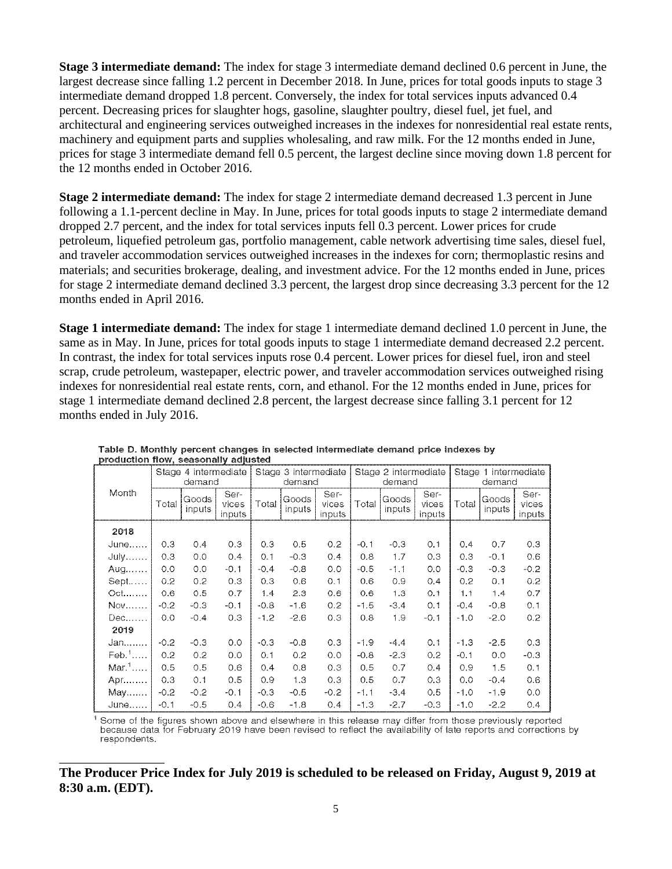**Stage 3 intermediate demand:** The index for stage 3 intermediate demand declined 0.6 percent in June, the largest decrease since falling 1.2 percent in December 2018. In June, prices for total goods inputs to stage 3 intermediate demand dropped 1.8 percent. Conversely, the index for total services inputs advanced 0.4 percent. Decreasing prices for slaughter hogs, gasoline, slaughter poultry, diesel fuel, jet fuel, and architectural and engineering services outweighed increases in the indexes for nonresidential real estate rents, machinery and equipment parts and supplies wholesaling, and raw milk. For the 12 months ended in June, prices for stage 3 intermediate demand fell 0.5 percent, the largest decline since moving down 1.8 percent for the 12 months ended in October 2016.

**Stage 2 intermediate demand:** The index for stage 2 intermediate demand decreased 1.3 percent in June following a 1.1-percent decline in May. In June, prices for total goods inputs to stage 2 intermediate demand dropped 2.7 percent, and the index for total services inputs fell 0.3 percent. Lower prices for crude petroleum, liquefied petroleum gas, portfolio management, cable network advertising time sales, diesel fuel, and traveler accommodation services outweighed increases in the indexes for corn; thermoplastic resins and materials; and securities brokerage, dealing, and investment advice. For the 12 months ended in June, prices for stage 2 intermediate demand declined 3.3 percent, the largest drop since decreasing 3.3 percent for the 12 months ended in April 2016.

**Stage 1 intermediate demand:** The index for stage 1 intermediate demand declined 1.0 percent in June, the same as in May. In June, prices for total goods inputs to stage 1 intermediate demand decreased 2.2 percent. In contrast, the index for total services inputs rose 0.4 percent. Lower prices for diesel fuel, iron and steel scrap, crude petroleum, wastepaper, electric power, and traveler accommodation services outweighed rising indexes for nonresidential real estate rents, corn, and ethanol. For the 12 months ended in June, prices for stage 1 intermediate demand declined 2.8 percent, the largest decrease since falling 3.1 percent for 12 months ended in July 2016.

|                     |        | Stage 4 intermediate<br>demand |                         |        | Stage 3 intermediate<br>demand |                                |        | Stage 2 intermediate<br>demand |                         |        | Stage 1 intermediate<br>demand |                         |
|---------------------|--------|--------------------------------|-------------------------|--------|--------------------------------|--------------------------------|--------|--------------------------------|-------------------------|--------|--------------------------------|-------------------------|
| Month               | Total  | Goods<br>inputs                | Ser-<br>vices<br>inputs | Total  | Goods<br>inputs                | Ser-<br>vices<br><i>inputs</i> | Total  | Goods<br>inputs                | Ser-<br>vices<br>inputs | Total  | Goods<br>inputs                | Ser-<br>vices<br>inputs |
| 2018                |        |                                |                         |        |                                |                                |        |                                |                         |        |                                |                         |
| June                | 0.3    | 0.4                            | 0.3                     | 0.3    | 0.5                            | 0.2                            | $-0.1$ | $-0.3$                         | 0.1                     | 0.4    | 0.7                            | 0.3                     |
| <b>July</b>         | 0.3    | 0.0                            | 0.4                     | 0.1    | $-0.3$                         | 0.4                            | 0.8    | 1.7                            | 0.3                     | 0.3    | $-0.1$                         | 0.6                     |
| Aug $\dots$         | 0.0    | 0.0                            | $-0.1$                  | $-0.4$ | $-0.8$                         | O.O                            | $-0.5$ | $-1.1$                         | 0.0                     | $-0.3$ | $-0.3$                         | $-0.2$                  |
| $Sept$              | 0.2    | 0.2                            | 0.3                     | 0.3    | 0.6                            | 0.1                            | 0.6    | 0.9                            | 0.4                     | 0.2    | 0.1                            | 0.2                     |
| $Oct.$              | 0.6    | 0.5                            | 0.7                     | 1.4    | 2.3                            | 0.6                            | 0.6    | 1.3                            | 0.1                     | 1.1    | 1.4                            | 0.7                     |
| Nov                 | $-0.2$ | $-0.3$                         | $-0.1$                  | $-0.8$ | $-1.6$                         | 0.2                            | $-1.5$ | $-3.4$                         | 0.1                     | $-0.4$ | $-0.8$                         | 0.1                     |
| Dec                 | 0.0    | $-0.4$                         | 0.3                     | $-1.2$ | $-2.6$                         | 0.3                            | 0.8    | 1.9                            | $-0.1$                  | $-1.0$ | $-2.0$                         | 0.2                     |
| 2019                |        |                                |                         |        |                                |                                |        |                                |                         |        |                                |                         |
| Jan                 | $-0.2$ | $-0.3$                         | 0.0                     | $-0.3$ | $-0.8$                         | 0.3                            | $-1.9$ | $-4.4$                         | 0.1                     | $-1.3$ | $-2.5$                         | 0.3                     |
| $Feb.$ <sup>1</sup> | 0,2    | 0.2                            | 0.0                     | 0.1    | 0.2                            | 0.0                            | $-0.8$ | $-2.3$                         | 0.2                     | $-0.1$ | 0.0                            | $-0.3$                  |
| $Mar.$ <sup>1</sup> | 0.5    | 0.5                            | 0.6                     | 0.4    | 0.8                            | 0,3                            | 0,5    | 0,7                            | 0.4                     | 0.9    | 1.5                            | 0.1                     |
| Apr                 | 0.3    | 0.1                            | 0.5                     | 0.9    | 1.3                            | 0.3                            | 0.5    | 0.7                            | 0.3                     | 0.0    | $-0.4$                         | 0.6                     |
| May                 | $-0.2$ | $-0.2$                         | $-0.1$                  | $-0.3$ | $-0.5$                         | $-0.2$                         | $-1.1$ | $-3.4$                         | 0.5                     | $-1.0$ | $-1.9$                         | 0,0                     |
| June                | $-0.1$ | $-0.5$                         | 0.4                     | $-0.6$ | $-1.8$                         | 0.4                            | $-1.3$ | $-2.7$                         | $-0.3$                  | $-1.0$ | $-2.2$                         | 0.4                     |

Table D. Monthly percent changes in selected intermediate demand price indexes by production flow, seasonally adjusted

Some of the figures shown above and elsewhere in this release may differ from those previously reported because data for February 2019 have been revised to reflect the availability of late reports and corrections by respondents.

**The Producer Price Index for July 2019 is scheduled to be released on Friday, August 9, 2019 at 8:30 a.m. (EDT).** 

\_\_\_\_\_\_\_\_\_\_\_\_\_\_\_\_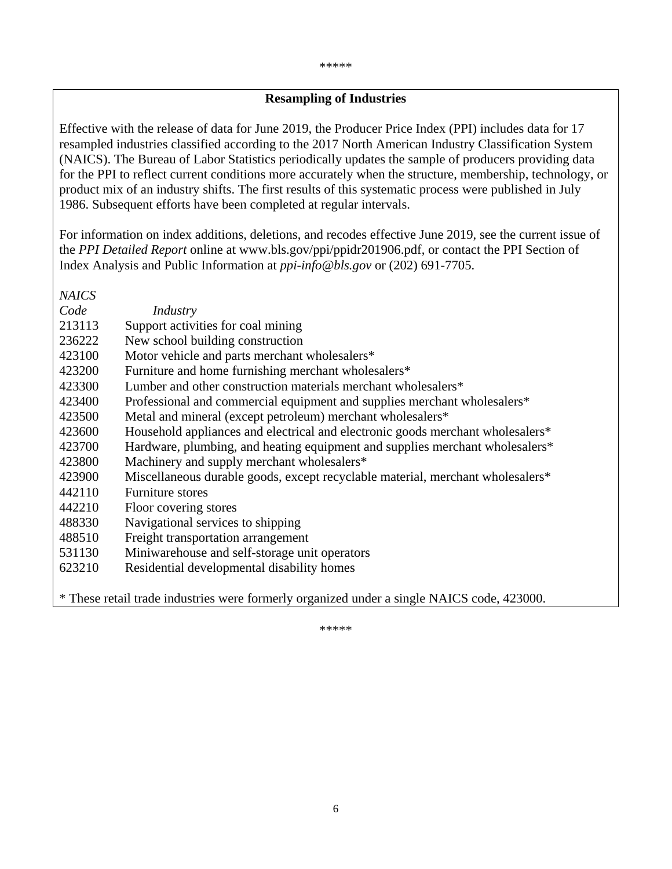# **Resampling of Industries**

Effective with the release of data for June 2019, the Producer Price Index (PPI) includes data for 17 resampled industries classified according to the 2017 North American Industry Classification System (NAICS). The Bureau of Labor Statistics periodically updates the sample of producers providing data for the PPI to reflect current conditions more accurately when the structure, membership, technology, or product mix of an industry shifts. The first results of this systematic process were published in July 1986. Subsequent efforts have been completed at regular intervals.

For information on index additions, deletions, and recodes effective June 2019, see the current issue of the *PPI Detailed Report* online at www.bls.gov/ppi/ppidr201906.pdf, or contact the PPI Section of Index Analysis and Public Information at *ppi-info@bls.gov* or (202) 691-7705.

*NAICS Code Industry*  213113 Support activities for coal mining 236222 New school building construction 423100 Motor vehicle and parts merchant wholesalers\* 423200 Furniture and home furnishing merchant wholesalers\* 423300 Lumber and other construction materials merchant wholesalers\* 423400 Professional and commercial equipment and supplies merchant wholesalers\* 423500 Metal and mineral (except petroleum) merchant wholesalers\* 423600 Household appliances and electrical and electronic goods merchant wholesalers\* 423700 Hardware, plumbing, and heating equipment and supplies merchant wholesalers\* 423800 Machinery and supply merchant wholesalers\* 423900 Miscellaneous durable goods, except recyclable material, merchant wholesalers\* 442110 Furniture stores 442210 Floor covering stores 488330 Navigational services to shipping 488510 Freight transportation arrangement 531130 Miniwarehouse and self-storage unit operators 623210 Residential developmental disability homes

\* These retail trade industries were formerly organized under a single NAICS code, 423000.

\*\*\*\*\*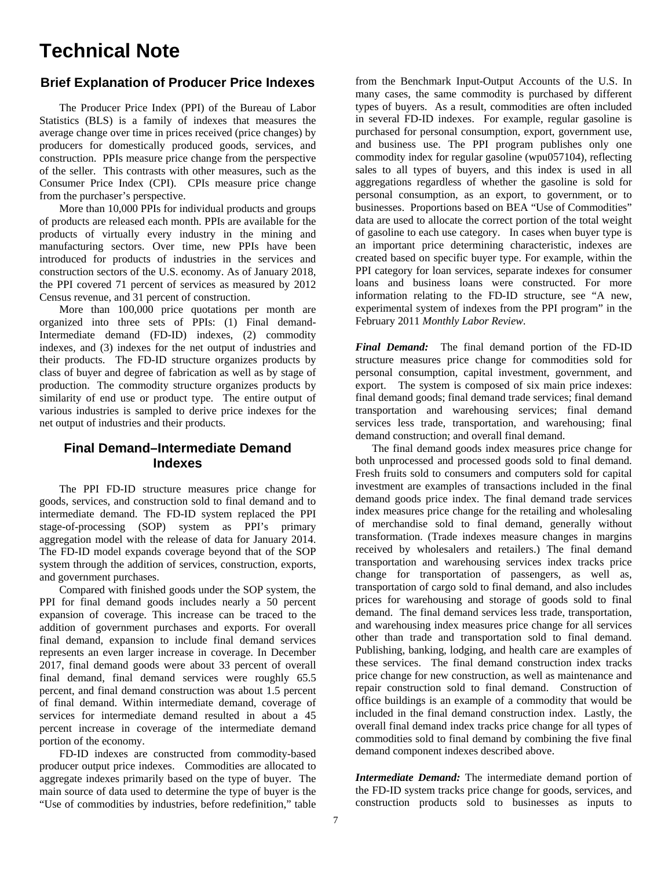# **Technical Note**

# **Brief Explanation of Producer Price Indexes**

The Producer Price Index (PPI) of the Bureau of Labor Statistics (BLS) is a family of indexes that measures the average change over time in prices received (price changes) by producers for domestically produced goods, services, and construction. PPIs measure price change from the perspective of the seller. This contrasts with other measures, such as the Consumer Price Index (CPI). CPIs measure price change from the purchaser's perspective.

 More than 10,000 PPIs for individual products and groups of products are released each month. PPIs are available for the products of virtually every industry in the mining and manufacturing sectors. Over time, new PPIs have been introduced for products of industries in the services and construction sectors of the U.S. economy. As of January 2018, the PPI covered 71 percent of services as measured by 2012 Census revenue, and 31 percent of construction.

More than 100,000 price quotations per month are organized into three sets of PPIs: (1) Final demand-Intermediate demand (FD-ID) indexes, (2) commodity indexes, and (3) indexes for the net output of industries and their products. The FD-ID structure organizes products by class of buyer and degree of fabrication as well as by stage of production. The commodity structure organizes products by similarity of end use or product type. The entire output of various industries is sampled to derive price indexes for the net output of industries and their products.

# **Final Demand–Intermediate Demand Indexes**

 The PPI FD-ID structure measures price change for goods, services, and construction sold to final demand and to intermediate demand. The FD-ID system replaced the PPI stage-of-processing (SOP) system as PPI's primary aggregation model with the release of data for January 2014. The FD-ID model expands coverage beyond that of the SOP system through the addition of services, construction, exports, and government purchases.

 Compared with finished goods under the SOP system, the PPI for final demand goods includes nearly a 50 percent expansion of coverage. This increase can be traced to the addition of government purchases and exports. For overall final demand, expansion to include final demand services represents an even larger increase in coverage. In December 2017, final demand goods were about 33 percent of overall final demand, final demand services were roughly 65.5 percent, and final demand construction was about 1.5 percent of final demand. Within intermediate demand, coverage of services for intermediate demand resulted in about a 45 percent increase in coverage of the intermediate demand portion of the economy.

FD-ID indexes are constructed from commodity-based producer output price indexes. Commodities are allocated to aggregate indexes primarily based on the type of buyer. The main source of data used to determine the type of buyer is the "Use of commodities by industries, before redefinition," table

from the Benchmark Input-Output Accounts of the U.S. In many cases, the same commodity is purchased by different types of buyers. As a result, commodities are often included in several FD-ID indexes. For example, regular gasoline is purchased for personal consumption, export, government use, and business use. The PPI program publishes only one commodity index for regular gasoline (wpu057104), reflecting sales to all types of buyers, and this index is used in all aggregations regardless of whether the gasoline is sold for personal consumption, as an export, to government, or to businesses. Proportions based on BEA "Use of Commodities" data are used to allocate the correct portion of the total weight of gasoline to each use category. In cases when buyer type is an important price determining characteristic, indexes are created based on specific buyer type. For example, within the PPI category for loan services, separate indexes for consumer loans and business loans were constructed. For more information relating to the FD-ID structure, see "A new, experimental system of indexes from the PPI program" in the February 2011 *Monthly Labor Review*.

*Final Demand:* The final demand portion of the FD-ID structure measures price change for commodities sold for personal consumption, capital investment, government, and export. The system is composed of six main price indexes: final demand goods; final demand trade services; final demand transportation and warehousing services; final demand services less trade, transportation, and warehousing; final demand construction; and overall final demand.

 The final demand goods index measures price change for both unprocessed and processed goods sold to final demand. Fresh fruits sold to consumers and computers sold for capital investment are examples of transactions included in the final demand goods price index. The final demand trade services index measures price change for the retailing and wholesaling of merchandise sold to final demand, generally without transformation. (Trade indexes measure changes in margins received by wholesalers and retailers.) The final demand transportation and warehousing services index tracks price change for transportation of passengers, as well as, transportation of cargo sold to final demand, and also includes prices for warehousing and storage of goods sold to final demand. The final demand services less trade, transportation, and warehousing index measures price change for all services other than trade and transportation sold to final demand. Publishing, banking, lodging, and health care are examples of these services. The final demand construction index tracks price change for new construction, as well as maintenance and repair construction sold to final demand. Construction of office buildings is an example of a commodity that would be included in the final demand construction index. Lastly, the overall final demand index tracks price change for all types of commodities sold to final demand by combining the five final demand component indexes described above.

*Intermediate Demand:* The intermediate demand portion of the FD-ID system tracks price change for goods, services, and construction products sold to businesses as inputs to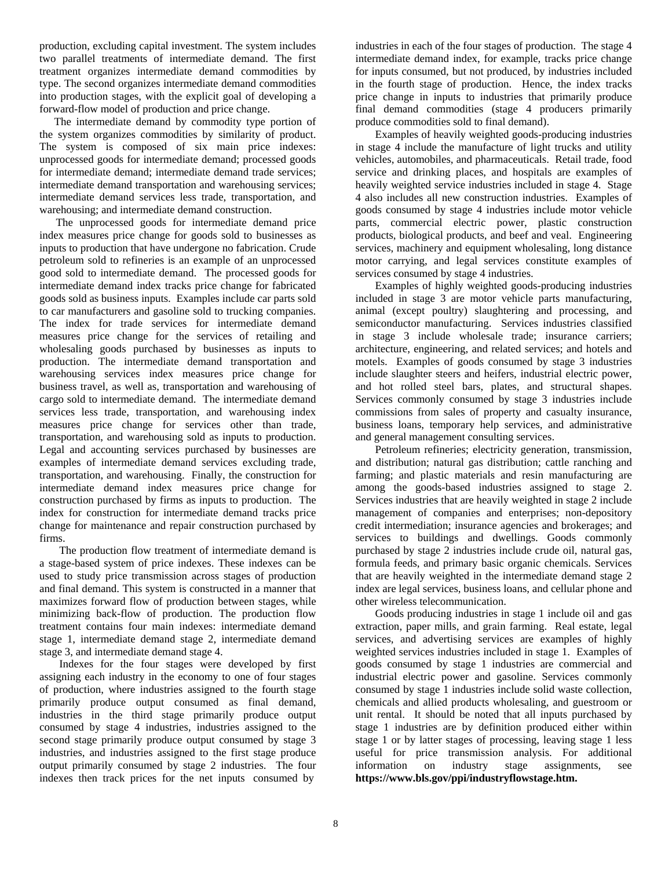production, excluding capital investment. The system includes two parallel treatments of intermediate demand. The first treatment organizes intermediate demand commodities by type. The second organizes intermediate demand commodities into production stages, with the explicit goal of developing a forward-flow model of production and price change.

 The intermediate demand by commodity type portion of the system organizes commodities by similarity of product. The system is composed of six main price indexes: unprocessed goods for intermediate demand; processed goods for intermediate demand; intermediate demand trade services; intermediate demand transportation and warehousing services; intermediate demand services less trade, transportation, and warehousing; and intermediate demand construction.

 The unprocessed goods for intermediate demand price index measures price change for goods sold to businesses as inputs to production that have undergone no fabrication. Crude petroleum sold to refineries is an example of an unprocessed good sold to intermediate demand. The processed goods for intermediate demand index tracks price change for fabricated goods sold as business inputs. Examples include car parts sold to car manufacturers and gasoline sold to trucking companies. The index for trade services for intermediate demand measures price change for the services of retailing and wholesaling goods purchased by businesses as inputs to production. The intermediate demand transportation and warehousing services index measures price change for business travel, as well as, transportation and warehousing of cargo sold to intermediate demand. The intermediate demand services less trade, transportation, and warehousing index measures price change for services other than trade, transportation, and warehousing sold as inputs to production. Legal and accounting services purchased by businesses are examples of intermediate demand services excluding trade, transportation, and warehousing. Finally, the construction for intermediate demand index measures price change for construction purchased by firms as inputs to production. The index for construction for intermediate demand tracks price change for maintenance and repair construction purchased by firms.

The production flow treatment of intermediate demand is a stage-based system of price indexes. These indexes can be used to study price transmission across stages of production and final demand. This system is constructed in a manner that maximizes forward flow of production between stages, while minimizing back-flow of production. The production flow treatment contains four main indexes: intermediate demand stage 1, intermediate demand stage 2, intermediate demand stage 3, and intermediate demand stage 4.

Indexes for the four stages were developed by first assigning each industry in the economy to one of four stages of production, where industries assigned to the fourth stage primarily produce output consumed as final demand, industries in the third stage primarily produce output consumed by stage 4 industries, industries assigned to the second stage primarily produce output consumed by stage 3 industries, and industries assigned to the first stage produce output primarily consumed by stage 2 industries. The four indexes then track prices for the net inputs consumed by

industries in each of the four stages of production. The stage 4 intermediate demand index, for example, tracks price change for inputs consumed, but not produced, by industries included in the fourth stage of production. Hence, the index tracks price change in inputs to industries that primarily produce final demand commodities (stage 4 producers primarily produce commodities sold to final demand).

 Examples of heavily weighted goods-producing industries in stage 4 include the manufacture of light trucks and utility vehicles, automobiles, and pharmaceuticals. Retail trade, food service and drinking places, and hospitals are examples of heavily weighted service industries included in stage 4. Stage 4 also includes all new construction industries. Examples of goods consumed by stage 4 industries include motor vehicle parts, commercial electric power, plastic construction products, biological products, and beef and veal. Engineering services, machinery and equipment wholesaling, long distance motor carrying, and legal services constitute examples of services consumed by stage 4 industries.

 Examples of highly weighted goods-producing industries included in stage 3 are motor vehicle parts manufacturing, animal (except poultry) slaughtering and processing, and semiconductor manufacturing. Services industries classified in stage 3 include wholesale trade; insurance carriers; architecture, engineering, and related services; and hotels and motels. Examples of goods consumed by stage 3 industries include slaughter steers and heifers, industrial electric power, and hot rolled steel bars, plates, and structural shapes. Services commonly consumed by stage 3 industries include commissions from sales of property and casualty insurance, business loans, temporary help services, and administrative and general management consulting services.

 Petroleum refineries; electricity generation, transmission, and distribution; natural gas distribution; cattle ranching and farming; and plastic materials and resin manufacturing are among the goods-based industries assigned to stage 2. Services industries that are heavily weighted in stage 2 include management of companies and enterprises; non-depository credit intermediation; insurance agencies and brokerages; and services to buildings and dwellings. Goods commonly purchased by stage 2 industries include crude oil, natural gas, formula feeds, and primary basic organic chemicals. Services that are heavily weighted in the intermediate demand stage 2 index are legal services, business loans, and cellular phone and other wireless telecommunication.

 Goods producing industries in stage 1 include oil and gas extraction, paper mills, and grain farming. Real estate, legal services, and advertising services are examples of highly weighted services industries included in stage 1. Examples of goods consumed by stage 1 industries are commercial and industrial electric power and gasoline. Services commonly consumed by stage 1 industries include solid waste collection, chemicals and allied products wholesaling, and guestroom or unit rental. It should be noted that all inputs purchased by stage 1 industries are by definition produced either within stage 1 or by latter stages of processing, leaving stage 1 less useful for price transmission analysis. For additional information on industry stage assignments, see **https://www.bls.gov/ppi/industryflowstage.htm.**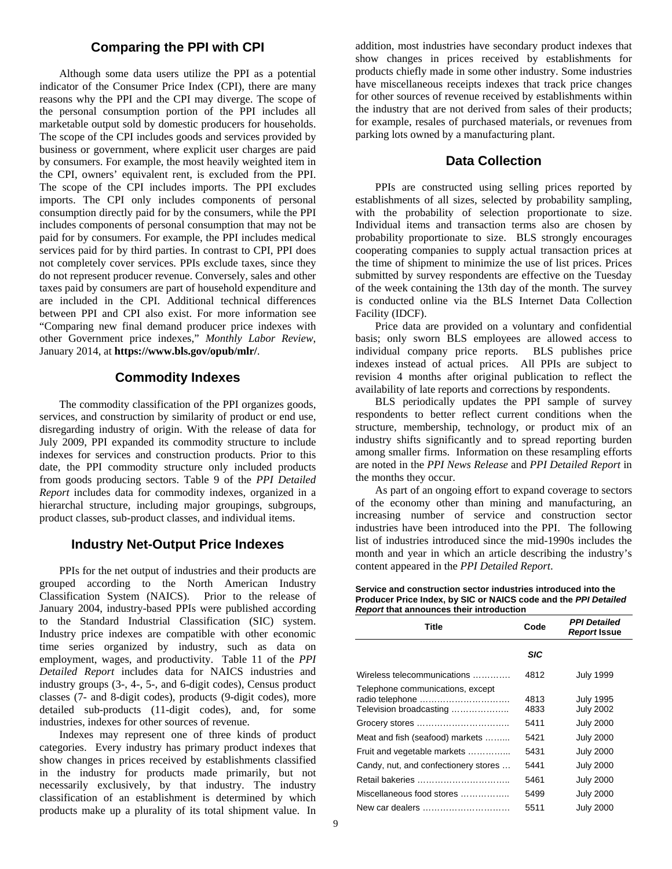#### **Comparing the PPI with CPI**

 Although some data users utilize the PPI as a potential indicator of the Consumer Price Index (CPI), there are many reasons why the PPI and the CPI may diverge. The scope of the personal consumption portion of the PPI includes all marketable output sold by domestic producers for households. The scope of the CPI includes goods and services provided by business or government, where explicit user charges are paid by consumers. For example, the most heavily weighted item in the CPI, owners' equivalent rent, is excluded from the PPI. The scope of the CPI includes imports. The PPI excludes imports. The CPI only includes components of personal consumption directly paid for by the consumers, while the PPI includes components of personal consumption that may not be paid for by consumers. For example, the PPI includes medical services paid for by third parties. In contrast to CPI, PPI does not completely cover services. PPIs exclude taxes, since they do not represent producer revenue. Conversely, sales and other taxes paid by consumers are part of household expenditure and are included in the CPI. Additional technical differences between PPI and CPI also exist. For more information see "Comparing new final demand producer price indexes with other Government price indexes," *Monthly Labor Review*, January 2014, at **https://www.bls.gov/opub/mlr/**.

#### **Commodity Indexes**

The commodity classification of the PPI organizes goods, services, and construction by similarity of product or end use, disregarding industry of origin. With the release of data for July 2009, PPI expanded its commodity structure to include indexes for services and construction products. Prior to this date, the PPI commodity structure only included products from goods producing sectors. Table 9 of the *PPI Detailed Report* includes data for commodity indexes, organized in a hierarchal structure, including major groupings, subgroups, product classes, sub-product classes, and individual items.

#### **Industry Net-Output Price Indexes**

PPIs for the net output of industries and their products are grouped according to the North American Industry Classification System (NAICS). Prior to the release of January 2004, industry-based PPIs were published according to the Standard Industrial Classification (SIC) system. Industry price indexes are compatible with other economic time series organized by industry, such as data on employment, wages, and productivity. Table 11 of the *PPI Detailed Report* includes data for NAICS industries and industry groups (3-, 4-, 5-, and 6-digit codes), Census product classes (7- and 8-digit codes), products (9-digit codes), more detailed sub-products (11-digit codes), and, for some industries, indexes for other sources of revenue.

 Indexes may represent one of three kinds of product categories. Every industry has primary product indexes that show changes in prices received by establishments classified in the industry for products made primarily, but not necessarily exclusively, by that industry. The industry classification of an establishment is determined by which products make up a plurality of its total shipment value. In

addition, most industries have secondary product indexes that show changes in prices received by establishments for products chiefly made in some other industry. Some industries have miscellaneous receipts indexes that track price changes for other sources of revenue received by establishments within the industry that are not derived from sales of their products; for example, resales of purchased materials, or revenues from parking lots owned by a manufacturing plant.

#### **Data Collection**

PPIs are constructed using selling prices reported by establishments of all sizes, selected by probability sampling, with the probability of selection proportionate to size. Individual items and transaction terms also are chosen by probability proportionate to size. BLS strongly encourages cooperating companies to supply actual transaction prices at the time of shipment to minimize the use of list prices. Prices submitted by survey respondents are effective on the Tuesday of the week containing the 13th day of the month. The survey is conducted online via the BLS Internet Data Collection Facility (IDCF).

 Price data are provided on a voluntary and confidential basis; only sworn BLS employees are allowed access to individual company price reports. BLS publishes price indexes instead of actual prices. All PPIs are subject to revision 4 months after original publication to reflect the availability of late reports and corrections by respondents.

 BLS periodically updates the PPI sample of survey respondents to better reflect current conditions when the structure, membership, technology, or product mix of an industry shifts significantly and to spread reporting burden among smaller firms. Information on these resampling efforts are noted in the *PPI News Release* and *PPI Detailed Report* in the months they occur.

 As part of an ongoing effort to expand coverage to sectors of the economy other than mining and manufacturing, an increasing number of service and construction sector industries have been introduced into the PPI. The following list of industries introduced since the mid-1990s includes the month and year in which an article describing the industry's content appeared in the *PPI Detailed Report*.

| R<br>Title                                                                     | Code         | <b>PPI Detailed</b><br><b>Report Issue</b> |
|--------------------------------------------------------------------------------|--------------|--------------------------------------------|
|                                                                                | <b>SIC</b>   |                                            |
| Wireless telecommunications                                                    | 4812         | <b>July 1999</b>                           |
| Telephone communications, except<br>radio telephone<br>Television broadcasting | 4813<br>4833 | <b>July 1995</b><br><b>July 2002</b>       |
|                                                                                | 5411         | <b>July 2000</b>                           |
| Meat and fish (seafood) markets                                                | 5421         | <b>July 2000</b>                           |
| Fruit and vegetable markets                                                    | 5431         | <b>July 2000</b>                           |
| Candy, nut, and confectionery stores                                           | 5441         | <b>July 2000</b>                           |
| Retail bakeries                                                                | 5461         | <b>July 2000</b>                           |
| Miscellaneous food stores                                                      | 5499         | <b>July 2000</b>                           |
| New car dealers                                                                | 5511         | <b>July 2000</b>                           |

**Service and construction sector industries introduced into the Producer Price Index, by SIC or NAICS code and the** *PPI Detailed Report* **that announces their introduction**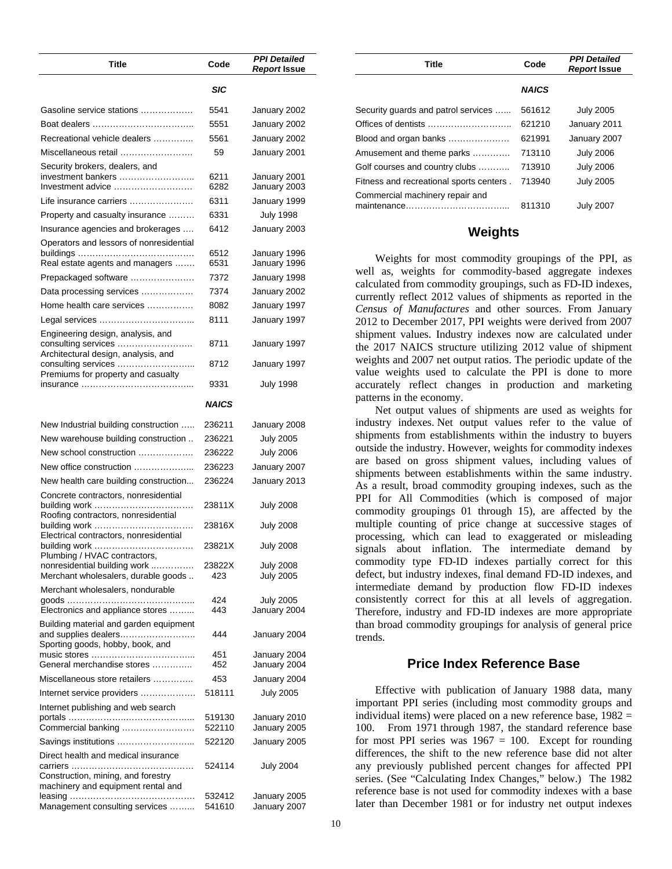| Title                                                                                              | Code             | <b>PPI Detailed</b><br>Report Issue  |
|----------------------------------------------------------------------------------------------------|------------------|--------------------------------------|
|                                                                                                    | SIC              |                                      |
| Gasoline service stations                                                                          | 5541             | January 2002                         |
|                                                                                                    | 5551             | January 2002                         |
| Recreational vehicle dealers                                                                       | 5561             | January 2002                         |
| Miscellaneous retail                                                                               | 59               | January 2001                         |
| Security brokers, dealers, and<br>investment bankers                                               | 6211             | January 2001                         |
| Investment advice                                                                                  | 6282             | January 2003                         |
| Life insurance carriers                                                                            | 6311             | January 1999                         |
| Property and casualty insurance                                                                    | 6331             | <b>July 1998</b>                     |
| Insurance agencies and brokerages                                                                  | 6412             | January 2003                         |
| Operators and lessors of nonresidential<br>Real estate agents and managers                         | 6512<br>6531     | January 1996<br>January 1996         |
| Prepackaged software                                                                               | 7372             | January 1998                         |
| Data processing services                                                                           | 7374             | January 2002                         |
| Home health care services                                                                          | 8082             | January 1997                         |
|                                                                                                    | 8111             |                                      |
| Engineering design, analysis, and                                                                  |                  | January 1997                         |
| consulting services<br>Architectural design, analysis, and                                         | 8711             | January 1997                         |
| Premiums for property and casualty                                                                 | 8712<br>9331     | January 1997<br><b>July 1998</b>     |
|                                                                                                    | NAICS            |                                      |
|                                                                                                    |                  |                                      |
| New Industrial building construction                                                               | 236211           | January 2008                         |
| New warehouse building construction                                                                | 236221           | <b>July 2005</b>                     |
| New school construction                                                                            | 236222           | <b>July 2006</b>                     |
| New office construction                                                                            | 236223           | January 2007                         |
| New health care building construction                                                              | 236224           | January 2013                         |
| Concrete contractors, nonresidential<br>.<br>Roofing contractors, nonresidential                   | 23811X           | <b>July 2008</b>                     |
| Electrical contractors, nonresidential                                                             | 23816X           | July 2008                            |
| Plumbing / HVAC contractors,                                                                       | 23821X           | July 2008                            |
| nonresidential building work<br>Merchant wholesalers, durable goods                                | 23822X<br>423    | <b>July 2008</b><br><b>July 2005</b> |
| Merchant wholesalers, nondurable                                                                   |                  |                                      |
| Electronics and appliance stores                                                                   | 424<br>443       | <b>July 2005</b><br>January 2004     |
| Building material and garden equipment<br>and supplies dealers<br>Sporting goods, hobby, book, and | 444              | January 2004                         |
| General merchandise stores                                                                         | 451<br>452       | January 2004<br>January 2004         |
| Miscellaneous store retailers                                                                      | 453              | January 2004                         |
| Internet service providers                                                                         | 518111           | <b>July 2005</b>                     |
| Internet publishing and web search                                                                 |                  |                                      |
|                                                                                                    | 519130           | January 2010                         |
| Commercial banking                                                                                 | 522110           | January 2005                         |
| Savings institutions                                                                               | 522120           | January 2005                         |
| Direct health and medical insurance<br>Construction, mining, and forestry                          | 524114           | July 2004                            |
| machinery and equipment rental and                                                                 |                  |                                      |
| Management consulting services                                                                     | 532412<br>541610 | January 2005<br>January 2007         |

| Title                                    | Code         | <b>PPI Detailed</b><br><b>Report Issue</b> |
|------------------------------------------|--------------|--------------------------------------------|
|                                          | <b>NAICS</b> |                                            |
| Security guards and patrol services      | 561612       | <b>July 2005</b>                           |
| Offices of dentists                      | 621210       | January 2011                               |
| Blood and organ banks                    | 621991       | January 2007                               |
| Amusement and theme parks                | 713110       | <b>July 2006</b>                           |
| Golf courses and country clubs           | 713910       | <b>July 2006</b>                           |
| Fitness and recreational sports centers. | 713940       | <b>July 2005</b>                           |
| Commercial machinery repair and          | 811310       | <b>July 2007</b>                           |

#### **Weights**

Weights for most commodity groupings of the PPI, as well as, weights for commodity-based aggregate indexes calculated from commodity groupings, such as FD-ID indexes, currently reflect 2012 values of shipments as reported in the *Census of Manufactures* and other sources. From January 2012 to December 2017, PPI weights were derived from 2007 shipment values. Industry indexes now are calculated under the 2017 NAICS structure utilizing 2012 value of shipment weights and 2007 net output ratios. The periodic update of the value weights used to calculate the PPI is done to more accurately reflect changes in production and marketing patterns in the economy.

Net output values of shipments are used as weights for industry indexes. Net output values refer to the value of shipments from establishments within the industry to buyers outside the industry. However, weights for commodity indexes are based on gross shipment values, including values of shipments between establishments within the same industry. As a result, broad commodity grouping indexes, such as the PPI for All Commodities (which is composed of major commodity groupings 01 through 15), are affected by the multiple counting of price change at successive stages of processing, which can lead to exaggerated or misleading signals about inflation. The intermediate demand by commodity type FD-ID indexes partially correct for this defect, but industry indexes, final demand FD-ID indexes, and intermediate demand by production flow FD-ID indexes consistently correct for this at all levels of aggregation. Therefore, industry and FD-ID indexes are more appropriate than broad commodity groupings for analysis of general price trends.

#### **Price Index Reference Base**

Effective with publication of January 1988 data, many important PPI series (including most commodity groups and individual items) were placed on a new reference base,  $1982 =$ 100. From 1971 through 1987, the standard reference base for most PPI series was  $1967 = 100$ . Except for rounding differences, the shift to the new reference base did not alter any previously published percent changes for affected PPI series. (See "Calculating Index Changes," below.) The 1982 reference base is not used for commodity indexes with a base later than December 1981 or for industry net output indexes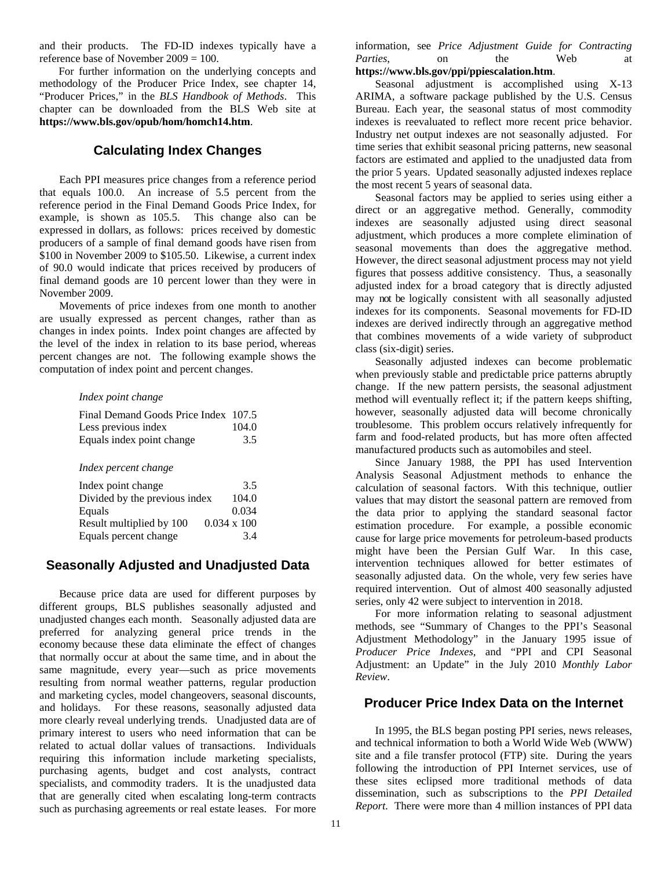and their products. The FD-ID indexes typically have a reference base of November 2009 = 100.

 For further information on the underlying concepts and methodology of the Producer Price Index, see chapter 14, "Producer Prices," in the *BLS Handbook of Methods*. This chapter can be downloaded from the BLS Web site at **https://www.bls.gov/opub/hom/homch14.htm**.

### **Calculating Index Changes**

Each PPI measures price changes from a reference period that equals 100.0. An increase of 5.5 percent from the reference period in the Final Demand Goods Price Index, for example, is shown as 105.5. This change also can be expressed in dollars, as follows: prices received by domestic producers of a sample of final demand goods have risen from \$100 in November 2009 to \$105.50. Likewise, a current index of 90.0 would indicate that prices received by producers of final demand goods are 10 percent lower than they were in November 2009.

 Movements of price indexes from one month to another are usually expressed as percent changes, rather than as changes in index points. Index point changes are affected by the level of the index in relation to its base period, whereas percent changes are not. The following example shows the computation of index point and percent changes.

#### *Index point change*

| Final Demand Goods Price Index 107.5 |               |
|--------------------------------------|---------------|
| Less previous index                  | 104.0         |
| Equals index point change            | $3.5^{\circ}$ |

#### *Index percent change*

| Index point change            | 3.5                |
|-------------------------------|--------------------|
| Divided by the previous index | 104.0              |
| Equals                        | 0.034              |
| Result multiplied by 100      | $0.034 \times 100$ |
| Equals percent change         | 3.4                |

# **Seasonally Adjusted and Unadjusted Data**

Because price data are used for different purposes by different groups, BLS publishes seasonally adjusted and unadjusted changes each month. Seasonally adjusted data are preferred for analyzing general price trends in the economy because these data eliminate the effect of changes that normally occur at about the same time, and in about the same magnitude, every year—such as price movements resulting from normal weather patterns, regular production and marketing cycles, model changeovers, seasonal discounts, and holidays. For these reasons, seasonally adjusted data more clearly reveal underlying trends. Unadjusted data are of primary interest to users who need information that can be related to actual dollar values of transactions. Individuals requiring this information include marketing specialists, purchasing agents, budget and cost analysts, contract specialists, and commodity traders. It is the unadjusted data that are generally cited when escalating long-term contracts such as purchasing agreements or real estate leases.For more

information, see *Price Adjustment Guide for Contracting Parties*, on the Web at **https://www.bls.gov/ppi/ppiescalation.htm**.

Seasonal adjustment is accomplished using X-13 ARIMA, a software package published by the U.S. Census Bureau. Each year, the seasonal status of most commodity indexes is reevaluated to reflect more recent price behavior. Industry net output indexes are not seasonally adjusted. For time series that exhibit seasonal pricing patterns, new seasonal factors are estimated and applied to the unadjusted data from the prior 5 years. Updated seasonally adjusted indexes replace the most recent 5 years of seasonal data.

 Seasonal factors may be applied to series using either a direct or an aggregative method. Generally, commodity indexes are seasonally adjusted using direct seasonal adjustment, which produces a more complete elimination of seasonal movements than does the aggregative method. However, the direct seasonal adjustment process may not yield figures that possess additive consistency. Thus, a seasonally adjusted index for a broad category that is directly adjusted may not be logically consistent with all seasonally adjusted indexes for its components. Seasonal movements for FD-ID indexes are derived indirectly through an aggregative method that combines movements of a wide variety of subproduct class (six-digit) series.

Seasonally adjusted indexes can become problematic when previously stable and predictable price patterns abruptly change. If the new pattern persists, the seasonal adjustment method will eventually reflect it; if the pattern keeps shifting, however, seasonally adjusted data will become chronically troublesome. This problem occurs relatively infrequently for farm and food-related products, but has more often affected manufactured products such as automobiles and steel.

Since January 1988, the PPI has used Intervention Analysis Seasonal Adjustment methods to enhance the calculation of seasonal factors. With this technique, outlier values that may distort the seasonal pattern are removed from the data prior to applying the standard seasonal factor estimation procedure. For example, a possible economic cause for large price movements for petroleum-based products might have been the Persian Gulf War. In this case, intervention techniques allowed for better estimates of seasonally adjusted data. On the whole, very few series have required intervention. Out of almost 400 seasonally adjusted series, only 42 were subject to intervention in 2018.

For more information relating to seasonal adjustment methods, see "Summary of Changes to the PPI's Seasonal Adjustment Methodology" in the January 1995 issue of *Producer Price Indexes*, and "PPI and CPI Seasonal Adjustment: an Update" in the July 2010 *Monthly Labor Review*.

#### **Producer Price Index Data on the Internet**

In 1995, the BLS began posting PPI series, news releases, and technical information to both a World Wide Web (WWW) site and a file transfer protocol (FTP) site. During the years following the introduction of PPI Internet services, use of these sites eclipsed more traditional methods of data dissemination, such as subscriptions to the *PPI Detailed Report*. There were more than 4 million instances of PPI data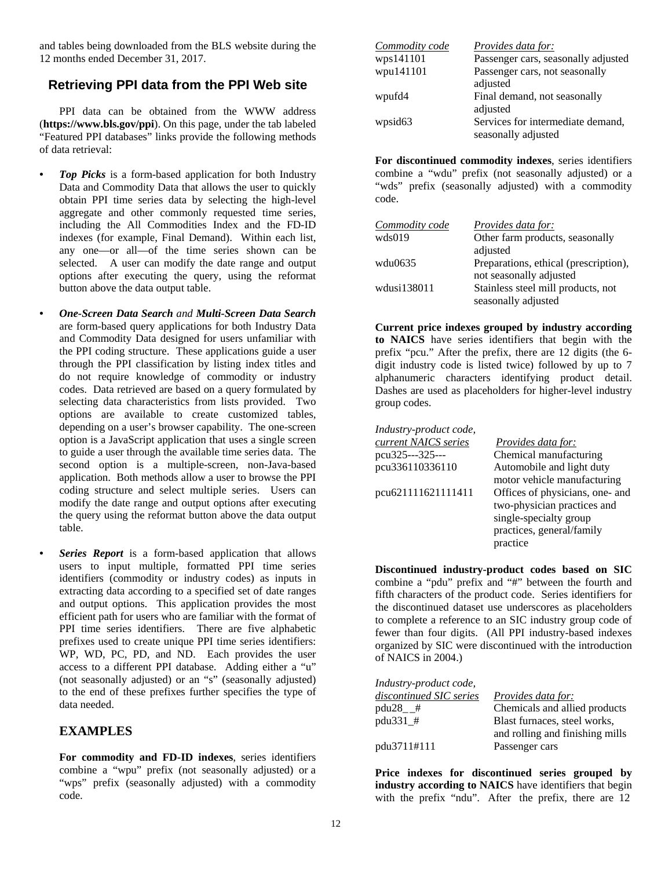and tables being downloaded from the BLS website during the 12 months ended December 31, 2017.

# **Retrieving PPI data from the PPI Web site**

PPI data can be obtained from the WWW address (**https://www.bls.gov/ppi**). On this page, under the tab labeled "Featured PPI databases" links provide the following methods of data retrieval:

- *Top Picks* is a form-based application for both Industry Data and Commodity Data that allows the user to quickly obtain PPI time series data by selecting the high-level aggregate and other commonly requested time series, including the All Commodities Index and the FD-ID indexes (for example, Final Demand). Within each list, any one—or all—of the time series shown can be selected. A user can modify the date range and output options after executing the query, using the reformat button above the data output table.
- *One-Screen Data Search and Multi-Screen Data Search*  are form-based query applications for both Industry Data and Commodity Data designed for users unfamiliar with the PPI coding structure. These applications guide a user through the PPI classification by listing index titles and do not require knowledge of commodity or industry codes. Data retrieved are based on a query formulated by selecting data characteristics from lists provided. Two options are available to create customized tables, depending on a user's browser capability. The one-screen option is a JavaScript application that uses a single screen to guide a user through the available time series data. The second option is a multiple-screen, non-Java-based application. Both methods allow a user to browse the PPI coding structure and select multiple series. Users can modify the date range and output options after executing the query using the reformat button above the data output table.
	- *Series Report* is a form-based application that allows users to input multiple, formatted PPI time series identifiers (commodity or industry codes) as inputs in extracting data according to a specified set of date ranges and output options. This application provides the most efficient path for users who are familiar with the format of PPI time series identifiers. There are five alphabetic prefixes used to create unique PPI time series identifiers: WP, WD, PC, PD, and ND. Each provides the user access to a different PPI database. Adding either a "u" (not seasonally adjusted) or an "s" (seasonally adjusted) to the end of these prefixes further specifies the type of data needed.

# **EXAMPLES**

**For commodity and FD-ID indexes**, series identifiers combine a "wpu" prefix (not seasonally adjusted) or a "wps" prefix (seasonally adjusted) with a commodity code.

| Commodity code | <i>Provides data for:</i>           |
|----------------|-------------------------------------|
| wps141101      | Passenger cars, seasonally adjusted |
| wpu141101      | Passenger cars, not seasonally      |
|                | adjusted                            |
| wpufd4         | Final demand, not seasonally        |
|                | adjusted                            |
| wpsid63        | Services for intermediate demand,   |
|                | seasonally adjusted                 |

**For discontinued commodity indexes**, series identifiers combine a "wdu" prefix (not seasonally adjusted) or a "wds" prefix (seasonally adjusted) with a commodity code.

| Commodity code | <i>Provides data for:</i>             |
|----------------|---------------------------------------|
| wds019         | Other farm products, seasonally       |
|                | adjusted                              |
| wdu0635        | Preparations, ethical (prescription), |
|                | not seasonally adjusted               |
| wdusi138011    | Stainless steel mill products, not    |
|                | seasonally adjusted                   |

 **Current price indexes grouped by industry according to NAICS** have series identifiers that begin with the prefix "pcu." After the prefix, there are 12 digits (the 6 digit industry code is listed twice) followed by up to 7 alphanumeric characters identifying product detail. Dashes are used as placeholders for higher-level industry group codes.

| Industry-product code, |                                 |
|------------------------|---------------------------------|
| current NAICS series   | Provides data for:              |
| pcu325---325---        | Chemical manufacturing          |
| pcu336110336110        | Automobile and light duty       |
|                        | motor vehicle manufacturing     |
| pcu621111621111411     | Offices of physicians, one- and |
|                        | two-physician practices and     |
|                        | single-specialty group          |
|                        | practices, general/family       |
|                        | practice                        |
|                        |                                 |

**Discontinued industry-product codes based on SIC** combine a "pdu" prefix and "#" between the fourth and fifth characters of the product code. Series identifiers for the discontinued dataset use underscores as placeholders to complete a reference to an SIC industry group code of fewer than four digits. (All PPI industry-based indexes organized by SIC were discontinued with the introduction of NAICS in 2004.)

| Industry-product code,  |                                 |
|-------------------------|---------------------------------|
| discontinued SIC series | <i>Provides data for:</i>       |
| $pdu28$ #               | Chemicals and allied products   |
| pdu331_#                | Blast furnaces, steel works,    |
|                         | and rolling and finishing mills |
| pdu3711#111             | Passenger cars                  |

**Price indexes for discontinued series grouped by industry according to NAICS** have identifiers that begin with the prefix "ndu". After the prefix, there are 12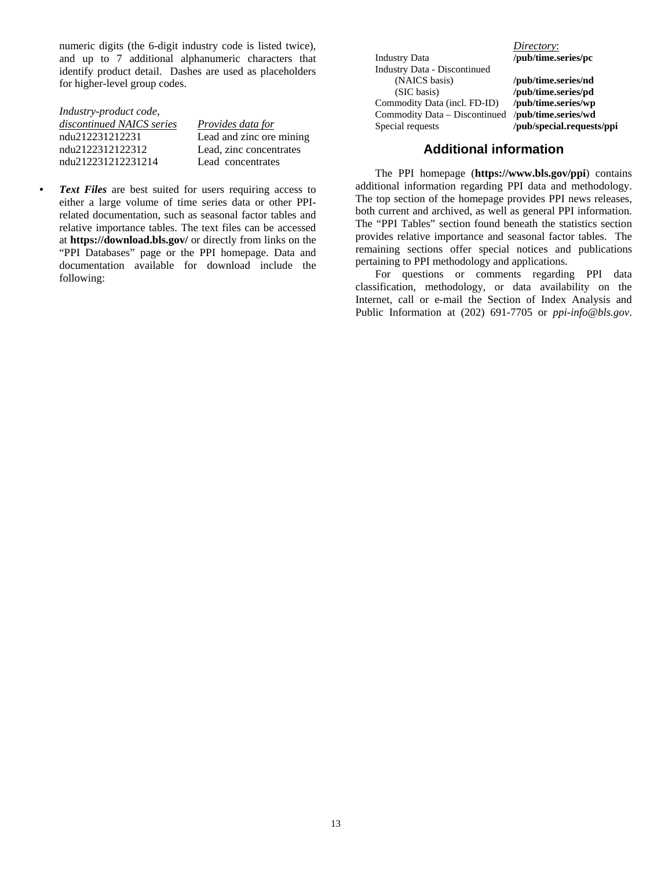numeric digits (the 6-digit industry code is listed twice), and up to 7 additional alphanumeric characters that identify product detail. Dashes are used as placeholders for higher-level group codes.

| Industry-product code,    |                          |
|---------------------------|--------------------------|
| discontinued NAICS series | Provides data for        |
| ndu212231212231           | Lead and zinc ore mining |
| ndu2122312122312          | Lead, zinc concentrates  |
| ndu212231212231214        | Lead concentrates        |

*Text Files* are best suited for users requiring access to either a large volume of time series data or other PPIrelated documentation, such as seasonal factor tables and relative importance tables. The text files can be accessed at **https://download.bls.gov/** or directly from links on the "PPI Databases" page or the PPI homepage. Data and documentation available for download include the following:

Industry Data **/pub/time.series/pc**  Industry Data - Discontinued (NAICS basis) **/pub/time.series/nd**  (SIC basis) **/pub/time.series/pd**  Commodity Data (incl. FD-ID) **/pub/time.series/wp**  Commodity Data – Discontinued Special requests **/pub/special.requests/ppi**

*Directory*:

#### **Additional information**

The PPI homepage (**https://www.bls.gov/ppi**) contains additional information regarding PPI data and methodology. The top section of the homepage provides PPI news releases, both current and archived, as well as general PPI information. The "PPI Tables" section found beneath the statistics section provides relative importance and seasonal factor tables. The remaining sections offer special notices and publications pertaining to PPI methodology and applications.

For questions or comments regarding PPI data classification, methodology, or data availability on the Internet, call or e-mail the Section of Index Analysis and Public Information at (202) 691-7705 or *ppi-info@bls.gov*.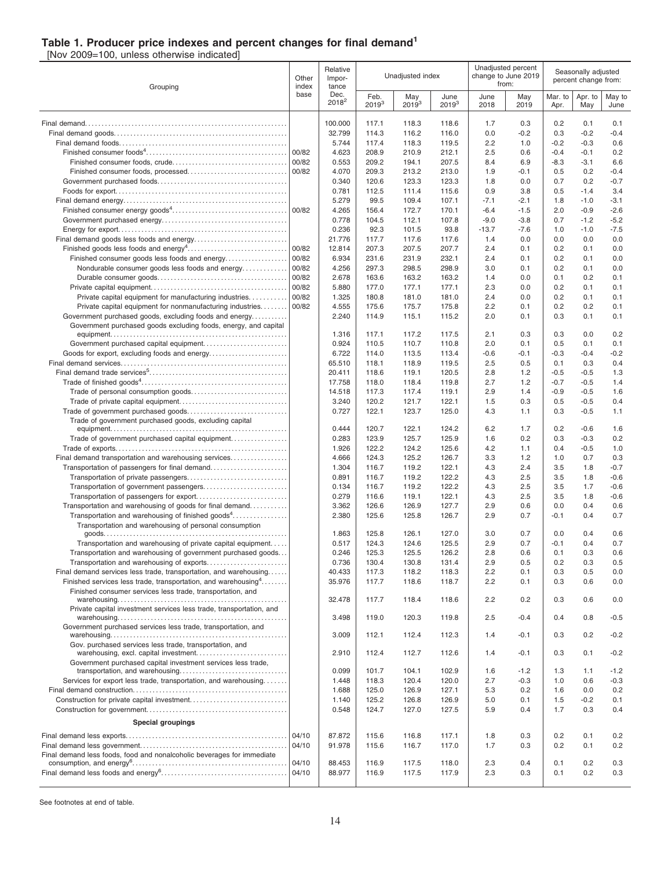#### **Table 1. Producer price indexes and percent changes for final demand<sup>1</sup>**

[Nov 2009=100, unless otherwise indicated]

| Grouping                                                                                                                  |       | Relative<br>Other<br>Impor-<br>index<br>tance |                    | Unadjusted index  |                    |              | Unadjusted percent<br>change to June 2019<br>from: | Seasonally adjusted<br>percent change from: |                  |                  |
|---------------------------------------------------------------------------------------------------------------------------|-------|-----------------------------------------------|--------------------|-------------------|--------------------|--------------|----------------------------------------------------|---------------------------------------------|------------------|------------------|
|                                                                                                                           | base  | Dec.<br>$2018^2$                              | Feb.<br>$2019^{3}$ | May<br>$2019^{3}$ | June<br>$2019^{3}$ | June<br>2018 | May<br>2019                                        | Mar. to<br>Apr.                             | Apr. to<br>May   | May to<br>June   |
|                                                                                                                           |       | 100.000                                       | 117.1              | 118.3             | 118.6              | 1.7          | 0.3                                                | 0.2                                         | 0.1              | 0.1              |
|                                                                                                                           |       | 32.799                                        | 114.3              | 116.2             | 116.0              | 0.0          | $-0.2$                                             | 0.3                                         | $-0.2$           | $-0.4$           |
|                                                                                                                           |       | 5.744                                         | 117.4              | 118.3             | 119.5              | 2.2          | 1.0                                                | $-0.2$                                      | $-0.3$           | 0.6              |
|                                                                                                                           | 00/82 | 4.623                                         | 208.9              | 210.9             | 212.1              | 2.5          | 0.6                                                | $-0.4$                                      | $-0.1$           | 0.2              |
|                                                                                                                           | 00/82 | 0.553                                         | 209.2              | 194.1             | 207.5              | 8.4          | 6.9                                                | $-8.3$                                      | $-3.1$           | 6.6              |
|                                                                                                                           | 00/82 | 4.070<br>0.340                                | 209.3<br>120.6     | 213.2<br>123.3    | 213.0<br>123.3     | 1.9<br>1.8   | $-0.1$<br>0.0                                      | 0.5<br>0.7                                  | 0.2<br>0.2       | $-0.4$<br>$-0.7$ |
|                                                                                                                           |       | 0.781                                         | 112.5              | 111.4             | 115.6              | 0.9          | 3.8                                                | 0.5                                         | $-1.4$           | 3.4              |
|                                                                                                                           |       | 5.279                                         | 99.5               | 109.4             | 107.1              | $-7.1$       | $-2.1$                                             | 1.8                                         | $-1.0$           | $-3.1$           |
|                                                                                                                           |       | 4.265                                         | 156.4              | 172.7             | 170.1              | $-6.4$       | $-1.5$                                             | 2.0                                         | $-0.9$           | $-2.6$           |
|                                                                                                                           |       | 0.778                                         | 104.5              | 112.1             | 107.8              | $-9.0$       | $-3.8$                                             | 0.7                                         | $-1.2$           | $-5.2$           |
|                                                                                                                           |       | 0.236                                         | 92.3               | 101.5             | 93.8               | $-13.7$      | $-7.6$                                             | 1.0                                         | $-1.0$           | $-7.5$           |
|                                                                                                                           | 00/82 | 21.776<br>12.814                              | 117.7<br>207.3     | 117.6<br>207.5    | 117.6<br>207.7     | 1.4<br>2.4   | 0.0<br>0.1                                         | 0.0<br>0.2                                  | 0.0<br>0.1       | 0.0<br>0.0       |
| Finished consumer goods less foods and energy                                                                             | 00/82 | 6.934                                         | 231.6              | 231.9             | 232.1              | 2.4          | 0.1                                                | 0.2                                         | 0.1              | 0.0              |
| Nondurable consumer goods less foods and energy                                                                           | 00/82 | 4.256                                         | 297.3              | 298.5             | 298.9              | 3.0          | 0.1                                                | 0.2                                         | 0.1              | 0.0              |
|                                                                                                                           | 00/82 | 2.678                                         | 163.6              | 163.2             | 163.2              | 1.4          | 0.0                                                | 0.1                                         | 0.2              | 0.1              |
|                                                                                                                           | 00/82 | 5.880                                         | 177.0              | 177.1             | 177.1              | 2.3          | 0.0                                                | 0.2                                         | 0.1              | 0.1              |
| Private capital equipment for manufacturing industries                                                                    | 00/82 | 1.325                                         | 180.8              | 181.0             | 181.0              | 2.4          | 0.0                                                | 0.2                                         | 0.1              | 0.1              |
| Private capital equipment for nonmanufacturing industries                                                                 | 00/82 | 4.555                                         | 175.6              | 175.7             | 175.8              | 2.2          | 0.1                                                | 0.2                                         | 0.2              | 0.1              |
| Government purchased goods, excluding foods and energy<br>Government purchased goods excluding foods, energy, and capital |       | 2.240                                         | 114.9              | 115.1             | 115.2              | 2.0          | 0.1                                                | 0.3                                         | 0.1              | 0.1              |
|                                                                                                                           |       | 1.316                                         | 117.1              | 117.2             | 117.5              | 2.1          | 0.3                                                | 0.3                                         | 0.0              | 0.2              |
|                                                                                                                           |       | 0.924                                         | 110.5              | 110.7             | 110.8              | 2.0          | 0.1                                                | 0.5                                         | 0.1              | 0.1              |
|                                                                                                                           |       | 6.722                                         | 114.0              | 113.5             | 113.4              | $-0.6$       | $-0.1$                                             | $-0.3$                                      | $-0.4$           | $-0.2$           |
|                                                                                                                           |       | 65.510                                        | 118.1              | 118.9             | 119.5              | 2.5          | 0.5                                                | 0.1                                         | 0.3              | 0.4              |
|                                                                                                                           |       | 20.411                                        | 118.6              | 119.1             | 120.5              | 2.8          | 1.2                                                | $-0.5$                                      | $-0.5$           | 1.3              |
|                                                                                                                           |       | 17.758<br>14.518                              | 118.0<br>117.3     | 118.4<br>117.4    | 119.8<br>119.1     | 2.7<br>2.9   | 1.2<br>1.4                                         | $-0.7$<br>$-0.9$                            | $-0.5$<br>$-0.5$ | 1.4<br>1.6       |
|                                                                                                                           |       | 3.240                                         | 120.2              | 121.7             | 122.1              | 1.5          | 0.3                                                | 0.5                                         | $-0.5$           | 0.4              |
|                                                                                                                           |       | 0.727                                         | 122.1              | 123.7             | 125.0              | 4.3          | 1.1                                                | 0.3                                         | $-0.5$           | 1.1              |
| Trade of government purchased goods, excluding capital                                                                    |       |                                               |                    |                   |                    |              |                                                    |                                             |                  |                  |
|                                                                                                                           |       | 0.444                                         | 120.7              | 122.1             | 124.2              | 6.2          | 1.7                                                | 0.2                                         | $-0.6$           | 1.6              |
| Trade of government purchased capital equipment                                                                           |       | 0.283                                         | 123.9              | 125.7             | 125.9              | 1.6          | 0.2                                                | 0.3                                         | $-0.3$           | 0.2              |
| Final demand transportation and warehousing services                                                                      |       | 1.926<br>4.666                                | 122.2<br>124.3     | 124.2<br>125.2    | 125.6<br>126.7     | 4.2<br>3.3   | 1.1<br>1.2                                         | 0.4<br>1.0                                  | $-0.5$<br>0.7    | 1.0<br>0.3       |
|                                                                                                                           |       | 1.304                                         | 116.7              | 119.2             | 122.1              | 4.3          | 2.4                                                | 3.5                                         | 1.8              | $-0.7$           |
|                                                                                                                           |       | 0.891                                         | 116.7              | 119.2             | 122.2              | 4.3          | 2.5                                                | 3.5                                         | 1.8              | $-0.6$           |
|                                                                                                                           |       | 0.134                                         | 116.7              | 119.2             | 122.2              | 4.3          | 2.5                                                | 3.5                                         | 1.7              | $-0.6$           |
|                                                                                                                           |       | 0.279                                         | 116.6              | 119.1             | 122.1              | 4.3          | 2.5                                                | 3.5                                         | 1.8              | $-0.6$           |
| Transportation and warehousing of goods for final demand                                                                  |       | 3.362                                         | 126.6              | 126.9             | 127.7              | 2.9          | 0.6                                                | 0.0                                         | 0.4              | 0.6              |
| Transportation and warehousing of finished goods <sup>4</sup><br>Transportation and warehousing of personal consumption   |       | 2.380                                         | 125.6              | 125.8             | 126.7              | 2.9          | 0.7                                                | $-0.1$                                      | 0.4              | 0.7              |
|                                                                                                                           |       | 1.863                                         | 125.8              | 126.1             | 127.0              | 3.0          | 0.7                                                | 0.0                                         | 0.4              | 0.6              |
| Transportation and warehousing of private capital equipment.                                                              |       | 0.517                                         | 124.3              | 124.6             | 125.5              | 2.9          | 0.7                                                | $-0.1$                                      | 0.4              | 0.7              |
| Transportation and warehousing of government purchased goods                                                              |       | 0.246                                         | 125.3              | 125.5             | 126.2              | 2.8          | 0.6                                                | 0.1                                         | 0.3              | 0.6              |
| Transportation and warehousing of exports<br>Final demand services less trade, transportation, and warehousing            |       | 0.736<br>40.433                               | 130.4              | 130.8             | 131.4              | 2.9          | 0.5                                                | 0.2                                         | 0.3              | 0.5              |
| Finished services less trade, transportation, and warehousing <sup>4</sup>                                                |       | 35.976                                        | 117.3<br>117.7     | 118.2<br>118.6    | 118.3<br>118.7     | 2.2<br>2.2   | 0.1<br>0.1                                         | 0.3<br>0.3                                  | 0.5<br>0.6       | 0.0<br>0.0       |
| Finished consumer services less trade, transportation, and                                                                |       |                                               |                    |                   |                    |              |                                                    |                                             |                  |                  |
|                                                                                                                           |       | 32.478                                        | 117.7              | 118.4             | 118.6              | 2.2          | 0.2                                                | 0.3                                         | 0.6              | 0.0              |
| Private capital investment services less trade, transportation, and                                                       |       | 3.498                                         | 119.0              | 120.3             | 119.8              | 2.5          | $-0.4$                                             | 0.4                                         | 0.8              | -0.5             |
| Government purchased services less trade, transportation, and                                                             |       |                                               |                    |                   |                    |              |                                                    |                                             |                  |                  |
| Gov. purchased services less trade, transportation, and                                                                   |       | 3.009                                         | 112.1              | 112.4             | 112.3              | 1.4          | $-0.1$                                             | 0.3                                         | 0.2              | $-0.2$           |
|                                                                                                                           |       | 2.910                                         | 112.4              | 112.7             | 112.6              | 1.4          | $-0.1$                                             | 0.3                                         | 0.1              | $-0.2$           |
| Government purchased capital investment services less trade,                                                              |       | 0.099                                         | 101.7              | 104.1             | 102.9              | 1.6          | $-1.2$                                             | 1.3                                         | 1.1              | $-1.2$           |
| Services for export less trade, transportation, and warehousing                                                           |       | 1.448                                         | 118.3              | 120.4             | 120.0              | 2.7          | $-0.3$                                             | 1.0                                         | 0.6              | $-0.3$           |
|                                                                                                                           |       | 1.688                                         | 125.0              | 126.9             | 127.1              | 5.3          | 0.2                                                | 1.6                                         | 0.0              | 0.2              |
|                                                                                                                           |       | 1.140                                         | 125.2              | 126.8             | 126.9              | 5.0          | 0.1                                                | 1.5                                         | $-0.2$           | 0.1              |
|                                                                                                                           |       | 0.548                                         | 124.7              | 127.0             | 127.5              | 5.9          | 0.4                                                | 1.7                                         | 0.3              | 0.4              |
| <b>Special groupings</b>                                                                                                  |       |                                               |                    |                   |                    |              |                                                    |                                             |                  |                  |
|                                                                                                                           | 04/10 | 87.872                                        | 115.6              | 116.8             | 117.1              | 1.8          | 0.3                                                | 0.2                                         | 0.1              | 0.2              |
|                                                                                                                           | 04/10 | 91.978                                        | 115.6              | 116.7             | 117.0              | 1.7          | 0.3                                                | 0.2                                         | 0.1              | 0.2              |
| Final demand less foods, food and nonalcoholic beverages for immediate                                                    | 04/10 | 88.453                                        | 116.9              | 117.5             | 118.0              | 2.3          | 0.4                                                | 0.1                                         | 0.2              | 0.3              |
|                                                                                                                           | 04/10 | 88.977                                        | 116.9              | 117.5             | 117.9              | 2.3          | 0.3                                                | 0.1                                         | 0.2              | 0.3              |
|                                                                                                                           |       |                                               |                    |                   |                    |              |                                                    |                                             |                  |                  |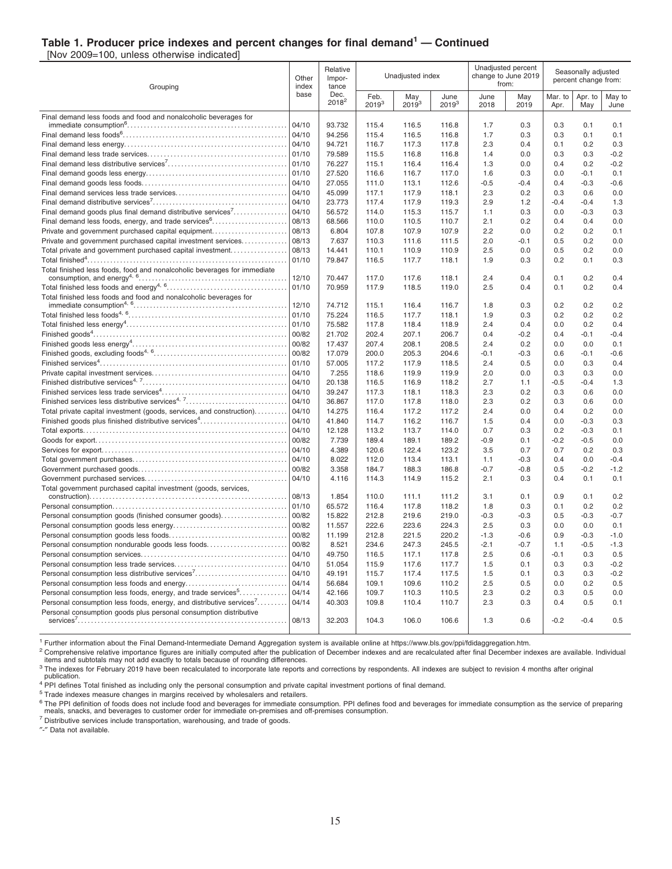#### **Table 1. Producer price indexes and percent changes for final demand<sup>1</sup> — Continued**

[Nov 2009=100, unless otherwise indicated]

| Grouping                                                                 |                | Relative<br>Impor-<br>tance |                    | Unadjusted index  |                    |               | Unadjusted percent<br>change to June 2019<br>from: | Seasonally adjusted<br>percent change from: |                  |                |
|--------------------------------------------------------------------------|----------------|-----------------------------|--------------------|-------------------|--------------------|---------------|----------------------------------------------------|---------------------------------------------|------------------|----------------|
|                                                                          | base           | Dec.<br>$2018^2$            | Feb.<br>$2019^{3}$ | May<br>$2019^{3}$ | June<br>$2019^{3}$ | June<br>2018  | May<br>2019                                        | Mar. to<br>Apr.                             | Apr. to<br>May   | May to<br>June |
| Final demand less foods and food and nonalcoholic beverages for          |                |                             |                    |                   |                    |               |                                                    |                                             |                  |                |
|                                                                          | 04/10<br>04/10 | 93.732<br>94.256            | 115.4<br>115.4     | 116.5<br>116.5    | 116.8<br>116.8     | 1.7<br>1.7    | 0.3<br>0.3                                         | 0.3<br>0.3                                  | 0.1<br>0.1       | 0.1<br>0.1     |
|                                                                          | 04/10          | 94.721                      | 116.7              | 117.3             | 117.8              | 2.3           | 0.4                                                | 0.1                                         | 0.2              | 0.3            |
|                                                                          | 01/10          | 79.589                      | 115.5              | 116.8             | 116.8              | 1.4           | 0.0                                                | 0.3                                         | 0.3              | $-0.2$         |
|                                                                          | 01/10          | 76.227                      | 115.1              | 116.4             | 116.4              | 1.3           | 0.0                                                | 0.4                                         | 0.2              | $-0.2$         |
|                                                                          | 01/10          | 27.520                      | 116.6              | 116.7             | 117.0              | 1.6           | 0.3                                                | 0.0                                         | $-0.1$           | 0.1            |
|                                                                          | 04/10          | 27.055                      | 111.0              | 113.1             | 112.6              | $-0.5$        | $-0.4$                                             | 0.4                                         | $-0.3$           | $-0.6$         |
|                                                                          | 04/10          | 45.099                      | 117.1              | 117.9             | 118.1              | 2.3           | 0.2                                                | 0.3                                         | 0.6              | 0.0            |
|                                                                          | 04/10          | 23.773                      | 117.4              | 117.9             | 119.3              | 2.9           | 1.2                                                | $-0.4$                                      | $-0.4$           | 1.3            |
| Final demand goods plus final demand distributive services <sup>7</sup>  | 04/10          | 56.572                      | 114.0              | 115.3             | 115.7              | 1.1           | 0.3                                                | 0.0                                         | $-0.3$           | 0.3            |
| Final demand less foods, energy, and trade services <sup>6</sup>         | 08/13          | 68.566                      | 110.0              | 110.5             | 110.7              | 2.1           | 0.2                                                | 0.4                                         | 0.4              | 0.0            |
| Private and government purchased capital equipment                       | 08/13          | 6.804                       | 107.8              | 107.9             | 107.9              | 2.2           | 0.0                                                | 0.2                                         | 0.2              | 0.1            |
| Private and government purchased capital investment services             | 08/13          | 7.637                       | 110.3              | 111.6             | 111.5              | 2.0           | $-0.1$                                             | 0.5                                         | 0.2              | 0.0            |
| Total private and government purchased capital investment                | 08/13          | 14.441                      | 110.1              | 110.9             | 110.9              | 2.5           | 0.0                                                | 0.5                                         | 0.2              | 0.0            |
|                                                                          | 01/10          | 79.847                      | 116.5              | 117.7             | 118.1              | 1.9           | 0.3                                                | 0.2                                         | 0.1              | 0.3            |
| Total finished less foods, food and nonalcoholic beverages for immediate | 12/10          | 70.447                      | 117.0              | 117.6             | 118.1              | 2.4           | 0.4                                                | 0.1                                         | 0.2              | 0.4            |
|                                                                          | 01/10          | 70.959                      | 117.9              | 118.5             | 119.0              | 2.5           | 0.4                                                | 0.1                                         | 0.2              | 0.4            |
| Total finished less foods and food and nonalcoholic beverages for        |                |                             |                    |                   |                    |               |                                                    |                                             |                  |                |
|                                                                          | 12/10          | 74.712                      | 115.1              | 116.4             | 116.7              | 1.8           | 0.3                                                | 0.2                                         | 0.2              | 0.2            |
|                                                                          | 01/10          | 75.224                      | 116.5              | 117.7             | 118.1              | 1.9           | 0.3                                                | 0.2                                         | 0.2              | 0.2            |
|                                                                          | 01/10          | 75.582                      | 117.8              | 118.4             | 118.9              | 2.4           | 0.4                                                | 0.0                                         | 0.2              | 0.4            |
|                                                                          | 00/82          | 21.702                      | 202.4              | 207.1             | 206.7              | 0.4           | $-0.2$                                             | 0.4                                         | $-0.1$           | $-0.4$         |
|                                                                          | 00/82          | 17.437                      | 207.4              | 208.1             | 208.5              | 2.4           | 0.2                                                | 0.0                                         | 0.0              | 0.1            |
|                                                                          | 00/82          | 17.079                      | 200.0              | 205.3             | 204.6              | $-0.1$        | $-0.3$                                             | 0.6                                         | $-0.1$           | $-0.6$         |
|                                                                          | 01/10          | 57.005                      | 117.2              | 117.9             | 118.5              | 2.4           | 0.5                                                | 0.0                                         | 0.3              | 0.4            |
|                                                                          | 04/10          | 7.255                       | 118.6              | 119.9             | 119.9              | 2.0           | 0.0                                                | 0.3                                         | 0.3              | 0.0            |
|                                                                          | 04/10          | 20.138                      | 116.5              | 116.9             | 118.2              | 2.7           | 1.1                                                | $-0.5$                                      | $-0.4$           | 1.3            |
|                                                                          | 04/10          | 39.247                      | 117.3              | 118.1             | 118.3              | 2.3           | 0.2                                                | 0.3                                         | 0.6              | 0.0            |
| Finished services less distributive services <sup>4, 7</sup>             | 04/10          | 36.867                      | 117.0              | 117.8             | 118.0              | 2.3           | 0.2                                                | 0.3                                         | 0.6              | 0.0            |
| Total private capital investment (goods, services, and construction)     | 04/10<br>04/10 | 14.275                      | 116.4              | 117.2             | 117.2              | 2.4           | 0.0                                                | 0.4                                         | 0.2              | 0.0            |
| Finished goods plus finished distributive services <sup>4</sup>          | 04/10          | 41.840<br>12.128            | 114.7<br>113.2     | 116.2<br>113.7    | 116.7<br>114.0     | 1.5<br>0.7    | 0.4<br>0.3                                         | 0.0<br>0.2                                  | $-0.3$<br>$-0.3$ | 0.3<br>0.1     |
|                                                                          | 00/82          | 7.739                       | 189.4              | 189.1             | 189.2              | $-0.9$        | 0.1                                                | $-0.2$                                      | $-0.5$           | 0.0            |
|                                                                          | 04/10          | 4.389                       | 120.6              | 122.4             | 123.2              | 3.5           | 0.7                                                | 0.7                                         | 0.2              | 0.3            |
|                                                                          | 04/10          | 8.022                       | 112.0              | 113.4             | 113.1              | 1.1           | $-0.3$                                             | 0.4                                         | 0.0              | $-0.4$         |
|                                                                          | 00/82          | 3.358                       | 184.7              | 188.3             | 186.8              | $-0.7$        | $-0.8$                                             | 0.5                                         | $-0.2$           | $-1.2$         |
|                                                                          | 04/10          | 4.116                       | 114.3              | 114.9             | 115.2              | 2.1           | 0.3                                                | 0.4                                         | 0.1              | 0.1            |
| Total government purchased capital investment (goods, services,          |                |                             |                    |                   |                    |               |                                                    |                                             |                  |                |
|                                                                          | 08/13          | 1.854                       | 110.0              | 111.1             | 111.2              | 3.1           | 0.1                                                | 0.9                                         | 0.1              | 0.2            |
|                                                                          | 01/10          | 65.572                      | 116.4              | 117.8             | 118.2              | 1.8           | 0.3                                                | 0.1                                         | 0.2              | 0.2            |
| Personal consumption goods (finished consumer goods)                     | 00/82          | 15.822                      | 212.8              | 219.6             | 219.0              | $-0.3$        | $-0.3$                                             | 0.5                                         | $-0.3$           | $-0.7$         |
|                                                                          | 00/82          | 11.557                      | 222.6              | 223.6             | 224.3              | 2.5           | 0.3                                                | 0.0                                         | 0.0              | 0.1            |
|                                                                          | 00/82          | 11.199                      | 212.8              | 221.5             | 220.2              | $-1.3$        | $-0.6$                                             | 0.9                                         | $-0.3$           | $-1.0$         |
| Personal consumption nondurable goods less foods                         | 00/82<br>04/10 | 8.521<br>49.750             | 234.6              | 247.3<br>117.1    | 245.5              | $-2.1$<br>2.5 | $-0.7$<br>0.6                                      | 1.1                                         | $-0.5$           | $-1.3$<br>0.5  |
|                                                                          | 04/10          | 51.054                      | 116.5<br>115.9     | 117.6             | 117.8<br>117.7     | 1.5           | 0.1                                                | $-0.1$<br>0.3                               | 0.3<br>0.3       | $-0.2$         |
| Personal consumption less distributive services <sup>7</sup>             | 04/10          | 49.191                      | 115.7              | 117.4             | 117.5              | 1.5           | 0.1                                                | 0.3                                         | 0.3              | $-0.2$         |
|                                                                          | 04/14          | 56.684                      | 109.1              | 109.6             | 110.2              | 2.5           | 0.5                                                | 0.0                                         | 0.2              | 0.5            |
| Personal consumption less foods, energy, and trade services <sup>5</sup> | 04/14          | 42.166                      | 109.7              | 110.3             | 110.5              | 2.3           | 0.2                                                | 0.3                                         | 0.5              | 0.0            |
| Personal consumption less foods, energy, and distributive services'      | 04/14          | 40.303                      | 109.8              | 110.4             | 110.7              | 2.3           | 0.3                                                | 0.4                                         | 0.5              | 0.1            |
| Personal consumption goods plus personal consumption distributive        | 08/13          | 32.203                      | 104.3              | 106.0             | 106.6              | 1.3           | 0.6                                                | $-0.2$                                      | $-0.4$           | 0.5            |
|                                                                          |                |                             |                    |                   |                    |               |                                                    |                                             |                  |                |

<sup>1</sup> Further information about the Final Demand-Intermediate Demand Aggregation system is available online at https://www.bls.gov/ppi/fdidaggregation.htm.

<sup>2</sup> Comprehensive relative importance figures are initially computed after the publication of December indexes and are recalculated after final December indexes are available. Individual items and subtotals may not add exactly to totals because of rounding differences.

<sup>3</sup> The indexes for February 2019 have been recalculated to incorporate late reports and corrections by respondents. All indexes are subject to revision 4 months after original

publication. <sup>4</sup> PPI defines Total finished as including only the personal consumption and private capital investment portions of final demand.

<sup>5</sup> Trade indexes measure changes in margins received by wholesalers and retailers.

<sup>6</sup> The PPI definition of foods does not include food and beverages for immediate consumption. PPI defines food and beverages for immediate consumption as the service of preparing<br>meals, snacks, and beverages to customer o

<sup>7</sup> Distributive services include transportation, warehousing, and trade of goods.

″-″ Data not available.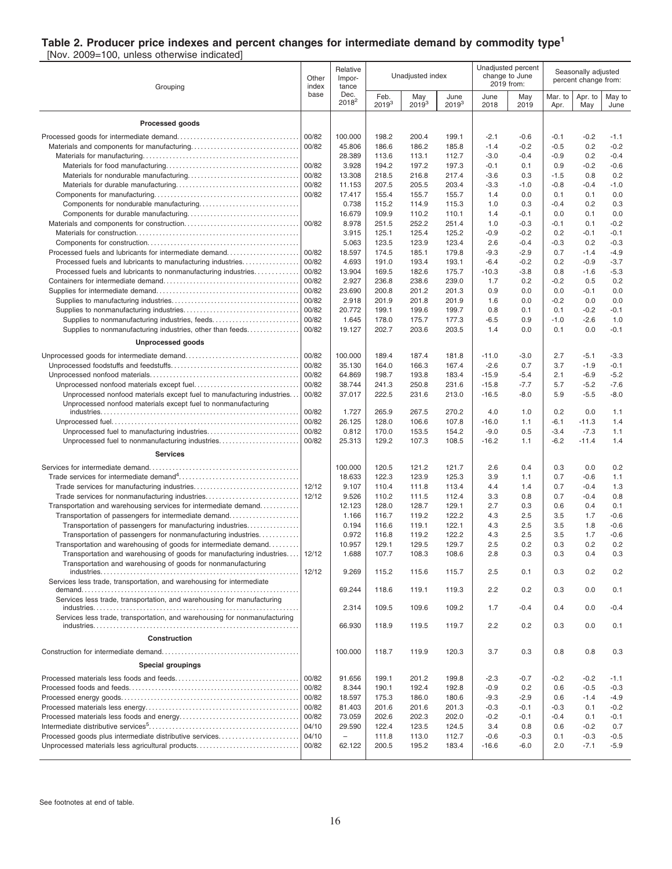#### **Table 2. Producer price indexes and percent changes for intermediate demand by commodity type<sup>1</sup>**

[Nov. 2009=100, unless otherwise indicated]

| Grouping                                                                  | Other<br>index | Relative<br>Impor-<br>tance | Unadjusted index   |                   | Unadjusted percent<br>change to June<br>2019 from: |                   | Seasonally adjusted<br>percent change from: |                  |                  |                |
|---------------------------------------------------------------------------|----------------|-----------------------------|--------------------|-------------------|----------------------------------------------------|-------------------|---------------------------------------------|------------------|------------------|----------------|
|                                                                           | base           | Dec.<br>$2018^2$            | Feb.<br>$2019^{3}$ | May<br>$2019^{3}$ | June<br>$2019^{3}$                                 | June<br>2018      | May<br>2019                                 | Mar. to<br>Apr.  | Apr. to<br>May   | May to<br>June |
| Processed goods                                                           |                |                             |                    |                   |                                                    |                   |                                             |                  |                  |                |
|                                                                           | 00/82          | 100.000                     | 198.2              | 200.4             | 199.1                                              | $-2.1$            | $-0.6$                                      | $-0.1$           | $-0.2$           | -1.1           |
|                                                                           | 00/82          | 45.806                      | 186.6              | 186.2             | 185.8                                              | $-1.4$            | $-0.2$                                      | $-0.5$           | 0.2              | $-0.2$         |
|                                                                           |                | 28.389                      | 113.6              | 113.1             | 112.7                                              | $-3.0$            | $-0.4$                                      | $-0.9$           | 0.2              | $-0.4$         |
|                                                                           | 00/82          | 3.928                       | 194.2              | 197.2             | 197.3                                              | $-0.1$            | 0.1                                         | 0.9              | $-0.2$           | $-0.6$         |
|                                                                           | 00/82          | 13.308                      | 218.5              | 216.8             | 217.4                                              | $-3.6$            | 0.3                                         | $-1.5$           | 0.8              | 0.2            |
|                                                                           | 00/82          | 11.153                      | 207.5              | 205.5             | 203.4                                              | $-3.3$            | $-1.0$                                      | $-0.8$           | $-0.4$           | $-1.0$         |
|                                                                           | 00/82          | 17.417                      | 155.4              | 155.7             | 155.7                                              | 1.4               | 0.0                                         | 0.1              | 0.1              | 0.0            |
|                                                                           |                | 0.738                       | 115.2              | 114.9             | 115.3                                              | 1.0               | 0.3                                         | $-0.4$           | 0.2              | 0.3            |
|                                                                           |                | 16.679                      | 109.9              | 110.2             | 110.1                                              | 1.4               | $-0.1$                                      | 0.0              | 0.1              | 0.0            |
|                                                                           | 00/82          | 8.978                       | 251.5              | 252.2             | 251.4                                              | 1.0               | $-0.3$                                      | $-0.1$           | 0.1              | $-0.2$         |
|                                                                           |                | 3.915                       | 125.1              | 125.4             | 125.2                                              | $-0.9$            | $-0.2$                                      | 0.2              | $-0.1$           | $-0.1$         |
|                                                                           |                | 5.063                       | 123.5              | 123.9             | 123.4                                              | 2.6               | $-0.4$                                      | $-0.3$           | 0.2              | $-0.3$         |
| Processed fuels and lubricants for intermediate demand                    | 00/82          | 18.597                      | 174.5              | 185.1             | 179.8                                              | $-9.3$            | $-2.9$                                      | 0.7              | $-1.4$           | $-4.9$         |
| Processed fuels and lubricants to manufacturing industries                | 00/82          | 4.693<br>13.904             | 191.0              | 193.4             | 193.1<br>175.7                                     | $-6.4$<br>$-10.3$ | $-0.2$<br>$-3.8$                            | 0.2              | $-0.9$<br>$-1.6$ | $-3.7$         |
| Processed fuels and lubricants to nonmanufacturing industries.            | 00/82<br>00/82 | 2.927                       | 169.5<br>236.8     | 182.6<br>238.6    | 239.0                                              | 1.7               | 0.2                                         | 0.8<br>$-0.2$    | 0.5              | -5.3<br>0.2    |
|                                                                           | 00/82          | 23.690                      | 200.8              | 201.2             | 201.3                                              | 0.9               | 0.0                                         | 0.0              | $-0.1$           | 0.0            |
|                                                                           | 00/82          | 2.918                       | 201.9              | 201.8             | 201.9                                              | 1.6               | 0.0                                         | $-0.2$           | 0.0              | 0.0            |
|                                                                           | 00/82          | 20.772                      | 199.1              | 199.6             | 199.7                                              | 0.8               | 0.1                                         | 0.1              | $-0.2$           | $-0.1$         |
| Supplies to nonmanufacturing industries, feeds                            | 00/82          | 1.645                       | 178.0              | 175.7             | 177.3                                              | $-6.5$            | 0.9                                         | $-1.0$           | $-2.6$           | 1.0            |
| Supplies to nonmanufacturing industries, other than feeds                 | 00/82          | 19.127                      | 202.7              | 203.6             | 203.5                                              | 1.4               | 0.0                                         | 0.1              | 0.0              | $-0.1$         |
| <b>Unprocessed goods</b>                                                  |                |                             |                    |                   |                                                    |                   |                                             |                  |                  |                |
|                                                                           | 00/82          | 100.000                     | 189.4              | 187.4             | 181.8                                              | $-11.0$           | $-3.0$                                      | 2.7              | $-5.1$           | $-3.3$         |
|                                                                           | 00/82          | 35.130                      | 164.0              | 166.3             | 167.4                                              | $-2.6$            | 0.7                                         | 3.7              | $-1.9$           | $-0.1$         |
|                                                                           | 00/82          | 64.869                      | 198.7              | 193.8             | 183.4                                              | $-15.9$           | $-5.4$                                      | 2.1              | $-6.9$           | $-5.2$         |
|                                                                           | 00/82          | 38.744                      | 241.3              | 250.8             | 231.6                                              | $-15.8$           | $-7.7$                                      | 5.7              | $-5.2$           | $-7.6$         |
| Unprocessed nonfood materials except fuel to manufacturing industries     | 00/82          | 37.017                      | 222.5              | 231.6             | 213.0                                              | $-16.5$           | $-8.0$                                      | 5.9              | $-5.5$           | $-8.0$         |
| Unprocessed nonfood materials except fuel to nonmanufacturing             |                |                             |                    |                   |                                                    |                   |                                             |                  |                  |                |
|                                                                           | 00/82          | 1.727                       | 265.9              | 267.5             | 270.2                                              | 4.0               | 1.0                                         | 0.2              | 0.0              | 1.1            |
|                                                                           | 00/82          | 26.125                      | 128.0              | 106.6             | 107.8                                              | $-16.0$           | 1.1                                         | $-6.1$           | $-11.3$          | 1.4            |
|                                                                           | 00/82          | 0.812                       | 170.0              | 153.5             | 154.2                                              | $-9.0$            | 0.5                                         | $-3.4$<br>$-6.2$ | $-7.3$           | 1.1            |
| Unprocessed fuel to nonmanufacturing industries<br><b>Services</b>        | 00/82          | 25.313                      | 129.2              | 107.3             | 108.5                                              | $-16.2$           | 1.1                                         |                  | $-11.4$          | 1.4            |
|                                                                           |                | 100.000                     | 120.5              | 121.2             | 121.7                                              | 2.6               | 0.4                                         | 0.3              | 0.0              | 0.2            |
|                                                                           |                | 18.633                      | 122.3              | 123.9             | 125.3                                              | 3.9               | 1.1                                         | 0.7              | $-0.6$           | 1.1            |
|                                                                           | 12/12          | 9.107                       | 110.4              | 111.8             | 113.4                                              | 4.4               | 1.4                                         | 0.7              | $-0.4$           | 1.3            |
| Trade services for nonmanufacturing industries                            | 12/12          | 9.526                       | 110.2              | 111.5             | 112.4                                              | 3.3               | 0.8                                         | 0.7              | $-0.4$           | 0.8            |
| Transportation and warehousing services for intermediate demand           |                | 12.123                      | 128.0              | 128.7             | 129.1                                              | 2.7               | 0.3                                         | 0.6              | 0.4              | 0.1            |
| Transportation of passengers for intermediate demand                      |                | 1.166                       | 116.7              | 119.2             | 122.2                                              | 4.3               | 2.5                                         | 3.5              | 1.7              | $-0.6$         |
| Transportation of passengers for manufacturing industries                 |                | 0.194                       | 116.6              | 119.1             | 122.1                                              | 4.3               | 2.5                                         | 3.5              | 1.8              | $-0.6$         |
| Transportation of passengers for nonmanufacturing industries              |                | 0.972                       | 116.8              | 119.2             | 122.2                                              | 4.3               | 2.5                                         | 3.5              | 1.7              | $-0.6$         |
| Transportation and warehousing of goods for intermediate demand           |                | 10.957                      | 129.1              | 129.5             | 129.7                                              | 2.5               | 0.2                                         | 0.3              | 0.2              | 0.2            |
| Transportation and warehousing of goods for manufacturing industries      | 12/12          | 1.688                       | 107.7              | 108.3             | 108.6                                              | 2.8               | 0.3                                         | 0.3              | 04               | 0.3            |
| Transportation and warehousing of goods for nonmanufacturing              |                |                             |                    |                   |                                                    |                   |                                             |                  |                  |                |
|                                                                           | 12/12          | 9.269                       | 115.2              | 115.6             | 115.7                                              | 2.5               | 0.1                                         | 0.3              | 0.2              | 0.2            |
| Services less trade, transportation, and warehousing for intermediate     |                | 69.244                      | 118.6              | 119.1             | 119.3                                              | 2.2               | 0.2                                         | 0.3              | 0.0              | 0.1            |
| Services less trade, transportation, and warehousing for manufacturing    |                | 2.314                       | 109.5              | 109.6             | 109.2                                              | 1.7               | $-0.4$                                      | 0.4              | 0.0              | $-0.4$         |
| Services less trade, transportation, and warehousing for nonmanufacturing |                | 66.930                      | 118.9              | 119.5             | 119.7                                              | 2.2               | 0.2                                         | 0.3              | 0.0              | 0.1            |
| Construction                                                              |                |                             |                    |                   |                                                    |                   |                                             |                  |                  |                |
|                                                                           |                | 100.000                     | 118.7              | 119.9             | 120.3                                              | 3.7               | 0.3                                         | 0.8              | 0.8              | 0.3            |
| <b>Special groupings</b>                                                  |                |                             |                    |                   |                                                    |                   |                                             |                  |                  |                |
|                                                                           | 00/82          | 91.656                      | 199.1              | 201.2             | 199.8                                              | $-2.3$            | -0.7                                        | $-0.2$           | $-0.2$           | $-1.1$         |
|                                                                           | 00/82          | 8.344                       | 190.1              | 192.4             | 192.8                                              | $-0.9$            | 0.2                                         | 0.6              | $-0.5$           | $-0.3$         |
|                                                                           | 00/82          | 18.597                      | 175.3              | 186.0             | 180.6                                              | $-9.3$            | $-2.9$                                      | 0.6              | $-1.4$           | $-4.9$         |
|                                                                           | 00/82          | 81.403                      | 201.6              | 201.6             | 201.3                                              | $-0.3$            | $-0.1$                                      | $-0.3$           | 0.1              | $-0.2$         |
|                                                                           | 00/82          | 73.059                      | 202.6              | 202.3             | 202.0                                              | $-0.2$            | $-0.1$                                      | $-0.4$           | 0.1              | $-0.1$         |
|                                                                           | 04/10          | 29.590                      | 122.4              | 123.5             | 124.5                                              | 3.4               | 0.8                                         | 0.6              | $-0.2$           | 0.7            |
| Processed goods plus intermediate distributive services                   | 04/10          | $\overline{\phantom{0}}$    | 111.8              | 113.0             | 112.7                                              | $-0.6$            | $-0.3$                                      | 0.1              | $-0.3$           | $-0.5$         |
| Unprocessed materials less agricultural products                          | 00/82          | 62.122                      | 200.5              | 195.2             | 183.4                                              | $-16.6$           | $-6.0$                                      | 2.0              | $-7.1$           | $-5.9$         |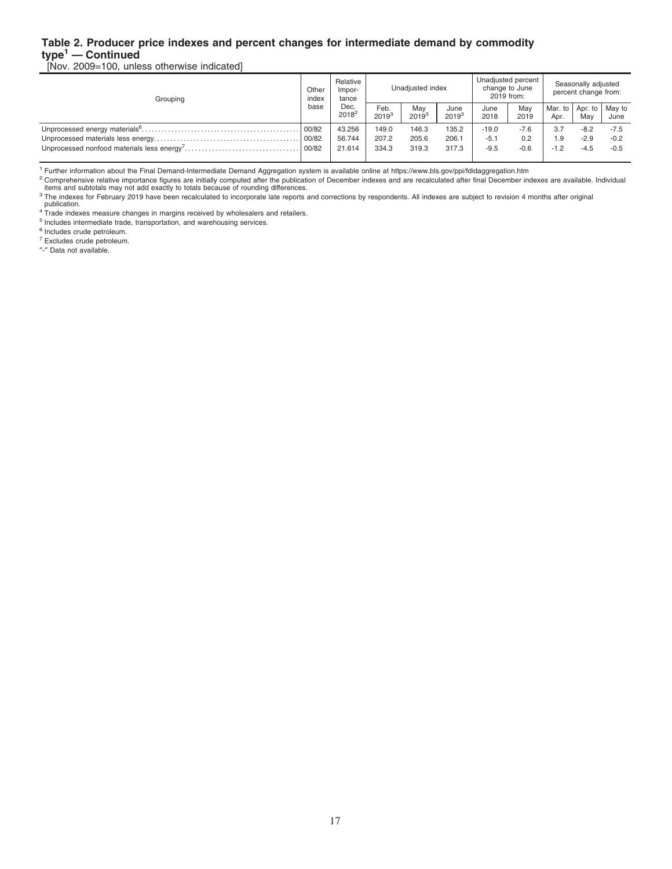#### **Table 2. Producer price indexes and percent changes for intermediate demand by commodity type<sup>1</sup> — Continued**

[Nov. 2009=100, unless otherwise indicated]

| Grouping | Other<br>index | Relative<br>Impor-<br>tance<br>Dec.<br>$2018^2$ |                    | Unadiusted index  |                    |              | Unadjusted percent<br>change to June<br>2019 from: | Seasonally adjusted<br>percent change from: |                         |        |  |
|----------|----------------|-------------------------------------------------|--------------------|-------------------|--------------------|--------------|----------------------------------------------------|---------------------------------------------|-------------------------|--------|--|
|          | base           |                                                 | Feb.<br>$2019^{3}$ | May<br>$2019^{3}$ | June<br>$2019^{3}$ | June<br>2018 | May<br>2019                                        | Mar. to I<br>Apr.                           | Apr. to   May to<br>May | June   |  |
|          | 00/82          | 43.256                                          | 149.0              | 146.3             | 135.2              | $-19.0$      | $-7.6$                                             | 3.7                                         | $-8.2$                  | $-7.5$ |  |
|          | 00/82          | 56.744                                          | 207.2              | 205.6             | 206.1              | $-5.1$       | 0.2                                                | .9                                          | $-2.9$                  | $-0.2$ |  |
|          | 00/82          | 21.614                                          | 334.3              | 319.3             | 317.3              | $-9.5$       | $-0.6$                                             | $-1.2$                                      | $-4.5$                  | $-0.5$ |  |

<sup>1</sup> Further information about the Final Demand-Intermediate Demand Aggregation system is available online at https://www.bls.gov/ppi/fdidaggregation.htm

<sup>2</sup> Comprehensive relative importance figures are initially computed after the publication of December indexes and are recalculated after final December indexes are available. Individual<br>items and subtotals may not add exa

<sup>3</sup> The indexes for February 2019 have been recalculated to incorporate late reports and corrections by respondents. All indexes are subject to revision 4 months after original

publication. <sup>4</sup> Trade indexes measure changes in margins received by wholesalers and retailers.

<sup>5</sup> Includes intermediate trade, transportation, and warehousing services.

<sup>6</sup> Includes crude petroleum.

<sup>7</sup> Excludes crude petroleum.

″-″ Data not available.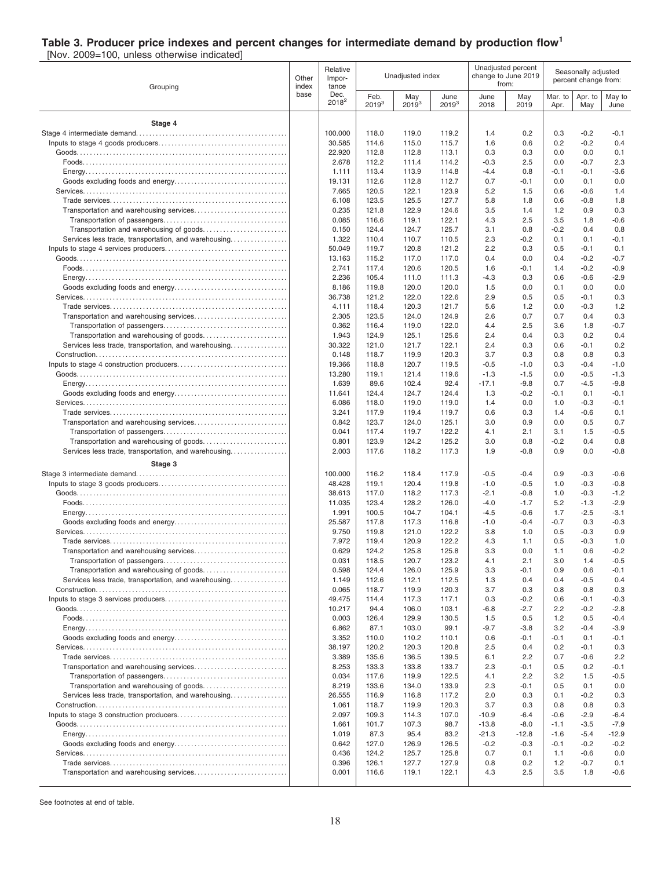#### **Table 3. Producer price indexes and percent changes for intermediate demand by production flow<sup>1</sup>**

[Nov. 2009=100, unless otherwise indicated]

| Grouping                                                                                        |               | Relative<br>Impor-<br>tance |                    | Unadjusted index  |                    |                  | Unadjusted percent<br>change to June 2019<br>from: | Seasonally adjusted<br>percent change from: |                  |                  |  |
|-------------------------------------------------------------------------------------------------|---------------|-----------------------------|--------------------|-------------------|--------------------|------------------|----------------------------------------------------|---------------------------------------------|------------------|------------------|--|
|                                                                                                 | index<br>base | Dec.<br>$2018^2$            | Feb.<br>$2019^{3}$ | May<br>$2019^{3}$ | June<br>$2019^{3}$ | June<br>2018     | May<br>2019                                        | Mar. to<br>Apr.                             | Apr. to<br>May   | May to<br>June   |  |
| Stage 4                                                                                         |               |                             |                    |                   |                    |                  |                                                    |                                             |                  |                  |  |
|                                                                                                 |               | 100.000                     | 118.0              | 119.0             | 119.2              | 1.4              | 0.2                                                | 0.3                                         | $-0.2$           | $-0.1$           |  |
|                                                                                                 |               | 30.585                      | 114.6              | 115.0             | 115.7              | 1.6              | 0.6                                                | 0.2                                         | $-0.2$           | 0.4              |  |
|                                                                                                 |               | 22.920                      | 112.8              | 112.8             | 113.1              | 0.3              | 0.3                                                | 0.0                                         | 0.0              | 0.1              |  |
|                                                                                                 |               | 2.678                       | 112.2              | 111.4             | 114.2              | $-0.3$           | 2.5                                                | 0.0                                         | $-0.7$           | 2.3              |  |
|                                                                                                 |               | 1.111<br>19.131             | 113.4<br>112.6     | 113.9<br>112.8    | 114.8<br>112.7     | $-4.4$<br>0.7    | 0.8<br>-0.1                                        | $-0.1$<br>0.0                               | $-0.1$<br>0.1    | $-3.6$<br>0.0    |  |
|                                                                                                 |               | 7.665                       | 120.5              | 122.1             | 123.9              | 5.2              | 1.5                                                | 0.6                                         | $-0.6$           | 1.4              |  |
|                                                                                                 |               | 6.108                       | 123.5              | 125.5             | 127.7              | 5.8              | 1.8                                                | 0.6                                         | $-0.8$           | 1.8              |  |
|                                                                                                 |               | 0.235                       | 121.8              | 122.9             | 124.6              | 3.5              | 1.4                                                | 1.2                                         | 0.9              | 0.3              |  |
|                                                                                                 |               | 0.085                       | 116.6              | 119.1             | 122.1              | 4.3              | 2.5                                                | 3.5                                         | 1.8              | $-0.6$           |  |
|                                                                                                 |               | 0.150<br>1.322              | 124.4<br>110.4     | 124.7<br>110.7    | 125.7<br>110.5     | 3.1<br>2.3       | 0.8<br>$-0.2$                                      | $-0.2$<br>0.1                               | 0.4<br>0.1       | 0.8<br>$-0.1$    |  |
| Services less trade, transportation, and warehousing                                            |               | 50.049                      | 119.7              | 120.8             | 121.2              | 2.2              | 0.3                                                | 0.5                                         | $-0.1$           | 0.1              |  |
|                                                                                                 |               | 13.163                      | 115.2              | 117.0             | 117.0              | 0.4              | 0.0                                                | 0.4                                         | $-0.2$           | $-0.7$           |  |
|                                                                                                 |               | 2.741                       | 117.4              | 120.6             | 120.5              | 1.6              | $-0.1$                                             | 1.4                                         | $-0.2$           | $-0.9$           |  |
|                                                                                                 |               | 2.236                       | 105.4              | 111.0             | 111.3              | $-4.3$           | 0.3                                                | 0.6                                         | $-0.6$           | $-2.9$           |  |
|                                                                                                 |               | 8.186                       | 119.8              | 120.0             | 120.0              | 1.5              | 0.0                                                | 0.1                                         | 0.0              | 0.0              |  |
|                                                                                                 |               | 36.738<br>4.111             | 121.2<br>118.4     | 122.0<br>120.3    | 122.6<br>121.7     | 2.9<br>5.6       | 0.5<br>1.2                                         | 0.5<br>0.0                                  | $-0.1$<br>$-0.3$ | 0.3<br>1.2       |  |
|                                                                                                 |               | 2.305                       | 123.5              | 124.0             | 124.9              | 2.6              | 0.7                                                | 0.7                                         | 0.4              | 0.3              |  |
|                                                                                                 |               | 0.362                       | 116.4              | 119.0             | 122.0              | 4.4              | 2.5                                                | 3.6                                         | 1.8              | $-0.7$           |  |
|                                                                                                 |               | 1.943                       | 124.9              | 125.1             | 125.6              | 2.4              | 0.4                                                | 0.3                                         | 0.2              | 0.4              |  |
| Services less trade, transportation, and warehousing                                            |               | 30.322                      | 121.0              | 121.7             | 122.1              | 2.4              | 0.3                                                | 0.6                                         | $-0.1$           | 0.2              |  |
|                                                                                                 |               | 0.148                       | 118.7              | 119.9             | 120.3              | 3.7              | 0.3                                                | 0.8                                         | 0.8              | 0.3              |  |
|                                                                                                 |               | 19.366<br>13.280            | 118.8<br>119.1     | 120.7<br>121.4    | 119.5<br>119.6     | $-0.5$<br>$-1.3$ | $-1.0$<br>$-1.5$                                   | 0.3<br>0.0                                  | $-0.4$<br>$-0.5$ | $-1.0$<br>$-1.3$ |  |
|                                                                                                 |               | 1.639                       | 89.6               | 102.4             | 92.4               | $-17.1$          | $-9.8$                                             | 0.7                                         | $-4.5$           | $-9.8$           |  |
|                                                                                                 |               | 11.641                      | 124.4              | 124.7             | 124.4              | 1.3              | $-0.2$                                             | $-0.1$                                      | 0.1              | $-0.1$           |  |
|                                                                                                 |               | 6.086                       | 118.0              | 119.0             | 119.0              | 1.4              | 0.0                                                | 1.0                                         | $-0.3$           | $-0.1$           |  |
|                                                                                                 |               | 3.241                       | 117.9              | 119.4             | 119.7              | 0.6              | 0.3                                                | 1.4                                         | $-0.6$           | 0.1              |  |
|                                                                                                 |               | 0.842                       | 123.7              | 124.0             | 125.1              | 3.0              | 0.9                                                | 0.0                                         | 0.5              | 0.7              |  |
|                                                                                                 |               | 0.041<br>0.801              | 117.4<br>123.9     | 119.7<br>124.2    | 122.2<br>125.2     | 4.1<br>3.0       | 2.1<br>0.8                                         | 3.1<br>$-0.2$                               | 1.5<br>0.4       | $-0.5$<br>0.8    |  |
| Services less trade, transportation, and warehousing                                            |               | 2.003                       | 117.6              | 118.2             | 117.3              | 1.9              | -0.8                                               | 0.9                                         | 0.0              | $-0.8$           |  |
| Stage 3                                                                                         |               |                             |                    |                   |                    |                  |                                                    |                                             |                  |                  |  |
|                                                                                                 |               | 100.000                     | 116.2              | 118.4             | 117.9              | $-0.5$           | $-0.4$                                             | 0.9                                         | $-0.3$           | $-0.6$           |  |
|                                                                                                 |               | 48.428                      | 119.1              | 120.4             | 119.8              | $-1.0$           | $-0.5$                                             | 1.0                                         | $-0.3$           | $-0.8$           |  |
|                                                                                                 |               | 38.613                      | 117.0              | 118.2             | 117.3              | $-2.1$           | $-0.8$                                             | 1.0                                         | $-0.3$           | $-1.2$           |  |
|                                                                                                 |               | 11.035<br>1.991             | 123.4<br>100.5     | 128.2<br>104.7    | 126.0<br>104.1     | $-4.0$<br>$-4.5$ | $-1.7$<br>$-0.6$                                   | 5.2<br>1.7                                  | $-1.3$<br>$-2.5$ | $-2.9$<br>$-3.1$ |  |
|                                                                                                 |               | 25.587                      | 117.8              | 117.3             | 116.8              | $-1.0$           | $-0.4$                                             | $-0.7$                                      | 0.3              | $-0.3$           |  |
|                                                                                                 |               | 9.750                       | 119.8              | 121.0             | 122.2              | 3.8              | 1.0                                                | 0.5                                         | $-0.3$           | 0.9              |  |
|                                                                                                 |               | 7.972                       | 119.4              | 120.9             | 122.2              | 4.3              | 1.1                                                | 0.5                                         | $-0.3$           | 1.0              |  |
| Transportation and warehousing services                                                         |               | 0.629                       | 124.2              | 125.8             | 125.8              | 3.3              | 0.0                                                | 1.1                                         | 0.6              | $-0.2$           |  |
|                                                                                                 |               | 0.031                       | 118.5              | 120.7             | 123.2              | 4.1              | 2.1                                                | 3.0                                         | 1.4              | $-0.5$           |  |
| Transportation and warehousing of goods<br>Services less trade, transportation, and warehousing |               | 0.598<br>1.149              | 124.4<br>112.6     | 126.0<br>112.1    | 125.9<br>112.5     | 3.3<br>1.3       | -0.1<br>0.4                                        | 0.9<br>0.4                                  | 0.6<br>$-0.5$    | $-0.1$<br>0.4    |  |
|                                                                                                 |               | 0.065                       | 118.7              | 119.9             | 120.3              | 3.7              | 0.3                                                | 0.8                                         | 0.8              | 0.3              |  |
|                                                                                                 |               | 49.475                      | 114.4              | 117.3             | 117.1              | 0.3              | -0.2                                               | 0.6                                         | -0.1             | $-0.3$           |  |
|                                                                                                 |               | 10.217                      | 94.4               | 106.0             | 103.1              | $-6.8$           | $-2.7$                                             | 2.2                                         | $-0.2$           | $-2.8$           |  |
|                                                                                                 |               | 0.003                       | 126.4              | 129.9             | 130.5              | 1.5              | 0.5                                                | 1.2                                         | 0.5              | $-0.4$           |  |
|                                                                                                 |               | 6.862                       | 87.1<br>110.0      | 103.0             | 99.1               | $-9.7$<br>0.6    | $-3.8$<br>-0.1                                     | 3.2<br>$-0.1$                               | $-0.4$<br>0.1    | $-3.9$           |  |
|                                                                                                 |               | 3.352<br>38.197             | 120.2              | 110.2<br>120.3    | 110.1<br>120.8     | 2.5              | 0.4                                                | 0.2                                         | -0.1             | $-0.1$<br>0.3    |  |
|                                                                                                 |               | 3.389                       | 135.6              | 136.5             | 139.5              | 6.1              | 2.2                                                | 0.7                                         | $-0.6$           | 2.2              |  |
|                                                                                                 |               | 8.253                       | 133.3              | 133.8             | 133.7              | 2.3              | -0.1                                               | 0.5                                         | 0.2              | $-0.1$           |  |
|                                                                                                 |               | 0.034                       | 117.6              | 119.9             | 122.5              | 4.1              | 2.2                                                | 3.2                                         | 1.5              | $-0.5$           |  |
|                                                                                                 |               | 8.219                       | 133.6              | 134.0             | 133.9              | 2.3              | -0.1                                               | 0.5                                         | 0.1              | 0.0              |  |
| Services less trade, transportation, and warehousing                                            |               | 26.555<br>1.061             | 116.9<br>118.7     | 116.8<br>119.9    | 117.2<br>120.3     | 2.0<br>3.7       | 0.3<br>0.3                                         | 0.1<br>0.8                                  | $-0.2$<br>0.8    | 0.3<br>0.3       |  |
|                                                                                                 |               | 2.097                       | 109.3              | 114.3             | 107.0              | $-10.9$          | -6.4                                               | $-0.6$                                      | $-2.9$           | $-6.4$           |  |
|                                                                                                 |               | 1.661                       | 101.7              | 107.3             | 98.7               | $-13.8$          | $-8.0$                                             | $-1.1$                                      | $-3.5$           | $-7.9$           |  |
|                                                                                                 |               | 1.019                       | 87.3               | 95.4              | 83.2               | $-21.3$          | $-12.8$                                            | $-1.6$                                      | $-5.4$           | $-12.9$          |  |
|                                                                                                 |               | 0.642                       | 127.0              | 126.9             | 126.5              | $-0.2$           | -0.3                                               | $-0.1$                                      | $-0.2$           | $-0.2$           |  |
|                                                                                                 |               | 0.436                       | 124.2              | 125.7             | 125.8              | 0.7              | 0.1                                                | 1.1                                         | $-0.6$           | 0.0              |  |
|                                                                                                 |               | 0.396<br>0.001              | 126.1<br>116.6     | 127.7<br>119.1    | 127.9<br>122.1     | 0.8<br>4.3       | 0.2<br>2.5                                         | $1.2$<br>3.5                                | $-0.7$<br>1.8    | 0.1<br>$-0.6$    |  |
|                                                                                                 |               |                             |                    |                   |                    |                  |                                                    |                                             |                  |                  |  |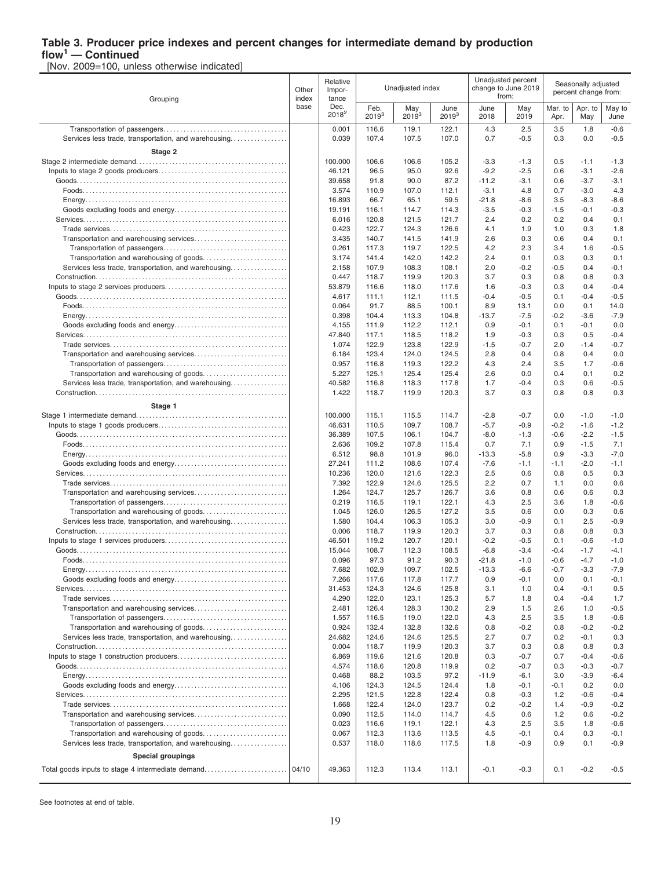# **Table 3. Producer price indexes and percent changes for intermediate demand by production**

**flow<sup>1</sup> — Continued** [Nov. 2009=100, unless otherwise indicated]

| Grouping                                             | Other<br>index | Relative<br>Impor-<br>tance |                    | Unadjusted index  |                    |                   | Unadjusted percent<br>change to June 2019<br>from: | Seasonally adjusted<br>percent change from: |                  |                  |
|------------------------------------------------------|----------------|-----------------------------|--------------------|-------------------|--------------------|-------------------|----------------------------------------------------|---------------------------------------------|------------------|------------------|
|                                                      | base           | Dec.<br>$2018^2$            | Feb.<br>$2019^{3}$ | May<br>$2019^{3}$ | June<br>$2019^{3}$ | June<br>2018      | May<br>2019                                        | Mar. to<br>Apr.                             | Apr. to<br>May   | May to<br>June   |
|                                                      |                | 0.001                       | 116.6              | 119.1             | 122.1              | 4.3               | 2.5                                                | 3.5                                         | 1.8              | $-0.6$           |
| Services less trade, transportation, and warehousing |                | 0.039                       | 107.4              | 107.5             | 107.0              | 0.7               | $-0.5$                                             | 0.3                                         | 0.0              | $-0.5$           |
| Stage 2                                              |                |                             |                    |                   |                    |                   |                                                    |                                             |                  |                  |
|                                                      |                | 100.000                     | 106.6              | 106.6             | 105.2              | $-3.3$            | $-1.3$                                             | 0.5                                         | $-1.1$           | $-1.3$           |
|                                                      |                | 46.121<br>39.658            | 96.5<br>91.8       | 95.0<br>90.0      | 92.6<br>87.2       | $-9.2$<br>$-11.2$ | $-2.5$<br>$-3.1$                                   | 0.6<br>0.6                                  | $-3.1$<br>$-3.7$ | $-2.6$<br>$-3.1$ |
|                                                      |                | 3.574                       | 110.9              | 107.0             | 112.1              | $-3.1$            | 4.8                                                | 0.7                                         | $-3.0$           | 4.3              |
|                                                      |                | 16.893                      | 66.7               | 65.1              | 59.5               | $-21.8$           | $-8.6$                                             | 3.5                                         | $-8.3$           | $-8.6$           |
|                                                      |                | 19.191                      | 116.1              | 114.7             | 114.3              | $-3.5$            | $-0.3$                                             | $-1.5$                                      | $-0.1$           | $-0.3$           |
|                                                      |                | 6.016                       | 120.8              | 121.5             | 121.7              | 2.4               | 0.2                                                | 0.2                                         | 0.4              | 0.1              |
|                                                      |                | 0.423                       | 122.7              | 124.3             | 126.6              | 4.1               | 1.9                                                | 1.0                                         | 0.3              | 1.8              |
|                                                      |                | 3.435                       | 140.7              | 141.5             | 141.9              | 2.6               | 0.3                                                | 0.6                                         | 0.4              | 0.1              |
|                                                      |                | 0.261                       | 117.3              | 119.7             | 122.5              | 4.2               | 2.3                                                | 3.4                                         | 1.6              | $-0.5$           |
| Services less trade, transportation, and warehousing |                | 3.174<br>2.158              | 141.4<br>107.9     | 142.0<br>108.3    | 142.2<br>108.1     | 2.4<br>2.0        | 0.1<br>$-0.2$                                      | 0.3<br>$-0.5$                               | 0.3<br>0.4       | 0.1<br>$-0.1$    |
|                                                      |                | 0.447                       | 118.7              | 119.9             | 120.3              | 3.7               | 0.3                                                | 0.8                                         | 0.8              | 0.3              |
|                                                      |                | 53.879                      | 116.6              | 118.0             | 117.6              | 1.6               | $-0.3$                                             | 0.3                                         | 0.4              | $-0.4$           |
|                                                      |                | 4.617                       | 111.1              | 112.1             | 111.5              | $-0.4$            | $-0.5$                                             | 0.1                                         | $-0.4$           | $-0.5$           |
|                                                      |                | 0.064                       | 91.7               | 88.5              | 100.1              | 8.9               | 13.1                                               | 0.0                                         | 0.1              | 14.0             |
|                                                      |                | 0.398                       | 104.4              | 113.3             | 104.8              | $-13.7$           | $-7.5$                                             | $-0.2$                                      | $-3.6$           | $-7.9$           |
|                                                      |                | 4.155                       | 111.9              | 112.2             | 112.1              | 0.9               | $-0.1$                                             | 0.1                                         | $-0.1$           | 0.0              |
|                                                      |                | 47.840                      | 117.1              | 118.5             | 118.2              | 1.9               | $-0.3$                                             | 0.3                                         | 0.5              | $-0.4$           |
|                                                      |                | 1.074                       | 122.9              | 123.8             | 122.9              | $-1.5$            | $-0.7$                                             | 2.0                                         | $-1.4$           | $-0.7$           |
|                                                      |                | 6.184<br>0.957              | 123.4<br>116.8     | 124.0<br>119.3    | 124.5<br>122.2     | 2.8<br>4.3        | 0.4<br>2.4                                         | 0.8<br>3.5                                  | 0.4<br>1.7       | 0.0<br>$-0.6$    |
|                                                      |                | 5.227                       | 125.1              | 125.4             | 125.4              | 2.6               | 0.0                                                | 0.4                                         | 0.1              | 0.2              |
| Services less trade, transportation, and warehousing |                | 40.582                      | 116.8              | 118.3             | 117.8              | 1.7               | $-0.4$                                             | 0.3                                         | 0.6              | $-0.5$           |
|                                                      |                | 1.422                       | 118.7              | 119.9             | 120.3              | 3.7               | 0.3                                                | 0.8                                         | 0.8              | 0.3              |
| Stage 1                                              |                |                             |                    |                   |                    |                   |                                                    |                                             |                  |                  |
|                                                      |                | 100.000                     | 115.1              | 115.5             | 114.7              | $-2.8$            | $-0.7$                                             | 0.0                                         | $-1.0$           | $-1.0$           |
|                                                      |                | 46.631                      | 110.5              | 109.7             | 108.7              | $-5.7$            | $-0.9$                                             | $-0.2$                                      | $-1.6$           | $-1.2$           |
|                                                      |                | 36.389                      | 107.5              | 106.1             | 104.7              | $-8.0$            | $-1.3$                                             | $-0.6$                                      | $-2.2$           | $-1.5$           |
|                                                      |                | 2.636                       | 109.2              | 107.8             | 115.4              | 0.7               | 7.1                                                | 0.9                                         | $-1.5$           | 7.1              |
|                                                      |                | 6.512                       | 98.8               | 101.9             | 96.0               | $-13.3$           | $-5.8$                                             | 0.9                                         | $-3.3$           | $-7.0$           |
|                                                      |                | 27.241                      | 111.2              | 108.6             | 107.4              | $-7.6$            | $-1.1$                                             | $-1.1$                                      | $-2.0$           | $-1.1$           |
|                                                      |                | 10.236                      | 120.0              | 121.6             | 122.3              | 2.5<br>2.2        | 0.6                                                | 0.8                                         | 0.5              | 0.3              |
|                                                      |                | 7.392<br>1.264              | 122.9<br>124.7     | 124.6<br>125.7    | 125.5<br>126.7     | 3.6               | 0.7<br>0.8                                         | 1.1<br>0.6                                  | 0.0<br>0.6       | 0.6<br>0.3       |
|                                                      |                | 0.219                       | 116.5              | 119.1             | 122.1              | 4.3               | 2.5                                                | 3.6                                         | 1.8              | $-0.6$           |
|                                                      |                | 1.045                       | 126.0              | 126.5             | 127.2              | 3.5               | 0.6                                                | 0.0                                         | 0.3              | 0.6              |
| Services less trade, transportation, and warehousing |                | 1.580                       | 104.4              | 106.3             | 105.3              | 3.0               | $-0.9$                                             | 0.1                                         | 2.5              | $-0.9$           |
|                                                      |                | 0.006                       | 118.7              | 119.9             | 120.3              | 3.7               | 0.3                                                | 0.8                                         | 0.8              | 0.3              |
|                                                      |                | 46.501                      | 119.2              | 120.7             | 120.1              | $-0.2$            | $-0.5$                                             | 0.1                                         | $-0.6$           | $-1.0$           |
|                                                      |                | 15.044                      | 108.7              | 112.3             | 108.5              | $-6.8$            | $-3.4$                                             | $-0.4$                                      | $-1.7$           | $-4.1$           |
|                                                      |                | 0.096                       | 97.3               | 91.2              | 90.3               | $-21.8$           | $-1.0$                                             | $-0.6$                                      | $-4.7$           | $-1.0$           |
|                                                      |                | 7.682<br>7.266              | 102.9<br>117.6     | 109.7<br>117.8    | 102.5<br>117.7     | $-13.3$<br>0.9    | $-6.6$<br>$-0.1$                                   | -0.7<br>0.0                                 | -3.3<br>0.1      | $-7.9$<br>$-0.1$ |
|                                                      |                | 31.453                      | 124.3              | 124.6             | 125.8              | 3.1               | 1.0                                                | 0.4                                         | $-0.1$           | 0.5              |
|                                                      |                | 4.290                       | 122.0              | 123.1             | 125.3              | 5.7               | 1.8                                                | 0.4                                         | $-0.4$           | 1.7              |
|                                                      |                | 2.481                       | 126.4              | 128.3             | 130.2              | 2.9               | 1.5                                                | 2.6                                         | 1.0              | $-0.5$           |
|                                                      |                | 1.557                       | 116.5              | 119.0             | 122.0              | 4.3               | 2.5                                                | 3.5                                         | 1.8              | $-0.6$           |
|                                                      |                | 0.924                       | 132.4              | 132.8             | 132.6              | 0.8               | $-0.2$                                             | 0.8                                         | $-0.2$           | $-0.2$           |
| Services less trade, transportation, and warehousing |                | 24.682                      | 124.6              | 124.6             | 125.5              | 2.7               | 0.7                                                | 0.2                                         | $-0.1$           | 0.3              |
|                                                      |                | 0.004                       | 118.7              | 119.9             | 120.3              | 3.7               | 0.3                                                | 0.8                                         | 0.8              | 0.3              |
|                                                      |                | 6.869<br>4.574              | 119.6<br>118.6     | 121.6<br>120.8    | 120.8<br>119.9     | 0.3<br>0.2        | $-0.7$<br>$-0.7$                                   | 0.7<br>0.3                                  | $-0.4$<br>$-0.3$ | $-0.6$<br>$-0.7$ |
|                                                      |                | 0.468                       | 88.2               | 103.5             | 97.2               | $-11.9$           | $-6.1$                                             | 3.0                                         | $-3.9$           | $-6.4$           |
|                                                      |                | 4.106                       | 124.3              | 124.5             | 124.4              | 1.8               | $-0.1$                                             | $-0.1$                                      | 0.2              | 0.0              |
|                                                      |                | 2.295                       | 121.5              | 122.8             | 122.4              | 0.8               | $-0.3$                                             | 1.2                                         | -0.6             | $-0.4$           |
|                                                      |                | 1.668                       | 122.4              | 124.0             | 123.7              | 0.2               | $-0.2$                                             | 1.4                                         | $-0.9$           | $-0.2$           |
|                                                      |                | 0.090                       | 112.5              | 114.0             | 114.7              | 4.5               | 0.6                                                | $1.2$                                       | 0.6              | $-0.2$           |
|                                                      |                | 0.023                       | 116.6              | 119.1             | 122.1              | 4.3               | 2.5                                                | 3.5                                         | 1.8              | $-0.6$           |
|                                                      |                | 0.067                       | 112.3              | 113.6             | 113.5              | 4.5               | -0.1                                               | 0.4                                         | 0.3              | -0.1             |
| Services less trade, transportation, and warehousing |                | 0.537                       | 118.0              | 118.6             | 117.5              | 1.8               | $-0.9$                                             | 0.9                                         | 0.1              | $-0.9$           |
| <b>Special groupings</b>                             |                |                             |                    |                   |                    |                   |                                                    |                                             |                  |                  |
|                                                      |                | 49.363                      | 112.3              | 113.4             | 113.1              | -0.1              | $-0.3$                                             | 0.1                                         | $-0.2$           | $-0.5$           |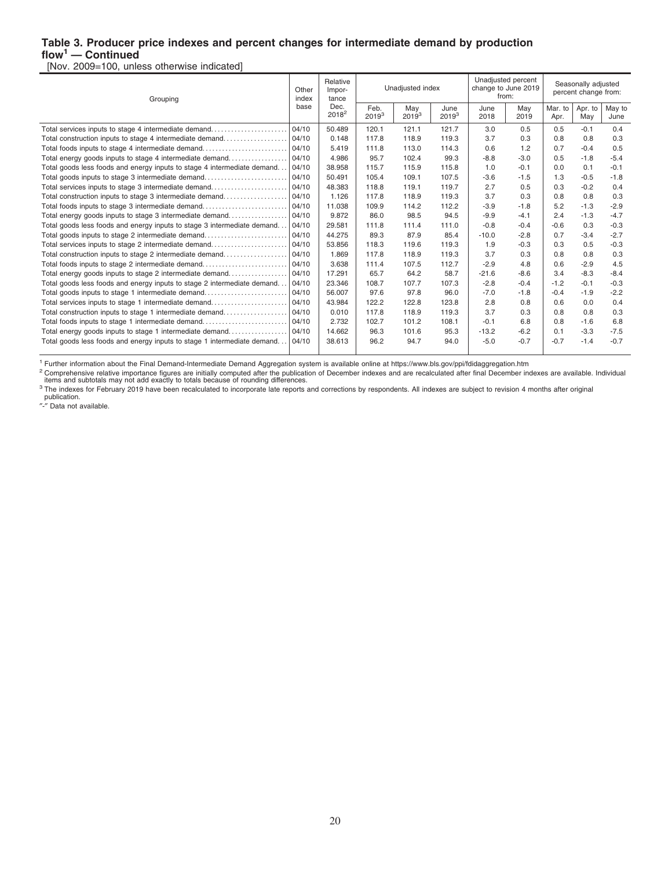#### **Table 3. Producer price indexes and percent changes for intermediate demand by production flow<sup>1</sup> — Continued**

[Nov. 2009=100, unless otherwise indicated]

| Grouping                                                                 |       | Relative<br>Impor-<br>tance |                    | Unadjusted index  |                  |              | Unadjusted percent<br>change to June 2019<br>from: | Seasonally adjusted<br>percent change from: |                |                |
|--------------------------------------------------------------------------|-------|-----------------------------|--------------------|-------------------|------------------|--------------|----------------------------------------------------|---------------------------------------------|----------------|----------------|
|                                                                          | base  | Dec.<br>$2018^2$            | Feb.<br>$2019^{3}$ | May<br>$2019^{3}$ | June<br>$2019^3$ | June<br>2018 | May<br>2019                                        | Mar. to<br>Apr.                             | Apr. to<br>May | May to<br>June |
| Total services inputs to stage 4 intermediate demand                     | 04/10 | 50.489                      | 120.1              | 121.1             | 121.7            | 3.0          | 0.5                                                | 0.5                                         | $-0.1$         | 0.4            |
| Total construction inputs to stage 4 intermediate demand                 | 04/10 | 0.148                       | 117.8              | 118.9             | 119.3            | 3.7          | 0.3                                                | 0.8                                         | 0.8            | 0.3            |
| Total foods inputs to stage 4 intermediate demand                        | 04/10 | 5.419                       | 111.8              | 113.0             | 114.3            | 0.6          | 1.2                                                | 0.7                                         | $-0.4$         | 0.5            |
| Total energy goods inputs to stage 4 intermediate demand                 | 04/10 | 4.986                       | 95.7               | 102.4             | 99.3             | $-8.8$       | $-3.0$                                             | 0.5                                         | $-1.8$         | $-5.4$         |
| Total goods less foods and energy inputs to stage 4 intermediate demand  | 04/10 | 38.958                      | 115.7              | 115.9             | 115.8            | 1.0          | $-0.1$                                             | 0.0                                         | 0.1            | $-0.1$         |
| Total goods inputs to stage 3 intermediate demand                        | 04/10 | 50.491                      | 105.4              | 109.1             | 107.5            | $-3.6$       | $-1.5$                                             | 1.3                                         | $-0.5$         | $-1.8$         |
| Total services inputs to stage 3 intermediate demand                     | 04/10 | 48.383                      | 118.8              | 119.1             | 119.7            | 2.7          | 0.5                                                | 0.3                                         | $-0.2$         | 0.4            |
| Total construction inputs to stage 3 intermediate demand                 | 04/10 | 1.126                       | 117.8              | 118.9             | 119.3            | 3.7          | 0.3                                                | 0.8                                         | 0.8            | 0.3            |
| Total foods inputs to stage 3 intermediate demand                        | 04/10 | 11.038                      | 109.9              | 114.2             | 112.2            | $-3.9$       | $-1.8$                                             | 5.2                                         | $-1.3$         | $-2.9$         |
| Total energy goods inputs to stage 3 intermediate demand                 | 04/10 | 9.872                       | 86.0               | 98.5              | 94.5             | $-9.9$       | $-4.1$                                             | 2.4                                         | $-1.3$         | $-4.7$         |
| Total goods less foods and energy inputs to stage 3 intermediate demand  | 04/10 | 29.581                      | 111.8              | 111.4             | 111.0            | $-0.8$       | $-0.4$                                             | $-0.6$                                      | 0.3            | $-0.3$         |
| Total goods inputs to stage 2 intermediate demand                        | 04/10 | 44.275                      | 89.3               | 87.9              | 85.4             | $-10.0$      | $-2.8$                                             | 0.7                                         | $-3.4$         | $-2.7$         |
| Total services inputs to stage 2 intermediate demand                     | 04/10 | 53.856                      | 118.3              | 119.6             | 119.3            | 1.9          | $-0.3$                                             | 0.3                                         | 0.5            | $-0.3$         |
| Total construction inputs to stage 2 intermediate demand                 | 04/10 | 1.869                       | 117.8              | 118.9             | 119.3            | 3.7          | 0.3                                                | 0.8                                         | 0.8            | 0.3            |
| Total foods inputs to stage 2 intermediate demand                        | 04/10 | 3.638                       | 111.4              | 107.5             | 112.7            | $-2.9$       | 4.8                                                | 0.6                                         | $-2.9$         | 4.5            |
| Total energy goods inputs to stage 2 intermediate demand                 | 04/10 | 17.291                      | 65.7               | 64.2              | 58.7             | $-21.6$      | $-8.6$                                             | 3.4                                         | $-8.3$         | $-8.4$         |
| Total goods less foods and energy inputs to stage 2 intermediate demand  | 04/10 | 23.346                      | 108.7              | 107.7             | 107.3            | $-2.8$       | $-0.4$                                             | $-1.2$                                      | $-0.1$         | $-0.3$         |
| Total goods inputs to stage 1 intermediate demand                        | 04/10 | 56.007                      | 97.6               | 97.8              | 96.0             | $-7.0$       | $-1.8$                                             | $-0.4$                                      | $-1.9$         | $-2.2$         |
| Total services inputs to stage 1 intermediate demand                     | 04/10 | 43.984                      | 122.2              | 122.8             | 123.8            | 2.8          | 0.8                                                | 0.6                                         | 0.0            | 0.4            |
| Total construction inputs to stage 1 intermediate demand                 | 04/10 | 0.010                       | 117.8              | 118.9             | 119.3            | 3.7          | 0.3                                                | 0.8                                         | 0.8            | 0.3            |
| Total foods inputs to stage 1 intermediate demand                        | 04/10 | 2.732                       | 102.7              | 101.2             | 108.1            | $-0.1$       | 6.8                                                | 0.8                                         | $-1.6$         | 6.8            |
| Total energy goods inputs to stage 1 intermediate demand                 | 04/10 | 14.662                      | 96.3               | 101.6             | 95.3             | $-13.2$      | $-6.2$                                             | 0.1                                         | $-3.3$         | $-7.5$         |
| Total goods less foods and energy inputs to stage 1 intermediate demand. | 04/10 | 38.613                      | 96.2               | 94.7              | 94.0             | $-5.0$       | $-0.7$                                             | $-0.7$                                      | $-1.4$         | $-0.7$         |
|                                                                          |       |                             |                    |                   |                  |              |                                                    |                                             |                |                |

<sup>1</sup> Further information about the Final Demand-Intermediate Demand Aggregation system is available online at https://www.bls.gov/ppi/fdidaggregation.htm

<sup>2</sup> Comprehensive relative importance figures are initially computed after the publication of December indexes and are recalculated after final December indexes are available. Individual<br>items and subtotals may not add exa

publication. ″-″ Data not available.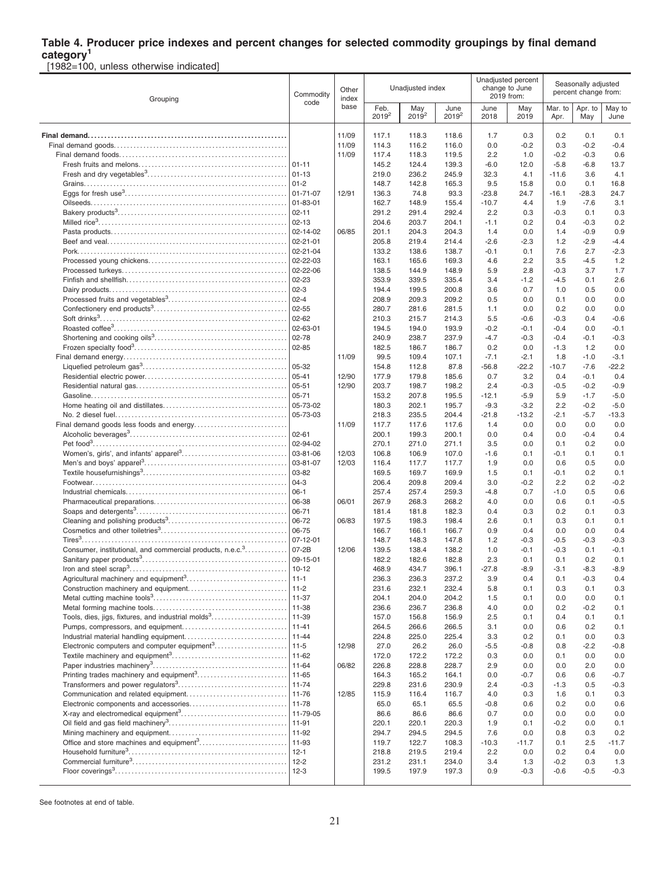# **Table 4. Producer price indexes and percent changes for selected commodity groupings by final demand**

**category<sup>1</sup>** [1982=100, unless otherwise indicated]

| Grouping                                                              | Commodity<br>code     | Other<br>index | Unadjusted index |                 |                  |               | Unadjusted percent<br>change to June<br>2019 from: | Seasonally adjusted<br>percent change from: |                  |                |  |
|-----------------------------------------------------------------------|-----------------------|----------------|------------------|-----------------|------------------|---------------|----------------------------------------------------|---------------------------------------------|------------------|----------------|--|
|                                                                       |                       | base           | Feb.<br>$2019^2$ | May<br>$2019^2$ | June<br>$2019^2$ | June<br>2018  | May<br>2019                                        | Mar. to<br>Apr.                             | Apr. to<br>May   | May to<br>June |  |
|                                                                       |                       | 11/09          | 117.1            | 118.3           | 118.6            | 1.7           | 0.3                                                | 0.2                                         | 0.1              | 0.1            |  |
|                                                                       |                       | 11/09          | 114.3            | 116.2           | 116.0            | 0.0           | $-0.2$                                             | 0.3                                         | $-0.2$           | $-0.4$         |  |
|                                                                       |                       | 11/09          | 117.4            | 118.3           | 119.5            | 2.2           | 1.0                                                | $-0.2$                                      | $-0.3$           | 0.6            |  |
|                                                                       |                       |                | 145.2            | 124.4           | 139.3            | $-6.0$        | 12.0                                               | $-5.8$                                      | $-6.8$           | 13.7           |  |
|                                                                       | $ 01-13$              |                | 219.0            | 236.2           | 245.9            | 32.3          | 4.1                                                | $-11.6$                                     | 3.6              | 4.1            |  |
|                                                                       | $ 01-2 $              |                | 148.7            | 142.8           | 165.3            | 9.5           | 15.8                                               | 0.0                                         | 0.1              | 16.8           |  |
|                                                                       | 01-71-07              | 12/91          | 136.3            | 74.8            | 93.3             | $-23.8$       | 24.7                                               | $-16.1$                                     | $-28.3$          | 24.7           |  |
|                                                                       | 01-83-01              |                | 162.7            | 148.9           | 155.4            | $-10.7$       | 4.4                                                | 1.9                                         | $-7.6$           | 3.1            |  |
|                                                                       | $02 - 11$             |                | 291.2            | 291.4           | 292.4            | 2.2           | 0.3                                                | $-0.3$                                      | 0.1              | 0.3            |  |
|                                                                       | $02 - 13$<br>02-14-02 |                | 204.6            | 203.7           | 204.1            | $-1.1$        | 0.2                                                | 0.4                                         | $-0.3$           | 0.2            |  |
|                                                                       | 02-21-01              | 06/85          | 201.1<br>205.8   | 204.3<br>219.4  | 204.3<br>214.4   | 1.4<br>$-2.6$ | 0.0<br>$-2.3$                                      | 1.4<br>1.2                                  | $-0.9$<br>$-2.9$ | 0.9<br>$-4.4$  |  |
|                                                                       | $02 - 21 - 04$        |                | 133.2            | 138.6           | 138.7            | $-0.1$        | 0.1                                                | 7.6                                         | 2.7              | $-2.3$         |  |
|                                                                       | 02-22-03              |                | 163.1            | 165.6           | 169.3            | 4.6           | 2.2                                                | 3.5                                         | -4.5             | 1.2            |  |
|                                                                       | 02-22-06              |                | 138.5            | 144.9           | 148.9            | 5.9           | 2.8                                                | $-0.3$                                      | 3.7              | 1.7            |  |
|                                                                       | 02-23                 |                | 353.9            | 339.5           | 335.4            | 3.4           | $-1.2$                                             | $-4.5$                                      | 0.1              | 2.6            |  |
|                                                                       | $02-3$                |                | 194.4            | 199.5           | 200.8            | 3.6           | 0.7                                                | 1.0                                         | 0.5              | 0.0            |  |
|                                                                       | $02 - 4$              |                | 208.9            | 209.3           | 209.2            | 0.5           | 0.0                                                | 0.1                                         | 0.0              | 0.0            |  |
|                                                                       | 02-55                 |                | 280.7            | 281.6           | 281.5            | 1.1           | 0.0                                                | 0.2                                         | 0.0              | 0.0            |  |
|                                                                       | $02 - 62$             |                | 210.3            | 215.7           | 214.3            | 5.5           | $-0.6$                                             | $-0.3$                                      | 0.4              | $-0.6$         |  |
|                                                                       | 02-63-01              |                | 194.5            | 194.0           | 193.9            | $-0.2$        | $-0.1$                                             | $-0.4$                                      | 0.0              | $-0.1$         |  |
|                                                                       | 02-78                 |                | 240.9            | 238.7           | 237.9            | $-4.7$        | $-0.3$                                             | $-0.4$                                      | -0.1             | $-0.3$         |  |
|                                                                       | $02 - 85$             |                | 182.5            | 186.7           | 186.7            | 0.2           | 0.0                                                | $-1.3$                                      | 1.2              | 0.0            |  |
|                                                                       |                       | 11/09          | 99.5             | 109.4           | 107.1            | $-7.1$        | $-2.1$                                             | 1.8                                         | $-1.0$           | $-3.1$         |  |
|                                                                       | 05-32<br>05-41        |                | 154.8            | 112.8           | 87.8             | $-56.8$       | $-22.2$                                            | $-10.7$                                     | $-7.6$           | $-22.2$        |  |
|                                                                       | 05-51                 | 12/90<br>12/90 | 177.9<br>203.7   | 179.8<br>198.7  | 185.6<br>198.2   | 0.7<br>2.4    | 3.2<br>$-0.3$                                      | 0.4<br>$-0.5$                               | $-0.1$<br>$-0.2$ | 0.4<br>$-0.9$  |  |
|                                                                       | $05 - 71$             |                | 153.2            | 207.8           | 195.5            | $-12.1$       | $-5.9$                                             | 5.9                                         | $-1.7$           | $-5.0$         |  |
|                                                                       | 05-73-02              |                | 180.3            | 202.1           | 195.7            | $-9.3$        | $-3.2$                                             | 2.2                                         | $-0.2$           | $-5.0$         |  |
|                                                                       | 05-73-03              |                | 218.3            | 235.5           | 204.4            | $-21.8$       | $-13.2$                                            | $-2.1$                                      | $-5.7$           | $-13.3$        |  |
|                                                                       |                       | 11/09          | 117.7            | 117.6           | 117.6            | 1.4           | 0.0                                                | 0.0                                         | 0.0              | 0.0            |  |
|                                                                       | $02 - 61$             |                | 200.1            | 199.3           | 200.1            | 0.0           | 0.4                                                | 0.0                                         | $-0.4$           | 0.4            |  |
|                                                                       | 02-94-02              |                | 270.1            | 271.0           | 271.1            | 3.5           | 0.0                                                | 0.1                                         | 0.2              | 0.0            |  |
|                                                                       | 03-81-06              | 12/03          | 106.8            | 106.9           | 107.0            | $-1.6$        | 0.1                                                | $-0.1$                                      | 0.1              | 0.1            |  |
|                                                                       | 03-81-07              | 12/03          | 116.4            | 117.7           | 117.7            | 1.9           | 0.0                                                | 0.6                                         | 0.5              | 0.0            |  |
|                                                                       | 03-82                 |                | 169.5            | 169.7           | 169.9            | 1.5           | 0.1                                                | $-0.1$                                      | 0.2              | 0.1            |  |
|                                                                       | $04-3$                |                | 206.4            | 209.8           | 209.4            | 3.0           | $-0.2$                                             | 2.2                                         | 0.2              | $-0.2$         |  |
|                                                                       | $06-1$                |                | 257.4            | 257.4           | 259.3            | $-4.8$        | 0.7                                                | $-1.0$                                      | 0.5              | 0.6            |  |
|                                                                       | 06-38                 | 06/01          | 267.9            | 268.3           | 268.2            | 4.0           | 0.0                                                | 0.6                                         | 0.1              | $-0.5$         |  |
|                                                                       | 06-71                 |                | 181.4            | 181.8           | 182.3            | 0.4           | 0.3                                                | 0.2                                         | 0.1              | 0.3            |  |
|                                                                       | 06-72<br>06-75        | 06/83          | 197.5<br>166.7   | 198.3<br>166.1  | 198.4<br>166.7   | 2.6<br>0.9    | 0.1<br>0.4                                         | 0.3<br>0.0                                  | 0.1<br>0.0       | 0.1<br>0.4     |  |
|                                                                       | 07-12-01              |                | 148.7            | 148.3           | 147.8            | 1.2           | $-0.3$                                             | $-0.5$                                      | $-0.3$           | $-0.3$         |  |
| Consumer, institutional, and commercial products, n.e.c. <sup>3</sup> | $07 - 2B$             | 12/06          | 139.5            | 138.4           | 138.2            | 1.0           | $-0.1$                                             | $-0.3$                                      | 0.1              | $-0.1$         |  |
|                                                                       | 09-15-01              |                | 182.2            | 182.6           | 182.8            | 2.3           | 0.1                                                | 0.1                                         | 0.2              | 0.1            |  |
|                                                                       |                       |                | 468.9            | 434.7           | 396.1            | $-27.8$       | $-8.9$                                             | $-3.1$                                      | $-8.3$           | $-8.9$         |  |
|                                                                       |                       |                | 236.3            | 236.3           | 237.2            | 3.9           | 0.4                                                | 0.1                                         | $-0.3$           | 0.4            |  |
|                                                                       | $11-2$                |                | 231.6            | 232.1           | 232.4            | 5.8           | 0.1                                                | 0.3                                         | 0.1              | 0.3            |  |
|                                                                       | 11-37                 |                | 204.1            | 204.0           | 204.2            | 1.5           | 0.1                                                | 0.0                                         | 0.0              | 0.1            |  |
|                                                                       | 11-38                 |                | 236.6            | 236.7           | 236.8            | 4.0           | 0.0                                                | 0.2                                         | -0.2             | 0.1            |  |
| Tools, dies, jigs, fixtures, and industrial molds <sup>3</sup>        | 11-39                 |                | 157.0            | 156.8           | 156.9            | 2.5           | 0.1                                                | 0.4                                         | 0.1              | 0.1            |  |
|                                                                       | $ 11 - 41$            |                | 264.5            | 266.6           | 266.5            | 3.1           | 0.0                                                | 0.6                                         | 0.2              | 0.1            |  |
|                                                                       | $ 11 - 44$            |                | 224.8            | 225.0           | 225.4            | 3.3           | 0.2                                                | 0.1                                         | 0.0              | 0.3            |  |
| Electronic computers and computer equipment <sup>3</sup>              | $11-5$                | 12/98          | 27.0             | 26.2            | 26.0             | $-5.5$        | -0.8                                               | 0.8                                         | -2.2             | $-0.8$         |  |
|                                                                       | $11 - 62$             | 06/82          | 172.0<br>226.8   | 172.2<br>228.8  | 172.2<br>228.7   | 0.3<br>2.9    | 0.0<br>0.0                                         | 0.1<br>0.0                                  | 0.0<br>2.0       | 0.0<br>0.0     |  |
|                                                                       | $11 - 65$             |                | 164.3            | 165.2           | 164.1            | 0.0           | $-0.7$                                             | 0.6                                         | 0.6              | $-0.7$         |  |
|                                                                       |                       |                | 229.8            | 231.6           | 230.9            | 2.4           | $-0.3$                                             | $-1.3$                                      | 0.5              | $-0.3$         |  |
|                                                                       | $11 - 76$             | 12/85          | 115.9            | 116.4           | 116.7            | 4.0           | 0.3                                                | 1.6                                         | 0.1              | 0.3            |  |
|                                                                       |                       |                | 65.0             | 65.1            | 65.5             | $-0.8$        | 0.6                                                | 0.2                                         | 0.0              | 0.6            |  |
|                                                                       | $11 - 79 - 05$        |                | 86.6             | 86.6            | 86.6             | 0.7           | 0.0                                                | 0.0                                         | 0.0              | 0.0            |  |
|                                                                       | 11-91                 |                | 220.1            | 220.1           | 220.3            | 1.9           | 0.1                                                | $-0.2$                                      | 0.0              | 0.1            |  |
|                                                                       | 11-92                 |                | 294.7            | 294.5           | 294.5            | 7.6           | 0.0                                                | 0.8                                         | 0.3              | 0.2            |  |
| Office and store machines and equipment <sup>3</sup>                  | 11-93                 |                | 119.7            | 122.7           | 108.3            | $-10.3$       | $-11.7$                                            | 0.1                                         | 2.5              | $-11.7$        |  |
|                                                                       | $ 12-1 $              |                | 218.8            | 219.5           | 219.4            | 2.2           | 0.0                                                | 0.2                                         | 0.4              | 0.0            |  |
|                                                                       | $12 - 2$              |                | 231.2            | 231.1           | 234.0            | 3.4           | 1.3                                                | $-0.2$                                      | 0.3              | 1.3            |  |
|                                                                       |                       |                | 199.5            | 197.9           | 197.3            | 0.9           | $-0.3$                                             | $-0.6$                                      | $-0.5$           | $-0.3$         |  |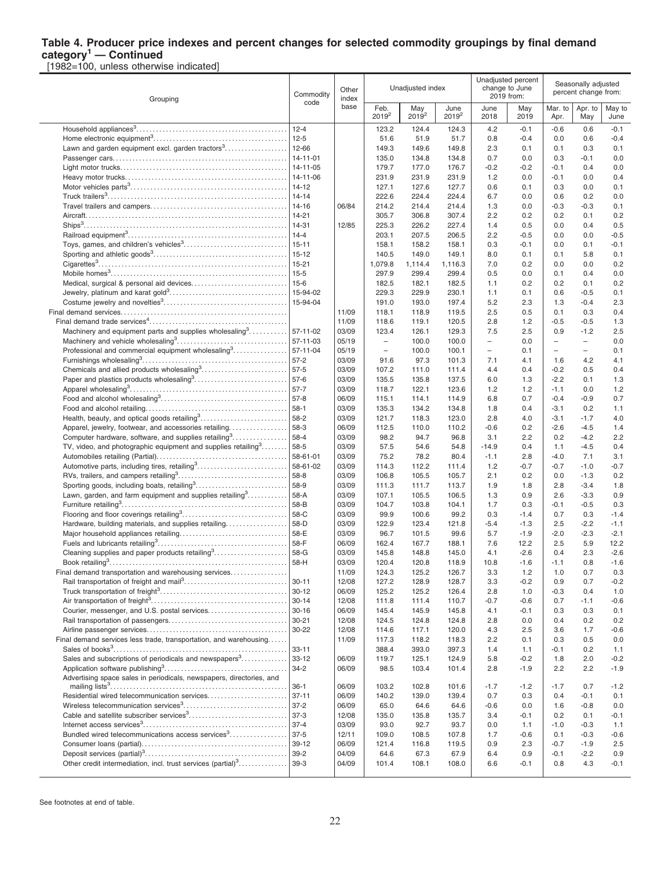#### **Table 4. Producer price indexes and percent changes for selected commodity groupings by final demand category<sup>1</sup> — Continued**

[1982=100, unless otherwise indicated]

| Commodity<br>Grouping                                                     |                      | Other<br>index |                                 | Unadjusted index |                  |                                                      | Unadjusted percent<br>change to June<br>2019 from: | Seasonally adjusted<br>percent change from:          |                                                      |                |
|---------------------------------------------------------------------------|----------------------|----------------|---------------------------------|------------------|------------------|------------------------------------------------------|----------------------------------------------------|------------------------------------------------------|------------------------------------------------------|----------------|
|                                                                           | code                 | base           | Feb.<br>$2019^2$                | May<br>$2019^2$  | June<br>$2019^2$ | June<br>2018                                         | May<br>2019                                        | Mar. to<br>Apr.                                      | Apr. to<br>May                                       | May to<br>June |
|                                                                           | $12 - 4$             |                | 123.2                           | 124.4            | 124.3            | 4.2                                                  | $-0.1$                                             | $-0.6$                                               | 0.6                                                  | $-0.1$         |
|                                                                           | $12 - 5$             |                | 51.6                            | 51.9             | 51.7             | 0.8                                                  | $-0.4$                                             | 0.0                                                  | 0.6                                                  | $-0.4$         |
|                                                                           | 12-66                |                | 149.3                           | 149.6            | 149.8            | 2.3                                                  | 0.1                                                | 0.1                                                  | 0.3                                                  | 0.1            |
|                                                                           | 14-11-01             |                | 135.0                           | 134.8            | 134.8            | 0.7                                                  | 0.0                                                | 0.3                                                  | $-0.1$                                               | 0.0            |
|                                                                           | 14-11-05             |                | 179.7                           | 177.0            | 176.7            | $-0.2$                                               | $-0.2$                                             | $-0.1$                                               | 0.4                                                  | 0.0            |
|                                                                           | 14-11-06             |                | 231.9                           | 231.9            | 231.9            | 1.2                                                  | 0.0                                                | $-0.1$                                               | 0.0                                                  | 0.4            |
|                                                                           | $14-12$              |                | 127.1                           | 127.6            | 127.7            | 0.6                                                  | 0.1                                                | 0.3                                                  | 0.0                                                  | 0.1            |
|                                                                           | $14 - 14$            |                | 222.6                           | 224.4            | 224.4            | 6.7                                                  | 0.0                                                | 0.6                                                  | 0.2                                                  | 0.0            |
|                                                                           | 14-16                | 06/84          | 214.2                           | 214.4            | 214.4            | 1.3                                                  | 0.0                                                | $-0.3$                                               | $-0.3$                                               | 0.1            |
|                                                                           | $14 - 21$            |                | 305.7                           | 306.8            | 307.4            | 2.2                                                  | 0.2                                                | 0.2                                                  | 0.1                                                  | 0.2            |
|                                                                           | 14-31<br>$14 - 4$    | 12/85          | 225.3<br>203.1                  | 226.2<br>207.5   | 227.4<br>206.5   | 1.4<br>2.2                                           | 0.5<br>$-0.5$                                      | 0.0<br>0.0                                           | 0.4<br>0.0                                           | 0.5<br>-0.5    |
|                                                                           | $15 - 11$            |                | 158.1                           | 158.2            | 158.1            | 0.3                                                  | $-0.1$                                             | 0.0                                                  | 0.1                                                  | $-0.1$         |
|                                                                           | $15 - 12$            |                | 140.5                           | 149.0            | 149.1            | 8.0                                                  | 0.1                                                | 0.1                                                  | 5.8                                                  | 0.1            |
|                                                                           | $15 - 21$            |                | 1,079.8                         | 1,114.4          | 1,116.3          | 7.0                                                  | 0.2                                                | 0.0                                                  | 0.0                                                  | 0.2            |
|                                                                           | $15 - 5$             |                | 297.9                           | 299.4            | 299.4            | 0.5                                                  | 0.0                                                | 0.1                                                  | 0.4                                                  | 0.0            |
|                                                                           | $15-6$               |                | 182.5                           | 182.1            | 182.5            | 1.1                                                  | 0.2                                                | 0.2                                                  | 0.1                                                  | 0.2            |
|                                                                           | 15-94-02             |                | 229.3                           | 229.9            | 230.1            | 1.1                                                  | 0.1                                                | 0.6                                                  | $-0.5$                                               | 0.1            |
|                                                                           | 15-94-04             |                | 191.0                           | 193.0            | 197.4            | 5.2                                                  | 2.3                                                | 1.3                                                  | $-0.4$                                               | 2.3            |
|                                                                           |                      | 11/09          | 118.1                           | 118.9            | 119.5            | 2.5                                                  | 0.5                                                | 0.1                                                  | 0.3                                                  | 0.4            |
|                                                                           |                      | 11/09          | 118.6                           | 119.1            | 120.5            | 2.8                                                  | 1.2                                                | $-0.5$                                               | $-0.5$                                               | 1.3            |
| Machinery and equipment parts and supplies wholesaling <sup>3</sup>       | 57-11-02             | 03/09          | 123.4                           | 126.1            | 129.3            | 7.5                                                  | 2.5                                                | 0.9                                                  | $-1.2$                                               | 2.5            |
|                                                                           | 57-11-03<br>57-11-04 | 05/19<br>05/19 | $\overline{\phantom{a}}$<br>$-$ | 100.0            | 100.0<br>100.1   | $\overline{\phantom{0}}$<br>$\overline{\phantom{0}}$ | 0.0<br>0.1                                         | $\overline{\phantom{a}}$<br>$\overline{\phantom{0}}$ | $\overline{\phantom{a}}$<br>$\overline{\phantom{a}}$ | 0.0<br>0.1     |
| Professional and commercial equipment wholesaling <sup>3</sup>            | $57-2$               | 03/09          | 91.6                            | 100.0<br>97.3    | 101.3            | 7.1                                                  | 4.1                                                | 1.6                                                  | 4.2                                                  | 4.1            |
| Chemicals and allied products wholesaling <sup>3</sup>                    | $57-5$               | 03/09          | 107.2                           | 111.0            | 111.4            | 4.4                                                  | 0.4                                                | $-0.2$                                               | 0.5                                                  | 0.4            |
| Paper and plastics products wholesaling <sup>3</sup>                      | 57-6                 | 03/09          | 135.5                           | 135.8            | 137.5            | 6.0                                                  | 1.3                                                | $-2.2$                                               | 0.1                                                  | 1.3            |
|                                                                           | $57 - 7$             | 03/09          | 118.7                           | 122.1            | 123.6            | 1.2                                                  | 1.2                                                | $-1.1$                                               | 0.0                                                  | 1.2            |
|                                                                           | $57-8$               | 06/09          | 115.1                           | 114.1            | 114.9            | 6.8                                                  | 0.7                                                | $-0.4$                                               | $-0.9$                                               | 0.7            |
|                                                                           | $58-1$               | 03/09          | 135.3                           | 134.2            | 134.8            | 1.8                                                  | 0.4                                                | $-3.1$                                               | 0.2                                                  | 1.1            |
|                                                                           | 58-2                 | 03/09          | 121.7                           | 118.3            | 123.0            | 2.8                                                  | 4.0                                                | $-3.1$                                               | $-1.7$                                               | 4.0            |
| Apparel, jewelry, footwear, and accessories retailing                     | 58-3                 | 06/09          | 112.5                           | 110.0            | 110.2            | $-0.6$                                               | 0.2                                                | $-2.6$                                               | $-4.5$                                               | 1.4            |
| Computer hardware, software, and supplies retailing <sup>3</sup>          | 58-4                 | 03/09          | 98.2                            | 94.7             | 96.8             | 3.1                                                  | 2.2                                                | 0.2                                                  | $-4.2$                                               | 2.2            |
| TV, video, and photographic equipment and supplies retailing <sup>3</sup> | 58-5                 | 03/09          | 57.5                            | 54.6             | 54.8             | $-14.9$                                              | 0.4                                                | 1.1                                                  | $-4.5$                                               | 0.4            |
| Automotive parts, including tires, retailing <sup>3</sup>                 | 58-61-01<br>58-61-02 | 03/09<br>03/09 | 75.2<br>114.3                   | 78.2<br>112.2    | 80.4<br>111.4    | $-1.1$<br>1.2                                        | 2.8<br>$-0.7$                                      | $-4.0$<br>$-0.7$                                     | 7.1<br>$-1.0$                                        | 3.1<br>$-0.7$  |
|                                                                           | 58-8                 | 03/09          | 106.8                           | 105.5            | 105.7            | 2.1                                                  | 0.2                                                | 0.0                                                  | $-1.3$                                               | 0.2            |
| Sporting goods, including boats, retailing <sup>3</sup>                   | 58-9                 | 03/09          | 111.3                           | 111.7            | 113.7            | 1.9                                                  | 1.8                                                | 2.8                                                  | $-3.4$                                               | 1.8            |
| Lawn, garden, and farm equipment and supplies retailing <sup>3</sup>      | 58-A                 | 03/09          | 107.1                           | 105.5            | 106.5            | 1.3                                                  | 0.9                                                | 2.6                                                  | $-3.3$                                               | 0.9            |
|                                                                           | 58-B                 | 03/09          | 104.7                           | 103.8            | 104.1            | 1.7                                                  | 0.3                                                | $-0.1$                                               | $-0.5$                                               | 0.3            |
|                                                                           | 58-C                 | 03/09          | 99.9                            | 100.6            | 99.2             | 0.3                                                  | $-1.4$                                             | 0.7                                                  | 0.3                                                  | $-1.4$         |
| Hardware, building materials, and supplies retailing                      | 58-D                 | 03/09          | 122.9                           | 123.4            | 121.8            | $-5.4$                                               | $-1.3$                                             | 2.5                                                  | $-2.2$                                               | $-1.1$         |
|                                                                           | 58-E                 | 03/09          | 96.7                            | 101.5            | 99.6             | 5.7                                                  | $-1.9$                                             | $-2.0$                                               | $-2.3$                                               | $-2.1$         |
|                                                                           | 58-F                 | 06/09          | 162.4                           | 167.7            | 188.1            | 7.6                                                  | 12.2                                               | 2.5                                                  | 5.9                                                  | 12.2           |
|                                                                           | 58-G                 | 03/09          | 145.8                           | 148.8            | 145.0            | 4.1                                                  | $-2.6$                                             | 0.4                                                  | 2.3                                                  | $-2.6$         |
| Final demand transportation and warehousing services                      | 58-H                 | 03/09<br>11/09 | 120.4<br>124.3                  | 120.8<br>125.2   | 118.9<br>126.7   | 10.8<br>3.3                                          | $-1.6$<br>1.2                                      | $-1.1$<br>1.0                                        | 0.8<br>0.7                                           | $-1.6$<br>0.3  |
|                                                                           | $30 - 11$            | 12/08          | 127.2                           | 128.9            | 128.7            | 3.3                                                  | $-0.2$                                             | 0.9                                                  | 0.7                                                  | $-0.2$         |
|                                                                           | $30 - 12$            | 06/09          | 125.2                           | 125.2            | 126.4            | 2.8                                                  | 1.0                                                | $-0.3$                                               | 0.4                                                  | 1.0            |
|                                                                           | $30 - 14$            | 12/08          | 111.8                           | 111.4            | 110.7            | $-0.7$                                               | $-0.6$                                             | 0.7                                                  | $-1.1$                                               | $-0.6$         |
| Courier, messenger, and U.S. postal services                              | $30 - 16$            | 06/09          | 145.4                           | 145.9            | 145.8            | 4.1                                                  | $-0.1$                                             | 0.3                                                  | 0.3                                                  | 0.1            |
|                                                                           | $30 - 21$            | 12/08          | 124.5                           | 124.8            | 124.8            | 2.8                                                  | 0.0                                                | 0.4                                                  | 0.2                                                  | 0.2            |
|                                                                           | 30-22                | 12/08          | 114.6                           | 117.1            | 120.0            | 4.3                                                  | 2.5                                                | 3.6                                                  | 1.7                                                  | -0.6           |
| Final demand services less trade, transportation, and warehousing         |                      | 11/09          | 117.3                           | 118.2            | 118.3            | 2.2                                                  | 0.1                                                | 0.3                                                  | 0.5                                                  | 0.0            |
|                                                                           | $33 - 11$            |                | 388.4                           | 393.0            | 397.3            | 1.4                                                  | 1.1                                                | $-0.1$                                               | 0.2                                                  | 1.1            |
| Sales and subscriptions of periodicals and newspapers <sup>3</sup>        | $33 - 12$            | 06/09          | 119.7                           | 125.1            | 124.9            | 5.8                                                  | $-0.2$                                             | 1.8                                                  | 2.0                                                  | $-0.2$         |
| Advertising space sales in periodicals, newspapers, directories, and      | $34 - 2$             | 06/09          | 98.5                            | 103.4            | 101.4            | 2.8                                                  | $-1.9$                                             | 2.2                                                  | 2.2                                                  | $-1.9$         |
|                                                                           | $36-1$               | 06/09          | 103.2                           | 102.8            | 101.6            | $-1.7$                                               | $-1.2$                                             | $-1.7$                                               | 0.7                                                  | $-1.2$         |
| Residential wired telecommunication services                              | $37 - 11$            | 06/09          | 140.2                           | 139.0            | 139.4            | 0.7                                                  | 0.3                                                | 0.4                                                  | $-0.1$                                               | 0.1            |
|                                                                           | $37 - 2$             | 06/09          | 65.0                            | 64.6             | 64.6             | $-0.6$                                               | 0.0                                                | 1.6                                                  | $-0.8$                                               | 0.0            |
| Cable and satellite subscriber services <sup>3</sup>                      | $37-3$               | 12/08          | 135.0                           | 135.8            | 135.7            | 3.4                                                  | $-0.1$                                             | 0.2                                                  | 0.1                                                  | -0.1           |
|                                                                           | $37 - 4$             | 03/09          | 93.0                            | 92.7             | 93.7             | 0.0                                                  | 1.1                                                | $-1.0$                                               | $-0.3$                                               | 1.1            |
| Bundled wired telecommunications access services <sup>3</sup>             | $37-5$               | 12/11          | 109.0                           | 108.5            | 107.8            | 1.7                                                  | -0.6                                               | 0.1                                                  | $-0.3$                                               | $-0.6$         |
|                                                                           | 39-12                | 06/09          | 121.4                           | 116.8            | 119.5            | 0.9                                                  | 2.3                                                | $-0.7$                                               | $-1.9$                                               | 2.5            |
| Other credit intermediation, incl. trust services (partial) <sup>3</sup>  | $39-2$               | 04/09          | 64.6                            | 67.3             | 67.9             | 6.4                                                  | 0.9                                                | $-0.1$                                               | $-2.2$                                               | 0.9            |
|                                                                           | $39-3$               | 04/09          | 101.4                           | 108.1            | 108.0            | 6.6                                                  | $-0.1$                                             | 0.8                                                  | 4.3                                                  | -0.1           |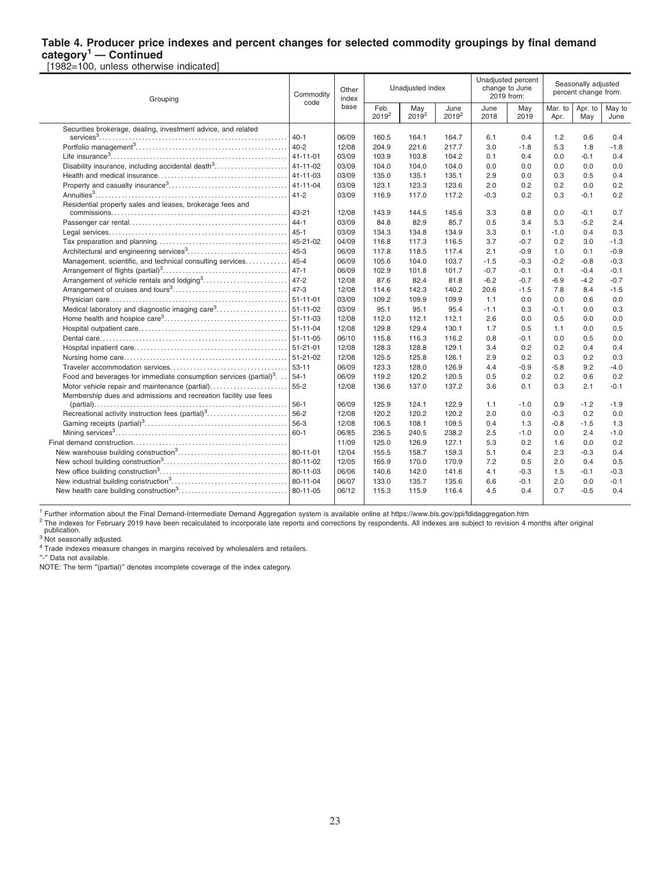#### **Table 4. Producer price indexes and percent changes for selected commodity groupings by final demand category<sup>1</sup> — Continued**

[1982=100, unless otherwise indicated]

| Grouping                                                                       | Commodity<br>code | Other<br>index |                  | Unadjusted index |                  |              | Unadjusted percent<br>change to June<br>2019 from: | Seasonally adjusted<br>percent change from: |                |                |
|--------------------------------------------------------------------------------|-------------------|----------------|------------------|------------------|------------------|--------------|----------------------------------------------------|---------------------------------------------|----------------|----------------|
|                                                                                |                   | base           | Feb.<br>$2019^2$ | May<br>$2019^2$  | June<br>$2019^2$ | June<br>2018 | May<br>2019                                        | Mar. to<br>Apr.                             | Apr. to<br>May | May to<br>June |
| Securities brokerage, dealing, investment advice, and related                  |                   |                |                  |                  |                  |              |                                                    |                                             |                |                |
|                                                                                | $40 - 1$          | 06/09          | 160.5            | 164.1            | 164.7            | 6.1          | 0.4                                                | 1.2                                         | 0.6            | 0.4            |
|                                                                                | $40 - 2$          | 12/08          | 204.9            | 221.6            | 217.7            | 3.0          | $-1.8$                                             | 5.3                                         | 1.8            | $-1.8$         |
|                                                                                | $41 - 11 - 01$    | 03/09          | 103.9            | 103.8            | 104.2            | 0.1          | 0.4                                                | 0.0                                         | $-0.1$         | 0.4            |
| Disability insurance, including accidental death <sup>3</sup>                  | $41 - 11 - 02$    | 03/09          | 104.0            | 104.0            | 104.0            | 0.0          | 0.0                                                | 0.0                                         | 0.0            | 0.0            |
|                                                                                | $41 - 11 - 03$    | 03/09          | 135.0            | 135.1            | 135.1            | 2.9          | 0.0                                                | 0.3                                         | 0.5            | 0.4            |
|                                                                                | $41 - 11 - 04$    | 03/09          | 123.1            | 123.3            | 123.6            | 2.0          | 0.2                                                | 0.2                                         | 0.0            | 0.2            |
|                                                                                | $41 - 2$          | 03/09          | 116.9            | 117.0            | 117.2            | $-0.3$       | 0.2                                                | 0.3                                         | $-0.1$         | 0.2            |
| Residential property sales and leases, brokerage fees and                      | 43-21             | 12/08          | 143.9            | 144.5            | 145.6            | 3.3          | 0.8                                                | 0.0                                         | $-0.1$         | 0.7            |
|                                                                                | $44 - 1$          | 03/09          | 84.8             | 82.9             | 85.7             | 0.5          | 3.4                                                | 5.3                                         | $-5.2$         | 2.4            |
|                                                                                | $45 - 1$          | 03/09          | 134.3            | 134.8            | 134.9            | 3.3          | 0.1                                                | $-1.0$                                      | 0.4            | 0.3            |
|                                                                                | 45-21-02          | 04/09          | 116.8            | 117.3            | 116.5            | 3.7          | $-0.7$                                             | 0.2                                         | 3.0            | $-1.3$         |
|                                                                                | $45 - 3$          | 06/09          | 117.8            | 118.5            | 117.4            | 2.1          | $-0.9$                                             | 1.0                                         | 0.1            | $-0.9$         |
| Management, scientific, and technical consulting services                      | $45 - 4$          | 06/09          | 105.6            | 104.0            | 103.7            | $-1.5$       | $-0.3$                                             | $-0.2$                                      | $-0.8$         | $-0.3$         |
|                                                                                | $47 - 1$          | 06/09          | 102.9            | 101.8            | 101.7            | $-0.7$       | $-0.1$                                             | 0.1                                         | $-0.4$         | $-0.1$         |
| Arrangement of vehicle rentals and lodging <sup>3</sup>                        | $47 - 2$          | 12/08          | 87.6             | 82.4             | 81.8             | $-6.2$       | $-0.7$                                             | $-6.9$                                      | $-4.2$         | $-0.7$         |
|                                                                                | $47 - 3$          | 12/08          | 114.6            | 142.3            | 140.2            | 20.6         | $-1.5$                                             | 7.8                                         | 8.4            | $-1.5$         |
|                                                                                | $51 - 11 - 01$    | 03/09          | 109.2            | 109.9            | 109.9            | 1.1          | 0.0                                                | 0.0                                         | 0.6            | 0.0            |
| Medical laboratory and diagnostic imaging care <sup>3</sup>                    | $51 - 11 - 02$    | 03/09          | 95.1             | 95.1             | 95.4             | $-1.1$       | 0.3                                                | $-0.1$                                      | 0.0            | 0.3            |
|                                                                                |                   | 12/08          | 112.0            | 112.1            | 112.1            | 2.6          | 0.0                                                | 0.5                                         | 0.0            | 0.0            |
|                                                                                | $51 - 11 - 04$    | 12/08          | 129.8            | 129.4            | 130.1            | 1.7          | 0.5                                                | 1.1                                         | 0.0            | 0.5            |
|                                                                                | $51 - 11 - 05$    | 06/10          | 115.8            | 116.3            | 116.2            | 0.8          | $-0.1$                                             | 0.0                                         | 0.5            | 0.0            |
|                                                                                |                   | 12/08          | 128.3            | 128.8            | 129.1            | 3.4          | 0.2                                                | 0.2                                         | 0.4            | 0.4            |
|                                                                                | $51 - 21 - 02$    | 12/08          | 125.5            | 125.8            | 126.1            | 2.9          | 0.2                                                | 0.3                                         | 0.2            | 0.3            |
|                                                                                | $53 - 11$         | 06/09          | 123.3            | 128.0            | 126.9            | 4.4          | $-0.9$                                             | $-5.8$                                      | 9.2            | $-4.0$         |
| Food and beverages for immediate consumption services (partial) <sup>3</sup> . | $54-1$            | 06/09          | 119.2            | 120.2            | 120.5            | 0.5          | 0.2                                                | 0.2                                         | 0.6            | 0.2            |
| Motor vehicle repair and maintenance (partial)                                 | $55 - 2$          | 12/08          | 136.6            | 137.0            | 137.2            | 3.6          | 0.1                                                | 0.3                                         | 2.1            | $-0.1$         |
| Membership dues and admissions and recreation facility use fees                |                   |                |                  |                  |                  |              |                                                    |                                             |                |                |
|                                                                                | $56-1$            | 06/09          | 125.9            | 124.1            | 122.9            | 1.1          | $-1.0$                                             | 0.9                                         | $-1.2$         | $-1.9$         |
|                                                                                |                   | 12/08          | 120.2            | 120.2            | 120.2            | 2.0          | 0.0                                                | $-0.3$                                      | 0.2            | 0.0            |
|                                                                                | 56-3              | 12/08          | 106.5            | 108.1            | 109.5            | 0.4          | 1.3                                                | $-0.8$                                      | $-1.5$         | 1.3            |
|                                                                                | $60 - 1$          | 06/85          | 236.5            | 240.5            | 238.2            | 2.5          | $-1.0$                                             | 0.0                                         | 2.4            | $-1.0$         |
|                                                                                |                   | 11/09          | 125.0            | 126.9            | 127.1            | 5.3          | 0.2                                                | 1.6                                         | 0.0            | 0.2            |
|                                                                                | 80-11-01          | 12/04          | 155.5            | 158.7            | 159.3            | 5.1          | 0.4                                                | 2.3                                         | $-0.3$         | 0.4            |
|                                                                                | 80-11-02          | 12/05          | 165.9            | 170.0            | 170.9            | 7.2          | 0.5                                                | 2.0                                         | 0.4            | 0.5            |
|                                                                                |                   | 06/06          | 140.6            | 142.0            | 141.6            | 4.1          | $-0.3$                                             | 1.5                                         | $-0.1$         | $-0.3$         |
|                                                                                | 80-11-04          | 06/07          | 133.0            | 135.7            | 135.6            | 6.6          | $-0.1$                                             | 2.0                                         | 0.0            | $-0.1$         |
|                                                                                | 80-11-05          | 06/12          | 115.3            | 115.9            | 116.4            | 4.5          | 0.4                                                | 0.7                                         | $-0.5$         | 0.4            |
|                                                                                |                   |                |                  |                  |                  |              |                                                    |                                             |                |                |

<sup>1</sup> Further information about the Final Demand-Intermediate Demand Aggregation system is available online at https://www.bls.gov/ppi/fdidaggregation.htm

<sup>2</sup> The indexes for February 2019 have been recalculated to incorporate late reports and corrections by respondents. All indexes are subject to revision 4 months after original<br>publication.

<sup>4</sup> Trade indexes measure changes in margins received by wholesalers and retailers.

″-″ Data not available.

NOTE: The term ″(partial)″ denotes incomplete coverage of the index category.

<sup>&</sup>lt;sup>3</sup> Not seasonally adjusted.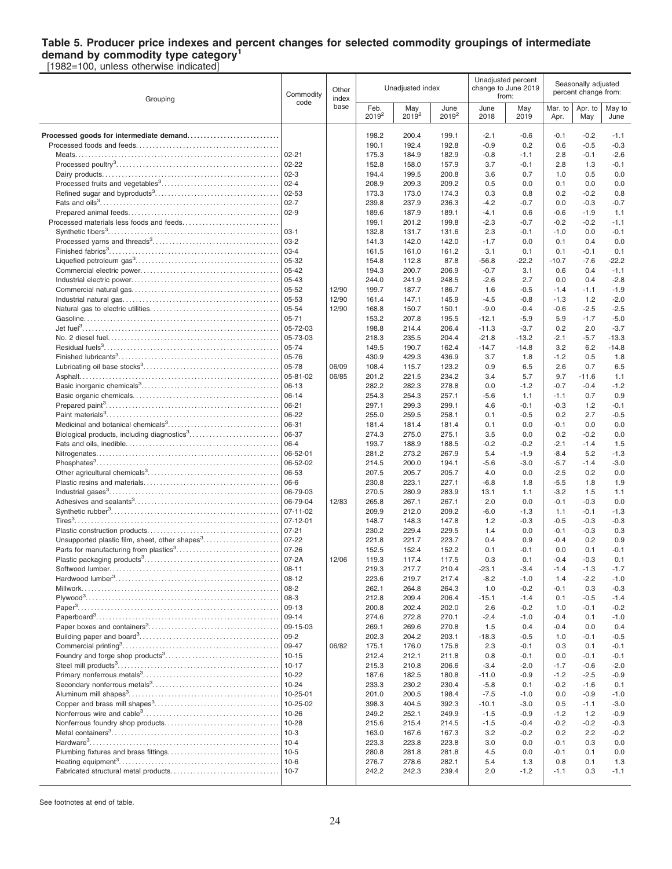# **Table 5. Producer price indexes and percent changes for selected commodity groupings of intermediate demand by commodity type category<sup>1</sup>**

[1982=100, unless otherwise indicated]

| Grouping                                                   | Commodity<br>code  | Other<br>index |                           | Unadjusted index |                  | Unadjusted percent<br>change to June 2019<br>from: |                  | Seasonally adjusted<br>percent change from: |                  |                  |
|------------------------------------------------------------|--------------------|----------------|---------------------------|------------------|------------------|----------------------------------------------------|------------------|---------------------------------------------|------------------|------------------|
|                                                            |                    | base           | Feb.<br>2019 <sup>2</sup> | May<br>$2019^2$  | June<br>$2019^2$ | June<br>2018                                       | May<br>2019      | Mar. to<br>Apr.                             | Apr. to<br>May   | May to<br>June   |
| Processed goods for intermediate demand                    |                    |                | 198.2                     | 200.4            | 199.1            | $-2.1$                                             | $-0.6$           | $-0.1$                                      | $-0.2$           | $-1.1$           |
|                                                            |                    |                | 190.1                     | 192.4            | 192.8            | $-0.9$                                             | 0.2              | 0.6                                         | $-0.5$           | $-0.3$           |
|                                                            | $02 - 21$          |                | 175.3                     | 184.9            | 182.9            | $-0.8$                                             | $-1.1$           | 2.8                                         | $-0.1$           | $-2.6$           |
|                                                            | $02 - 22$          |                | 152.8                     | 158.0            | 157.9            | 3.7                                                | $-0.1$           | 2.8                                         | 1.3              | $-0.1$           |
|                                                            | $ 02-3 $           |                | 194.4                     | 199.5            | 200.8            | 3.6                                                | 0.7              | 1.0                                         | 0.5              | 0.0              |
|                                                            | $ 02 - 4$          |                | 208.9                     | 209.3            | 209.2            | 0.5                                                | 0.0              | 0.1                                         | 0.0              | 0.0              |
|                                                            | $02 - 53$          |                | 173.3                     | 173.0            | 174.3            | 0.3                                                | 0.8              | 0.2                                         | $-0.2$           | 0.8              |
|                                                            | $ 02 - 7 $         |                | 239.8                     | 237.9            | 236.3            | $-4.2$                                             | $-0.7$           | 0.0                                         | $-0.3$           | $-0.7$           |
|                                                            | $ 02-9$            |                | 189.6                     | 187.9            | 189.1            | $-4.1$                                             | 0.6              | $-0.6$                                      | $-1.9$           | 1.1              |
|                                                            |                    |                | 199.1                     | 201.2            | 199.8            | $-2.3$                                             | $-0.7$           | $-0.2$                                      | $-0.2$           | $-1.1$           |
|                                                            | 03-1               |                | 132.8                     | 131.7            | 131.6            | 2.3                                                | $-0.1$           | $-1.0$                                      | 0.0              | $-0.1$           |
|                                                            | $ 03-2 $           |                | 141.3                     | 142.0            | 142.0            | $-1.7$                                             | 0.0              | 0.1                                         | 0.4              | 0.0              |
|                                                            | $03 - 4$<br>05-32  |                | 161.5                     | 161.0<br>112.8   | 161.2            | 3.1                                                | 0.1<br>$-22.2$   | 0.1                                         | $-0.1$<br>$-7.6$ | 0.1<br>$-22.2$   |
|                                                            | 05-42              |                | 154.8<br>194.3            | 200.7            | 87.8<br>206.9    | $-56.8$<br>$-0.7$                                  | 3.1              | $-10.7$<br>0.6                              | 0.4              | $-1.1$           |
|                                                            | 05-43              |                | 244.0                     | 241.9            | 248.5            | $-2.6$                                             | 2.7              | 0.0                                         | 0.4              | $-2.8$           |
|                                                            | 05-52              | 12/90          | 199.7                     | 187.7            | 186.7            | 1.6                                                | $-0.5$           | $-1.4$                                      | $-1.1$           | $-1.9$           |
|                                                            | 05-53              | 12/90          | 161.4                     | 147.1            | 145.9            | $-4.5$                                             | $-0.8$           | $-1.3$                                      | 1.2              | $-2.0$           |
|                                                            | 05-54              | 12/90          | 168.8                     | 150.7            | 150.1            | $-9.0$                                             | $-0.4$           | $-0.6$                                      | $-2.5$           | $-2.5$           |
|                                                            | $ 05 - 71$         |                | 153.2                     | 207.8            | 195.5            | $-12.1$                                            | $-5.9$           | 5.9                                         | $-1.7$           | $-5.0$           |
|                                                            | 05-72-03           |                | 198.8                     | 214.4            | 206.4            | $-11.3$                                            | $-3.7$           | 0.2                                         | 2.0              | $-3.7$           |
|                                                            | 05-73-03           |                | 218.3                     | 235.5            | 204.4            | $-21.8$                                            | $-13.2$          | $-2.1$                                      | $-5.7$           | $-13.3$          |
|                                                            | 05-74              |                | 149.5                     | 190.7            | 162.4            | $-14.7$                                            | $-14.8$          | 3.2                                         | 6.2              | $-14.8$          |
|                                                            | 05-76              |                | 430.9                     | 429.3            | 436.9            | 3.7                                                | 1.8              | $-1.2$                                      | 0.5              | 1.8              |
|                                                            | 05-78              | 06/09          | 108.4                     | 115.7            | 123.2            | 0.9                                                | 6.5              | 2.6                                         | 0.7              | 6.5              |
|                                                            | 05-81-02           | 06/85          | 201.2                     | 221.5            | 234.2            | 3.4                                                | 5.7              | 9.7                                         | $-11.6$          | 1.1              |
|                                                            | 06-13<br>06-14     |                | 282.2<br>254.3            | 282.3<br>254.3   | 278.8<br>257.1   | 0.0<br>$-5.6$                                      | $-1.2$<br>1.1    | $-0.7$<br>$-1.1$                            | $-0.4$<br>0.7    | $-1.2$<br>0.9    |
|                                                            | 06-21              |                | 297.1                     | 299.3            | 299.1            | 4.6                                                | $-0.1$           | $-0.3$                                      | 1.2              | $-0.1$           |
|                                                            | 06-22              |                | 255.0                     | 259.5            | 258.1            | 0.1                                                | $-0.5$           | 0.2                                         | 2.7              | $-0.5$           |
|                                                            | 06-31              |                | 181.4                     | 181.4            | 181.4            | 0.1                                                | 0.0              | $-0.1$                                      | 0.0              | 0.0              |
| Biological products, including diagnostics <sup>3</sup>    | 06-37              |                | 274.3                     | 275.0            | 275.1            | 3.5                                                | 0.0              | 0.2                                         | $-0.2$           | 0.0              |
|                                                            | 06-4               |                | 193.7                     | 188.9            | 188.5            | $-0.2$                                             | $-0.2$           | $-2.1$                                      | $-1.4$           | 1.5              |
|                                                            | 06-52-01           |                | 281.2                     | 273.2            | 267.9            | 5.4                                                | $-1.9$           | $-8.4$                                      | 5.2              | $-1.3$           |
|                                                            | 06-52-02           |                | 214.5                     | 200.0            | 194.1            | $-5.6$                                             | $-3.0$           | $-5.7$                                      | $-1.4$           | $-3.0$           |
|                                                            | 06-53              |                | 207.5                     | 205.7            | 205.7            | 4.0                                                | 0.0              | $-2.5$                                      | 0.2              | 0.0              |
|                                                            | 06-6<br>06-79-03   |                | 230.8<br>270.5            | 223.1<br>280.9   | 227.1<br>283.9   | $-6.8$<br>13.1                                     | 1.8<br>1.1       | $-5.5$<br>$-3.2$                            | 1.8<br>1.5       | 1.9<br>1.1       |
|                                                            | 06-79-04           | 12/83          | 265.8                     | 267.1            | 267.1            | 2.0                                                | 0.0              | $-0.1$                                      | $-0.3$           | 0.0              |
|                                                            | 07-11-02           |                | 209.9                     | 212.0            | 209.2            | $-6.0$                                             | $-1.3$           | 1.1                                         | -0.1             | $-1.3$           |
|                                                            | 07-12-01           |                | 148.7                     | 148.3            | 147.8            | 1.2                                                | $-0.3$           | $-0.5$                                      | $-0.3$           | $-0.3$           |
|                                                            | $07 - 21$          |                | 230.2                     | 229.4            | 229.5            | 1.4                                                | 0.0              | $-0.1$                                      | $-0.3$           | 0.3              |
| Unsupported plastic film, sheet, other shapes <sup>3</sup> | 07-22              |                | 221.8                     | 221.7            | 223.7            | 0.4                                                | 0.9              | $-0.4$                                      | 0.2              | 0.9              |
|                                                            | $07 - 26$          |                | 152.5                     | 152.4            | 152.2            | 0.1                                                | $-0.1$           | 0.0                                         | 0.1              | $-0.1$           |
|                                                            | 07-2A              | 12/06          | 119.3                     | 117.4            | 117.5            | 0.3                                                | 0.1              | $-0.4$                                      | $-0.3$           | 0.1              |
| Softwood lumber                                            | $08 - 11$<br>08-12 |                | 219.3                     | 217.7            | 210.4            | $-23.1$                                            | $-3.4$           | $-1.4$                                      | $-1.3$           | $-1.7$           |
|                                                            | $ 08-2 $           |                | 223.6<br>262.1            | 219.7<br>264.8   | 217.4<br>264.3   | $-8.2$<br>1.0                                      | $-1.0$<br>$-0.2$ | 1.4<br>$-0.1$                               | $-2.2$<br>0.3    | $-1.0$<br>$-0.3$ |
|                                                            | $ 08-3 $           |                | 212.8                     | 209.4            | 206.4            | $-15.1$                                            | $-1.4$           | 0.1                                         | $-0.5$           | $-1.4$           |
|                                                            |                    |                | 200.8                     | 202.4            | 202.0            | 2.6                                                | $-0.2$           | 1.0                                         | $-0.1$           | $-0.2$           |
|                                                            | $ 09-14$           |                | 274.6                     | 272.8            | 270.1            | $-2.4$                                             | $-1.0$           | $-0.4$                                      | 0.1              | $-1.0$           |
|                                                            | 09-15-03           |                | 269.1                     | 269.6            | 270.8            | 1.5                                                | 0.4              | $-0.4$                                      | 0.0              | 0.4              |
|                                                            | $ 09-2 $           |                | 202.3                     | 204.2            | 203.1            | $-18.3$                                            | $-0.5$           | 1.0                                         | $-0.1$           | $-0.5$           |
|                                                            | 09-47              | 06/82          | 175.1                     | 176.0            | 175.8            | 2.3                                                | $-0.1$           | 0.3                                         | 0.1              | $-0.1$           |
|                                                            | $10 - 15$          |                | 212.4                     | 212.1            | 211.8            | 0.8                                                | $-0.1$           | 0.0                                         | $-0.1$           | $-0.1$           |
|                                                            | $10-17$            |                | 215.3                     | 210.8            | 206.6            | $-3.4$                                             | $-2.0$           | $-1.7$                                      | $-0.6$           | $-2.0$           |
|                                                            | 10-22<br>$10 - 24$ |                | 187.6<br>233.3            | 182.5<br>230.2   | 180.8<br>230.4   | $-11.0$<br>$-5.8$                                  | $-0.9$<br>0.1    | $-1.2$<br>$-0.2$                            | $-2.5$<br>$-1.6$ | $-0.9$<br>0.1    |
|                                                            | 10-25-01           |                | 201.0                     | 200.5            | 198.4            | $-7.5$                                             | $-1.0$           | 0.0                                         | $-0.9$           | $-1.0$           |
|                                                            | 10-25-02           |                | 398.3                     | 404.5            | 392.3            | $-10.1$                                            | $-3.0$           | 0.5                                         | $-1.1$           | $-3.0$           |
|                                                            |                    |                | 249.2                     | 252.1            | 249.9            | $-1.5$                                             | $-0.9$           | $-1.2$                                      | 1.2              | $-0.9$           |
|                                                            | $10 - 28$          |                | 215.6                     | 215.4            | 214.5            | $-1.5$                                             | $-0.4$           | $-0.2$                                      | $-0.2$           | $-0.3$           |
|                                                            |                    |                | 163.0                     | 167.6            | 167.3            | 3.2                                                | $-0.2$           | 0.2                                         | 2.2              | $-0.2$           |
|                                                            |                    |                | 223.3                     | 223.8            | 223.8            | 3.0                                                | 0.0              | $-0.1$                                      | 0.3              | 0.0              |
|                                                            |                    |                | 280.8                     | 281.8            | 281.8            | 4.5                                                | 0.0              | $-0.1$                                      | 0.1              | 0.0              |
|                                                            |                    |                | 276.7                     | 278.6            | 282.1            | 5.4                                                | 1.3              | 0.8                                         | 0.1              | 1.3              |
|                                                            | $10-7$             |                | 242.2                     | 242.3            | 239.4            | 2.0                                                | $-1.2$           | $-1.1$                                      | 0.3              | $-1.1$           |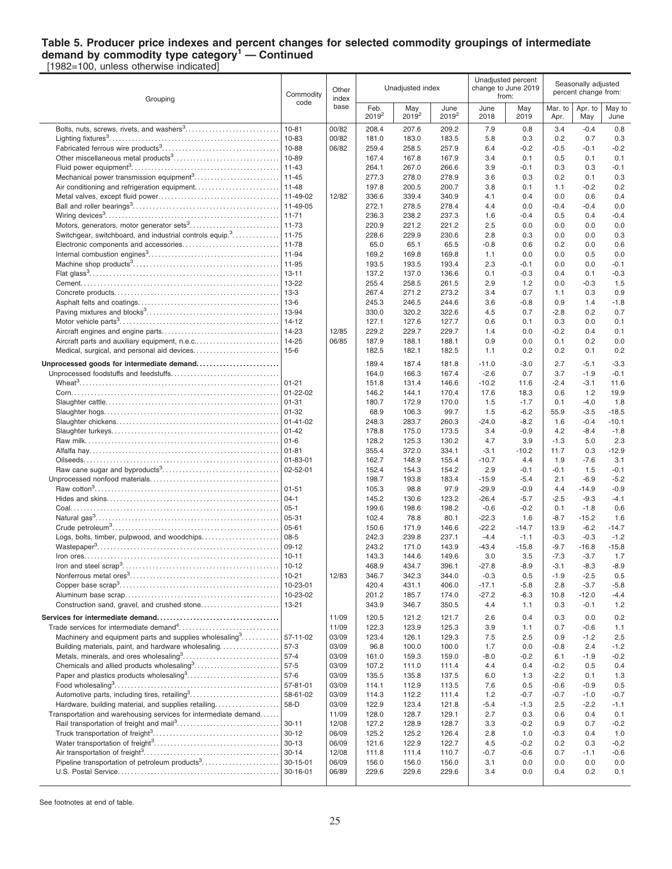#### **Table 5. Producer price indexes and percent changes for selected commodity groupings of intermediate demand by commodity type category<sup>1</sup> — Continued** [1982=100, unless otherwise indicated]

Grouping Commodity code **Other** index base Unadiusted index Unadjusted percent change to June 2019 from: Seasonally adjusted percent change from: Feb. 2019<sup>2</sup> May  $2019^{2}$ June 2019<sup>2</sup> June 2018 May 2019 Mar<sub>to</sub> Apr. Apr. to May May to June Bolts, nuts, screws, rivets, and washers $^3$ ……………………………….| 10-81 |00/82 | 208.4 207.6 209.2 | 7.9 0.8 | 3.4 -0.4 0.8 Lighting fixtures<sup>3</sup> . . . . . . . . . . . . . . . . . . . . . . . . . . . . . . . . . . . . . . . . . . . . . . . . . . . . 10-83 00/82 181.0 183.0 183.5 5.8 0.3 0.2 0.7 0.3 Fabricated ferrous wire products<sup>3</sup> . . . . . . . . . . . . . . . . . . . . . . . . . . . . . . . . . . . 10-88 06/82 259.4 258.5 257.9 6.4 -0.2 -0.5 -0.1 -0.2 Other miscellaneous metal products<sup>3</sup> . . . . . . . . . . . . . . . . . . . . . . . . . . . . . . . . 10-89 167.4 167.8 167.9 3.4 0.1 0.5 0.1 0.1 Fluid power equipment<sup>3</sup> . . . . . . . . . . . . . . . . . . . . . . . . . . . . . . . . . . . . . . . . . . . . . 11-43 264.1 267.0 266.6 3.9 -0.1 0.3 0.3 -0.1 Mechanical power transmission equipment<sup>3</sup> . . . . . . . . . . . . . . . . . . . . . . . . . . 11-45 277.3 278.0 278.9 3.6 0.3 0.2 0.1 0.3 Air conditioning and refrigeration equipment. . . . . . . . . . . . . . . . . . . . . . . . . 11-48 197.8 200.5 200.7 3.8 0.1 1.1 -0.2 0.2 Metal valves, except fluid power. . . . . . . . . . . . . . . . . . . . . . . . . . . . . . . . . . . . . 11-49-02 12/82 336.6 339.4 340.9 4.1 0.4 0.0 0.6 0.4 Ball and roller bearings<sup>3</sup> . . . . . . . . . . . . . . . . . . . . . . . . . . . . . . . . . . . . . . . . . . . . 11-49-05 272.1 278.5 278.4 4.4 0.0 -0.4 -0.4 0.0 Wiring devices<sup>3</sup> . . . . . . . . . . . . . . . . . . . . . . . . . . . . . . . . . . . . . . . . . . . . . . . . . . . . . 11-71 236.3 238.2 237.3 1.6 -0.4 0.5 0.4 -0.4 Motors, generators, motor generator sets<sup>3</sup> . . . . . . . . . . . . . . . . . . . . . . . . . . . 11-73 220.9 221.2 221.2 2.5 0.0 0.0 0.0 0.0 Switchgear, switchboard, and industrial controls equip.<sup>3</sup> . . . . . . . . . . . . . . 11-75 228.6 229.9 230.6 2.8 0.3 0.0 0.0 0.3 Electronic components and accessories. . . . . . . . . . . . . . . . . . . . . . . . . . . . . 11-78 65.0 65.1 65.5 -0.8 0.6 0.2 0.0 0.6 Internal combustion engines<sup>3</sup> . . . . . . . . . . . . . . . . . . . . . . . . . . . . . . . . . . . . . . . . 11-94 169.2 169.8 169.8 1.1 0.0 0.0 0.5 0.0 Machine shop products<sup>3</sup> . . . . . . . . . . . . . . . . . . . . . . . . . . . . . . . . . . . . . . . . . . . . 11-95 193.5 193.5 193.4 2.3 -0.1 0.0 0.0 -0.1 Flat glass<sup>3</sup>.…………………………………………………………………| 13-11 | | 137.2 137.0 136.6 | 0.1 -0.3 | 0.4 0.1 -0.3 Cement. . . . . . . . . . . . . . . . . . . . . . . . . . . . . . . . . . . . . . . . . . . . . . . . . . . . . . . . . . . . 13-22 255.4 258.5 261.5 2.9 1.2 0.0 -0.3 1.5 Concrete products. . . . . . . . . . . . . . . . . . . . . . . . . . . . . . . . . . . . . . . . . . . . . . . . . . 13-3 267.4 271.2 273.2 3.4 0.7 1.1 0.3 0.9 Asphalt felts and coatings. . . . . . . . . . . . . . . . . . . . . . . . . . . . . . . . . . . . . . . . . . . 13-6 245.3 246.5 244.6 3.6 -0.8 0.9 1.4 -1.8 Paving mixtures and blocks<sup>3</sup> . . . . . . . . . . . . . . . . . . . . . . . . . . . . . . . . . . . . . . . . 13-94 330.0 320.2 322.6 4.5 0.7 -2.8 0.2 0.7 Motor vehicle parts<sup>3</sup> . . . . . . . . . . . . . . . . . . . . . . . . . . . . . . . . . . . . . . . . . . . . . . . . 14-12 127.1 127.6 127.7 0.6 0.1 0.3 0.0 0.1 Aircraft engines and engine parts. . . . . . . . . . . . . . . . . . . . . . . . . . . . . . . . . . . . 14-23 12/85 229.2 229.7 229.7 1.4 0.0 -0.2 0.4 0.1 Aircraft parts and auxiliary equipment, n.e.c.. . . . . . . . . . . . . . . . . . . . . . . . . 14-25 06/85 187.9 188.1 188.1 0.9 0.0 0.1 0.2 0.0 Medical, surgical, and personal aid devices. . . . . . . . . . . . . . . . . . . . . . . . . . 15-6 182.5 182.1 182.5 1.1 0.2 0.2 0.1 0.2 **Unprocessed goods for intermediate demand. . . . . . . . . . . . . . . . . . . . . . . . .** 189.4 187.4 181.8 -11.0 -3.0 2.7 -5.1 -3.3 Unprocessed foodstuffs and feedstuffs. . . . . . . . . . . . . . . . . . . . . . . . . . . . . . . . . 164.0 166.3 167.4 -2.6 0.7 3.7 -1.9 -0.1 Wheat<sup>3</sup> . . . . . . . . . . . . . . . . . . . . . . . . . . . . . . . . . . . . . . . . . . . . . . . . . . . . . . . . . . . . . 01-21 151.8 131.4 146.6 -10.2 11.6 -2.4 -3.1 11.6 Corn. . . . . . . . . . . . . . . . . . . . . . . . . . . . . . . . . . . . . . . . . . . . . . . . . . . . . . . . . . . . . . . 01-22-02 146.2 144.1 170.4 17.6 18.3 0.6 1.2 19.9 Slaughter cattle. . . . . . . . . . . . . . . . . . . . . . . . . . . . . . . . . . . . . . . . . . . . . . . . . . . . . 01-31 180.7 172.9 170.0 1.5 -1.7 0.1 -4.0 1.8 Slaughter hogs. . . . . . . . . . . . . . . . . . . . . . . . . . . . . . . . . . . . . . . . . . . . . . . . . . . . . 01-32 68.9 106.3 99.7 1.5 -6.2 55.9 -3.5 -18.5 Slaughter chickens. . . . . . . . . . . . . . . . . . . . . . . . . . . . . . . . . . . . . . . . . . . . . . . . . 01-41-02 248.3 283.7 260.3 -24.0 -8.2 1.6 -0.4 -10.1 Slaughter turkeys. . . . . . . . . . . . . . . . . . . . . . . . . . . . . . . . . . . . . . . . . . . . . . . . . . . 01-42 178.8 175.0 173.5 3.4 -0.9 4.2 -8.4 -1.8 Raw milk. . . . . . . . . . . . . . . . . . . . . . . . . . . . . . . . . . . . . . . . . . . . . . . . . . . . . . . . . . . 01-6 128.2 125.3 130.2 4.7 3.9 -1.3 5.0 2.3 Alfalfa hay. . . . . . . . . . . . . . . . . . . . . . . . . . . . . . . . . . . . . . . . . . . . . . . . . . . . . . . . . . 01-81 355.4 372.0 334.1 -3.1 -10.2 11.7 0.3 -12.9 Oilseeds. . . . . . . . . . . . . . . . . . . . . . . . . . . . . . . . . . . . . . . . . . . . . . . . . . . . . . . . . . . 01-83-01 162.7 148.9 155.4 -10.7 4.4 1.9 -7.6 3.1 Raw cane sugar and byproducts<sup>3</sup> . . . . . . . . . . . . . . . . . . . . . . . . . . . . . . . . . . . 02-52-01 152.4 154.3 154.2 2.9 -0.1 -0.1 1.5 -0.1 Unprocessed nonfood materials. . . . . . . . . . . . . . . . . . . . . . . . . . . . . . . . . . . . . . . 198.7 193.8 183.4 -15.9 -5.4 2.1 -6.9 -5.2 Raw cotton<sup>3</sup> . . . . . . . . . . . . . . . . . . . . . . . . . . . . . . . . . . . . . . . . . . . . . . . . . . . . . . . . 01-51 105.3 98.8 97.9 -29.9 -0.9 4.4 -14.9 -0.9 Hides and skins. . . . . . . . . . . . . . . . . . . . . . . . . . . . . . . . . . . . . . . . . . . . . . . . . . . . 04-1 145.2 130.6 123.2 -26.4 -5.7 -2.5 -9.3 -4.1 Coal. . . . . . . . . . . . . . . . . . . . . . . . . . . . . . . . . . . . . . . . . . . . . . . . . . . . . . . . . . . . . . . 05-1 199.6 198.6 198.2 -0.6 -0.2 0.1 -1.8 0.6 Natural gas<sup>3</sup> . . . . . . . . . . . . . . . . . . . . . . . . . . . . . . . . . . . . . . . . . . . . . . . . . . . . . . . . 05-31 102.4 78.8 80.1 -22.3 1.6 -8.7 -15.2 1.6 Crude petroleum<sup>3</sup> . . . . . . . . . . . . . . . . . . . . . . . . . . . . . . . . . . . . . . . . . . . . . . . . . . . 05-61 150.6 171.9 146.6 -22.2 -14.7 13.9 -6.2 -14.7 Logs, bolts, timber, pulpwood, and woodchips. . . . . . . . . . . . . . . . . . . . . . . 08-5 242.3 239.8 237.1 -4.4 -1.1 -0.3 -0.3 -1.2 Wastepaper<sup>3</sup> . . . . . . . . . . . . . . . . . . . . . . . . . . . . . . . . . . . . . . . . . . . . . . . . . . . . . . . 09-12 243.2 171.0 143.9 -43.4 -15.8 -9.7 -16.8 -15.8 Iron ores. . . . . . . . . . . . . . . . . . . . . . . . . . . . . . . . . . . . . . . . . . . . . . . . . . . . . . . . . . . 10-11 143.3 144.6 149.6 3.0 3.5 -7.3 -3.7 1.7 Iron and steel scrap<sup>3</sup> . . . . . . . . . . . . . . . . . . . . . . . . . . . . . . . . . . . . . . . . . . . . . . . 10-12 468.9 434.7 396.1 -27.8 -8.9 -3.1 -8.3 -8.9 Nonferrous metal ores<sup>3</sup> . . . . . . . . . . . . . . . . . . . . . . . . . . . . . . . . . . . . . . . . . . . . . 10-21 12/83 346.7 342.3 344.0 -0.3 0.5 -1.9 -2.5 0.5 Copper base scrap<sup>3</sup> . . . . . . . . . . . . . . . . . . . . . . . . . . . . . . . . . . . . . . . . . . . . . . . . 10-23-01 420.4 431.1 406.0 -17.1 -5.8 2.8 -3.7 -5.8 Aluminum base scrap. . . . . . . . . . . . . . . . . . . . . . . . . . . . . . . . . . . . . . . . . . . . . . . 10-23-02 201.2 185.7 174.0 -27.2 -6.3 10.8 -12.0 -4.4 Construction sand, gravel, and crushed stone. . . . . . . . . . . . . . . . . . . . . . . . 13-21 343.9 346.7 350.5 4.4 1.1 0.3 -0.1 1.2 **Services for intermediate demand. . . . . . . . . . . . . . . . . . . . . . . . . . . . . . . . . . . . .** 11/09 120.5 121.2 121.7 2.6 0.4 0.3 0.0 0.2 Trade services for intermediate demand<sup>4</sup>............................| | 11/09 | 122.3 123.9 125.3 | 3.9 1.1 | 0.7 -0.6 1.1 Machinery and equipment parts and supplies wholesaling  $3, 3, 3, 4, 5, 6$ . . . . . . . . . . . 57-11-02 | 03/09 | 123.4 126.1 129.3 | 7.5 2.5 | 0.9 -1.2 2.5 Building materials, paint, and hardware wholesaling. . . . . . . . . . . . . . . . . . 57-3 03/09 96.8 100.0 100.0 1.7 0.0 -0.8 2.4 -1.2 Metals, minerals, and ores wholesaling<sup>3</sup> . . . . . . . . . . . . . . . . . . . . . . . . . . . . . 57-4 03/09 161.0 159.3 159.0 -8.0 -0.2 6.1 -1.9 -0.2 Chemicals and allied products wholesaling<sup>3</sup> . . . . . . . . . . . . . . . . . . . . . . . . . . 57-5 03/09 107.2 111.0 111.4 4.4 0.4 -0.2 0.5 0.4 Paper and plastics products wholesaling<sup>3</sup> . . . . . . . . . . . . . . . . . . . . . . . . . . . . 57-6 03/09 135.5 135.8 137.5 6.0 1.3 -2.2 0.1 1.3 Food wholesaling<sup>3</sup> . . . . . . . . . . . . . . . . . . . . . . . . . . . . . . . . . . . . . . . . . . . . . . . . . . 57-81-01 03/09 114.1 112.9 113.5 7.6 0.5 -0.6 -0.9 0.5 Automotive parts, including tires, retailing<sup>3</sup>................................. 58-61-02 | 03/09 | 114.3 112.2 111.4 | 1.2 -0.7 | -0.7 -1.0 -0.7 Hardware, building material, and supplies retailing. . . . . . . . . . . . . . . . . . . 58-D 03/09 122.9 123.4 121.8 -5.4 -1.3 2.5 -2.2 -1.1 Transportation and warehousing services for intermediate demand......  $\vert$  11/09 | 128.0 128.7 129.1 | 2.7 0.3 | 0.6 0.4 0.1 Rail transportation of freight and mail<sup>3</sup> . . . . . . . . . . . . . . . . . . . . . . . . . . . . . . . 30-11 12/08 127.2 128.9 128.7 3.3 -0.2 0.9 0.7 -0.2 Truck transportation of freight<sup>3</sup> . . . . . . . . . . . . . . . . . . . . . . . . . . . . . . . . . . . . . . 30-12 06/09 125.2 125.2 126.4 2.8 1.0 -0.3 0.4 1.0 Water transportation of freight<sup>3</sup> . . . . . . . . . . . . . . . . . . . . . . . . . . . . . . . . . . . . . . 30-13 06/09 121.6 122.9 122.7 4.5 -0.2 0.2 0.3 -0.2 Air transportation of freight<sup>3</sup> . . . . . . . . . . . . . . . . . . . . . . . . . . . . . . . . . . . . . . . . . 30-14 12/08 111.8 111.4 110.7 -0.7 -0.6 0.7 -1.1 -0.6 Pipeline transportation of petroleum products<sup>3</sup>................................. 30-15-01 | 06/09 | 156.0 156.0 | 156.0 | 3.1 0.0 | 0.0 0.0 0.0 U.S. Postal Service. . . . . . . . . . . . . . . . . . . . . . . . . . . . . . . . . . . . . . . . . . . . . . . . . 30-16-01 06/89 229.6 229.6 229.6 3.4 0.0 0.4 0.2 0.1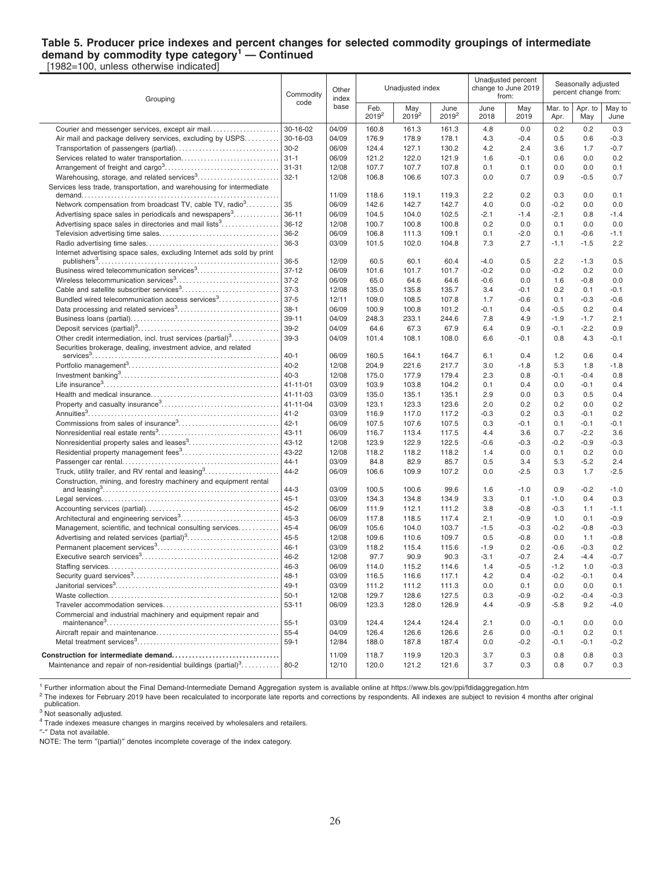#### **Table 5. Producer price indexes and percent changes for selected commodity groupings of intermediate demand by commodity type category<sup>1</sup> — Continued** [1982=100, unless otherwise indicated]

Grouping Commodity code **Other** index base Unadjusted index Unadjusted percent change to June 2019 from: Seasonally adjusted percent change from: Feb. 2019<sup>2</sup> May  $2019^{2}$ June 2019<sup>2</sup> June 2018 May 2019 Mar. to Apr. Apr. to May May to June Courier and messenger services, except air mail. . . . . . . . . . . . . . . . . . . . . 30-16-02 04/09 160.8 161.3 161.3 4.8 0.0 0.2 0.2 0.3 Air mail and package delivery services, excluding by USPS. . . . . . . . . . 30-16-03 04/09 176.9 178.9 178.1 4.3 -0.4 0.5 0.6 -0.3 Transportation of passengers (partial). . . . . . . . . . . . . . . . . . . . . . . . . . . . . . . 30-2 06/09 124.4 127.1 130.2 4.2 2.4 3.6 1.7 -0.7 Services related to water transportation. . . . . . . . . . . . . . . . . . . . . . . . . . . . . . 31-1 06/09 121.2 122.0 121.9 1.6 -0.1 0.6 0.0 0.2 Arrangement of freight and cargo<sup>3</sup> . . . . . . . . . . . . . . . . . . . . . . . . . . . . . . . . . . . 31-31 12/08 107.7 107.7 107.8 0.1 0.1 0.0 0.0 0.1 Warehousing, storage, and related services<sup>3</sup> . . . . . . . . . . . . . . . . . . . . . . . . . 32-1 12/08 106.8 106.6 107.3 0.0 0.7 0.9 -0.5 0.7 Services less trade, transportation, and warehousing for intermediate demand. . . . . . . . . . . . . . . . . . . . . . . . . . . . . . . . . . . . . . . . . . . . . . . . . . . . . . . . . . . . 11/09 118.6 119.1 119.3 2.2 0.2 0.3 0.0 0.1 Network compensation from broadcast TV, cable TV, radio<sup>3</sup>......... . . . . . . . . . 35 |06/09 | 142.6 142.7 142.7 | 4.0 0.0 | -0.2 0.0 0.0 Advertising space sales in periodicals and newspapers<sup>3</sup>.............| 36-11  $\big| 06/09 \big| 104.5$  104.0 102.5 -2.1 -1.4 -2.1 0.8 -1.4 Advertising space sales in directories and mail lists<sup>3</sup>.................| 36-12 | 12/08 | 100.7 100.8 | 100.8 | 0.2 0.0 | 0.1 0.0 0.0 Television advertising time sales. . . . . . . . . . . . . . . . . . . . . . . . . . . . . . . . . . . . 36-2 06/09 106.8 111.3 109.1 0.1 -2.0 0.1 -0.6 -1.1 Radio advertising time sales. . . . . . . . . . . . . . . . . . . . . . . . . . . . . . . . . . . . . . . . 36-3 03/09 101.5 102.0 104.8 7.3 2.7 -1.1 -1.5 2.2 Internet advertising space sales, excluding Internet ads sold by print publishers<sup>3</sup> . . . . . . . . . . . . . . . . . . . . . . . . . . . . . . . . . . . . . . . . . . . . . . . . . . . . . . . 36-5 12/09 60.5 60.1 60.4 -4.0 0.5 2.2 -1.3 0.5 Business wired telecommunication services<sup>3</sup> . . . . . . . . . . . . . . . . . . . . . . . . . 37-12 06/09 101.6 101.7 101.7 -0.2 0.0 -0.2 0.2 0.0 Wireless telecommunication services<sup>3</sup> . . . . . . . . . . . . . . . . . . . . . . . . . . . . . . . 37-2 06/09 65.0 64.6 64.6 -0.6 0.0 1.6 -0.8 0.0 Cable and satellite subscriber services<sup>3</sup> . . . . . . . . . . . . . . . . . . . . . . . . . . . . . 37-3 12/08 135.0 135.8 135.7 3.4 -0.1 0.2 0.1 -0.1 Bundled wired telecommunication access services<sup>3</sup> . . . . . . . . . . . . . 37-5 |12/11 | 109.0 108.5 107.8 | 1.7 -0.6 | 0.1 -0.3 -0.6 Data processing and related services<sup>3</sup> . . . . . . . . . . . . . . . . . . . . . . . . . . . . . . . 38-1 06/09 100.9 100.8 101.2 -0.1 0.4 -0.5 0.2 0.4 Business loans (partial). . . . . . . . . . . . . . . . . . . . . . . . . . . . . . . . . . . . . . . . . . . . . 39-11 04/09 248.3 233.1 244.6 7.8 4.9 -1.9 -1.7 2.1 Deposit services (partial)<sup>3</sup> . . . . . . . . . . . . . . . . . . . . . . . . . . . . . . . . . . . . . . . . . . . 39-2 04/09 64.6 67.3 67.9 6.4 0.9 -0.1 -2.2 0.9 Other credit intermediation, incl. trust services (partial)<sup>3</sup>..............| 39-3 | 04/09 | 101.4 108.1 108.0 | 6.6 -0.1 | 0.8 4.3 -0.1 Securities brokerage, dealing, investment advice, and related services<sup>3</sup> . . . . . . . . . . . . . . . . . . . . . . . . . . . . . . . . . . . . . . . . . . . . . . . . . . . . . . . . . 40-1 06/09 160.5 164.1 164.7 6.1 0.4 1.2 0.6 0.4 Portfolio management<sup>3</sup> . . . . . . . . . . . . . . . . . . . . . . . . . . . . . . . . . . . . . . . . . . . . . . 40-2 12/08 204.9 221.6 217.7 3.0 -1.8 5.3 1.8 -1.8 Investment banking<sup>3</sup> . . . . . . . . . . . . . . . . . . . . . . . . . . . . . . . . . . . . . . . . . . . . . . . . 40-3 12/08 175.0 177.9 179.4 2.3 0.8 -0.1 -0.4 0.8 Life insurance<sup>3</sup> . . . . . . . . . . . . . . . . . . . . . . . . . . . . . . . . . . . . . . . . . . . . . . . . . . . . . 41-11-01 03/09 103.9 103.8 104.2 0.1 0.4 0.0 -0.1 0.4 Health and medical insurance. . . . . . . . . . . . . . . . . . . . . . . . . . . . . . . . . . . . . . . 41-11-03 03/09 135.0 135.1 135.1 2.9 0.0 0.3 0.5 0.4 Property and casualty insurance<sup>3</sup> . . . . . . . . . . . . . . . . . . . . . . . . . . . . . . . . . . . . 41-11-04 03/09 123.1 123.3 123.6 2.0 0.2 0.2 0.0 0.2 Annuities<sup>3</sup> . . . . . . . . . . . . . . . . . . . . . . . . . . . . . . . . . . . . . . . . . . . . . . . . . . . . . . . . . . 41-2 03/09 116.9 117.0 117.2 -0.3 0.2 0.3 -0.1 0.2 Commissions from sales of insurance<sup>3</sup> . . . . . . . . . . . . . . . . . . . . . . . . . . . . . . 42-1 06/09 107.5 107.6 107.5 0.3 -0.1 0.1 -0.1 -0.1 Nonresidential real estate rents<sup>3</sup> . . . . . . . . . . . . . . . . . . . . . . . . . . . . . . . . . . . . . 43-11 06/09 116.7 113.4 117.5 4.4 3.6 0.7 -2.2 3.6 Nonresidential property sales and leases<sup>3</sup> . . . . . . . . . . . . . . . . . . . . . . . . . . . 43-12 12/08 123.9 122.9 122.5 -0.6 -0.3 -0.2 -0.9 -0.3 Residential property management fees<sup>3</sup>...........................| 43-22 | 12/08 | 118.2 118.2 | 118.2 | 1.4 0.0 | 0.1 0.2 0.0 Passenger car rental. . . . . . . . . . . . . . . . . . . . . . . . . . . . . . . . . . . . . . . . . . . . . . . . 44-1 03/09 84.8 82.9 85.7 0.5 3.4 5.3 -5.2 2.4 Truck, utility trailer, and RV rental and leasing<sup>3</sup>……………………| 44-2  $\qquad$  | 06/09 | 106.6 109.9 107.2 | 0.0 -2.5 | 0.3 1.7 -2.5 Construction, mining, and forestry machinery and equipment rental and leasing<sup>3</sup> . . . . . . . . . . . . . . . . . . . . . . . . . . . . . . . . . . . . . . . . . . . . . . . . . . . . . . 44-3 03/09 100.5 100.6 99.6 1.6 -1.0 0.9 -0.2 -1.0 Legal services. . . . . . . . . . . . . . . . . . . . . . . . . . . . . . . . . . . . . . . . . . . . . . . . . . . . . . 45-1 03/09 134.3 134.8 134.9 3.3 0.1 -1.0 0.4 0.3 Accounting services (partial). . . . . . . . . . . . . . . . . . . . . . . . . . . . . . . . . . . . . . . . 45-2 06/09 111.9 112.1 111.2 3.8 -0.8 -0.3 1.1 -1.1 Architectural and engineering services<sup>3</sup> . . . . . . . . . . . . . . . . . . . . . . . . . . . . . . 45-3 06/09 117.8 118.5 117.4 2.1 -0.9 1.0 0.1 -0.9 Management, scientific, and technical consulting services. . . . . . . . . . 45-4  $\vert$  06/09 | 105.6 104.0 103.7 | -1.5 -0.3 | -0.2 -0.8 -0.3 Advertising and related services (partial)<sup>3</sup> . . . . . . . . . . . . . . . . . . . . . . . . . . . . 45-5 12/08 109.6 110.6 109.7 0.5 -0.8 0.0 1.1 -0.8 Permanent placement services<sup>3</sup> . . . . . . . . . . . . . . . . . . . . . . . . . . . . . . . . . . . . . 46-1 03/09 118.2 115.4 115.6 -1.9 0.2 -0.6 -0.3 0.2 Executive search services<sup>3</sup> . . . . . . . . . . . . . . . . . . . . . . . . . . . . . . . . . . . . . . . . . . 46-2 12/08 97.7 90.9 90.3 -3.1 -0.7 2.4 -4.4 -0.7 Staffing services. . . . . . . . . . . . . . . . . . . . . . . . . . . . . . . . . . . . . . . . . . . . . . . . . . . . 46-3 06/09 114.0 115.2 114.6 1.4 -0.5 -1.2 1.0 -0.3 Security guard services<sup>3</sup> . . . . . . . . . . . . . . . . . . . . . . . . . . . . . . . . . . . . . . . . . . . . 48-1 03/09 116.5 116.6 117.1 4.2 0.4 -0.2 -0.1 0.4 Janitorial services<sup>3</sup> . . . . . . . . . . . . . . . . . . . . . . . . . . . . . . . . . . . . . . . . . . . . . . . . . . 49-1 03/09 111.2 111.2 111.3 0.0 0.1 0.0 0.0 0.1 Waste collection. . . . . . . . . . . . . . . . . . . . . . . . . . . . . . . . . . . . . . . . . . . . . . . . . . . . 50-1 12/08 129.7 128.6 127.5 0.3 -0.9 -0.2 -0.4 -0.3 Traveler accommodation services. . . . . . . . . . . . . . . . . . . . . . . . . . . . . . . . . . . 53-11 06/09 123.3 128.0 126.9 4.4 -0.9 -5.8 9.2 -4.0 Commercial and industrial machinery and equipment repair and maintenance<sup>3</sup> . . . . . . . . . . . . . . . . . . . . . . . . . . . . . . . . . . . . . . . . . . . . . . . . . . . . 55-1 03/09 124.4 124.4 124.4 2.1 0.0 -0.1 0.0 0.0 Aircraft repair and maintenance. . . . . . . . . . . . . . . . . . . . . . . . . . . . . . . . . . . . . 55-4 04/09 126.4 126.6 126.6 2.6 0.0 -0.1 0.2 0.1 Metal treatment services<sup>3</sup> . . . . . . . . . . . . . . . . . . . . . . . . . . . . . . . . . . . . . . . . . . . 59-1 12/84 188.0 187.8 187.4 0.0 -0.2 -0.1 -0.1 -0.2 **Construction for intermediate demand. . . . . . . . . . . . . . . . . . . . . . . . . . . . . . . .** 11/09 118.7 119.9 120.3 3.7 0.3 0.8 0.8 0.3 Maintenance and repair of non-residential buildings (partial)<sup>3</sup>........... 80-2 | 12/10 | 120.0 121.2 121.6 | 3.7 0.3 | 0.8 0.7 0.3

<sup>1</sup> Further information about the Final Demand-Intermediate Demand Aggregation system is available online at https://www.bls.gov/ppi/fdidaggregation.htm

<sup>2</sup> The indexes for February 2019 have been recalculated to incorporate late reports and corrections by respondents. All indexes are subject to revision 4 months after original publication.

<sup>4</sup> Trade indexes measure changes in margins received by wholesalers and retailers.

″-″ Data not available.

NOTE: The term ″(partial)″ denotes incomplete coverage of the index category.

<sup>3</sup> Not seasonally adjusted.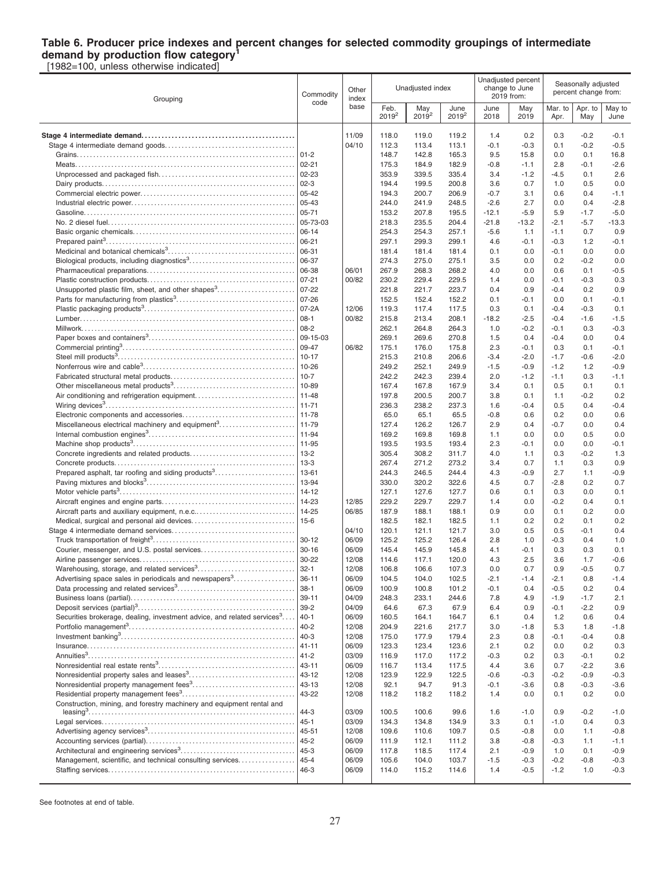#### **Table 6. Producer price indexes and percent changes for selected commodity groupings of intermediate demand by production flow category<sup>1</sup>** [1982=100, unless otherwise indicated]

Grouping Commodity code **Other** index base Unadjusted index Unadjusted percent change to June 2019 from: Seasonally adjusted percent change from: Feb. 2019<sup>2</sup> May 2019<sup>2</sup> June 2019<sup>2</sup> June 2018 May 2019 Mar<sub>to</sub> Apr. Apr. to **May** May to June **Stage 4 intermediate demand. . . . . . . . . . . . . . . . . . . . . . . . . . . . . . . . . . . . . . . . . . . . . .** 11/09 118.0 119.0 119.2 1.4 0.2 0.3 -0.2 -0.1 Stage 4 intermediate demand goods. . . . . . . . . . . . . . . . . . . . . . . . . . . . . . . . . . . . . . . 04/10 112.3 113.4 113.1 -0.1 -0.3 0.1 -0.2 -0.5 Grains. . . . . . . . . . . . . . . . . . . . . . . . . . . . . . . . . . . . . . . . . . . . . . . . . . . . . . . . . . . . . . . . . . 01-2 148.7 142.8 165.3 9.5 15.8 0.0 0.1 16.8 Meats. . . . . . . . . . . . . . . . . . . . . . . . . . . . . . . . . . . . . . . . . . . . . . . . . . . . . . . . . . . . . . . . . . . 02-21 175.3 184.9 182.9 -0.8 -1.1 2.8 -0.1 -2.6 Unprocessed and packaged fish. . . . . . . . . . . . . . . . . . . . . . . . . . . . . . . . . . . . . . . . . 02-23 353.9 339.5 335.4 3.4 -1.2 -4.5 0.1 2.6 Dairy products. . . . . . . . . . . . . . . . . . . . . . . . . . . . . . . . . . . . . . . . . . . . . . . . . . . . . . . . . . . 02-3 194.4 199.5 200.8 3.6 0.7 1.0 0.5 0.0 Commercial electric power. . . . . . . . . . . . . . . . . . . . . . . . . . . . . . . . . . . . . . . . . . . . . . . 05-42 194.3 200.7 206.9 -0.7 3.1 0.6 0.4 -1.1 Industrial electric power. . . . . . . . . . . . . . . . . . . . . . . . . . . . . . . . . . . . . . . . . . . . . . . . . . 05-43 244.0 241.9 248.5 -2.6 2.7 0.0 0.4 -2.8 Gasoline. . . . . . . . . . . . . . . . . . . . . . . . . . . . . . . . . . . . . . . . . . . . . . . . . . . . . . . . . . . . . . . . 05-71 153.2 207.8 195.5 -12.1 -5.9 5.9 -1.7 -5.0 No. 2 diesel fuel. . . . . . . . . . . . . . . . . . . . . . . . . . . . . . . . . . . . . . . . . . . . . . . . . . . . . . . . . 05-73-03 218.3 235.5 204.4 -21.8 -13.2 -2.1 -5.7 -13.3 Basic organic chemicals. . . . . . . . . . . . . . . . . . . . . . . . . . . . . . . . . . . . . . . . . . . . . . . . . 06-14 254.3 254.3 257.1 -5.6 1.1 -1.1 0.7 0.9 Prepared paint<sup>3</sup> . . . . . . . . . . . . . . . . . . . . . . . . . . . . . . . . . . . . . . . . . . . . . . . . . . . . . . . . . 06-21 297.1 299.3 299.1 4.6 -0.1 -0.3 1.2 -0.1 Medicinal and botanical chemicals<sup>3</sup> . . . . . . . . . . . . . . . . . . . . . . . . . . . . . . . . . . . . . . 06-31 181.4 181.4 181.4 0.1 0.0 -0.1 0.0 0.0 Biological products, including diagnostics<sup>3</sup> . . . . . . . . . . . . . . . . . . . . . . . . . . . . . . . . 06-37 274.3 275.0 275.1 3.5 0.0 0.2 -0.2 0.0 Pharmaceutical preparations. . . . . . . . . . . . . . . . . . . . . . . . . . . . . . . . . . . . . . . . . . . . . 06-38 06/01 267.9 268.3 268.2 4.0 0.0 0.6 0.1 -0.5 Plastic construction products. . . . . . . . . . . . . . . . . . . . . . . . . . . . . . . . . . . . . . . . . . . . . 07-21 00/82 230.2 229.4 229.5 1.4 0.0 -0.1 -0.3 0.3 Unsupported plastic film, sheet, and other shapes<sup>3</sup> . . . . . . . . . . . . . . . . . . . . . . . 07-22 221.8 221.7 223.7 0.4 0.9 -0.4 0.2 0.9 Parts for manufacturing from plastics<sup>3</sup> . . . . . . . . . . . . . . . . . . . . . . . . . . . . . . . . . . . . 07-26 152.5 152.4 152.2 0.1 -0.1 0.0 0.1 -0.1 Plastic packaging products<sup>3</sup> . . . . . . . . . . . . . . . . . . . . . . . . . . . . . . . . . . . . . . . . . . . . . . 07-2A 12/06 119.3 117.4 117.5 0.3 0.1 -0.4 -0.3 0.1 Lumber. . . . . . . . . . . . . . . . . . . . . . . . . . . . . . . . . . . . . . . . . . . . . . . . . . . . . . . . . . . . . . . . . 08-1 00/82 215.8 213.4 208.1 -18.2 -2.5 -0.4 -1.6 -1.5 Millwork. . . . . . . . . . . . . . . . . . . . . . . . . . . . . . . . . . . . . . . . . . . . . . . . . . . . . . . . . . . . . . . . . 08-2 262.1 264.8 264.3 1.0 -0.2 -0.1 0.3 -0.3 Paper boxes and containers<sup>3</sup> . . . . . . . . . . . . . . . . . . . . . . . . . . . . . . . . . . . . . . . . . . . . 09-15-03 269.1 269.6 270.8 1.5 0.4 -0.4 0.0 0.4 Commercial printing<sup>3</sup> . . . . . . . . . . . . . . . . . . . . . . . . . . . . . . . . . . . . . . . . . . . . . . . . . . . . 09-47 06/82 175.1 176.0 175.8 2.3 -0.1 0.3 0.1 -0.1 Steel mill products<sup>3</sup> . . . . . . . . . . . . . . . . . . . . . . . . . . . . . . . . . . . . . . . . . . . . . . . . . . . . . . 10-17 215.3 210.8 206.6 -3.4 -2.0 -1.7 -0.6 -2.0 Nonferrous wire and cable<sup>3</sup> . . . . . . . . . . . . . . . . . . . . . . . . . . . . . . . . . . . . . . . . . . . . . . 10-26 249.2 252.1 249.9 -1.5 -0.9 -1.2 1.2 -0.9 Fabricated structural metal products. . . . . . . . . . . . . . . . . . . . . . . . . . . . . . . . . . . . . . 10-7 242.2 242.3 239.4 2.0 -1.2 -1.1 0.3 -1.1 Other miscellaneous metal products<sup>3</sup> . . . . . . . . . . . . . . . . . . . . . . . . . . . . . . . . . . . . . 10-89 167.4 167.8 167.9 3.4 0.1 0.5 0.1 0.1 Air conditioning and refrigeration equipment. . . . . . . . . . . . . . . . . . . . . . . . . . . . . . 11-48 197.8 200.5 200.7 3.8 0.1 1.1 -0.2 0.2 Wiring devices<sup>3</sup> . . . . . . . . . . . . . . . . . . . . . . . . . . . . . . . . . . . . . . . . . . . . . . . . . . . . . . . . . 11-71 236.3 238.2 237.3 1.6 -0.4 0.5 0.4 -0.4 Electronic components and accessories. . . . . . . . . . . . . . . . . . . . . . . . . . . . . . . . . . 11-78 65.0 65.1 65.5 -0.8 0.6 0.2 0.0 0.6 Miscellaneous electrical machinery and equipment<sup>3</sup>.....................| 11-79  $\qquad$  | 127.4 126.2 126.7 | 2.9 0.4 | -0.7 0.0 0.4 Internal combustion engines<sup>3</sup> . . . . . . . . . . . . . . . . . . . . . . . . . . . . . . . . . . . . . . . . . . . . 11-94 169.2 169.8 169.8 1.1 0.0 0.0 0.5 0.0 Machine shop products<sup>3</sup> . . . . . . . . . . . . . . . . . . . . . . . . . . . . . . . . . . . . . . . . . . . . . . . . . 11-95 193.5 193.5 193.4 2.3 -0.1 0.0 0.0 -0.1 Concrete ingredients and related products. . . . . . . . . . . . . . . . . . . . . . . . . . . . . . . . 13-2 305.4 308.2 311.7 4.0 1.1 0.3 -0.2 1.3 Concrete products. . . . . . . . . . . . . . . . . . . . . . . . . . . . . . . . . . . . . . . . . . . . . . . . . . . . . . . 13-3 267.4 271.2 273.2 3.4 0.7 1.1 0.3 0.9 Prepared asphalt, tar roofing and siding products<sup>3</sup>.....................| 13-61 | | | | | 244.3 246.5 244.4 | | 4.3 -0.9 | 2.7 1.1 -0.9 Paving mixtures and blocks<sup>3</sup> . . . . . . . . . . . . . . . . . . . . . . . . . . . . . . . . . . . . . . . . . . . . . 13-94 330.0 320.2 322.6 4.5 0.7 -2.8 0.2 0.7 Motor vehicle parts<sup>3</sup> . . . . . . . . . . . . . . . . . . . . . . . . . . . . . . . . . . . . . . . . . . . . . . . . . . . . . 14-12 127.1 127.6 127.7 0.6 0.1 0.3 0.0 0.1 Aircraft engines and engine parts. . . . . . . . . . . . . . . . . . . . . . . . . . . . . . . . . . . . . . . . 14-23 12/85 229.2 229.7 229.7 1.4 0.0 -0.2 0.4 0.1 Aircraft parts and auxiliary equipment, n.e.c.. . . . . . . . . . . . . . . . . . . . . . . . . . . . . . 14-25 06/85 187.9 188.1 188.1 0.9 0.0 0.1 0.2 0.0 Medical, surgical and personal aid devices. . . . . . . . . . . . . . . . . . . . . . . . . . . . . . . 15-6 182.5 182.1 182.5 1.1 0.2 0.2 0.1 0.2 Stage 4 intermediate demand services. . . . . . . . . . . . . . . . . . . . . . . . . . . . . . . . . . . . . 04/10 120.1 121.1 121.7 3.0 0.5 0.5 -0.1 0.4 Truck transportation of freight<sup>3</sup> . . . . . . . . . . . . . . . . . . . . . . . . . . . . . . . . . . . . . . . . . . . 30-12 06/09 125.2 125.2 126.4 2.8 1.0 -0.3 0.4 1.0 Courier, messenger, and U.S. postal services. . . . . . . . . . . . . . . . . . . . . . . . . . . . 30-16 06/09 145.4 145.9 145.8 4.1 -0.1 0.3 0.3 0.1 Airline passenger services. . . . . . . . . . . . . . . . . . . . . . . . . . . . . . . . . . . . . . . . . . . . . . . 30-22 12/08 114.6 117.1 120.0 4.3 2.5 3.6 1.7 -0.6 Warehousing, storage, and related services<sup>3</sup> . . . . . . . . . . . . . . . . . . . . . . . . . . . . . 32-1 12/08 106.8 106.6 107.3 0.0 0.7 0.9 -0.5 0.7 Advertising space sales in periodicals and newspapers<sup>3</sup>. . . . . . . . . . . . . . . . 36-11  $\begin{array}{|l} 36.11 & 06/09 & 104.5 & 104.0 & 102.5 & -2.1 & -1.4 & -2.1 & 0.8 & -1.4 \end{array}$ Data processing and related services<sup>3</sup> . . . . . . . . . . . . . . . . . . . . . . . . . . . . . . . . . . . . 38-1 06/09 100.9 100.8 101.2 -0.1 0.4 -0.5 0.2 0.4 Business loans (partial). . . . . . . . . . . . . . . . . . . . . . . . . . . . . . . . . . . . . . . . . . . . . . . . . . 39-11 04/09 248.3 233.1 244.6 7.8 4.9 -1.9 -1.7 2.1 Deposit services (partial)<sup>3</sup> . . . . . . . . . . . . . . . . . . . . . . . . . . . . . . . . . . . . . . . . . . . . . . . . 39-2 04/09 64.6 67.3 67.9 6.4 0.9 -0.1 -2.2 0.9 Securities brokerage, dealing, investment advice, and related services<sup>3</sup>.... ....|40-1 | 06/09 | 160.5 164.1 164.7 | 6.1 0.4 | 1.2 0.6 0.4 Portfolio management<sup>3</sup> . . . . . . . . . . . . . . . . . . . . . . . . . . . . . . . . . . . . . . . . . . . . . . . . . . 40-2 12/08 204.9 221.6 217.7 3.0 -1.8 5.3 1.8 -1.8 Investment banking<sup>3</sup> . . . . . . . . . . . . . . . . . . . . . . . . . . . . . . . . . . . . . . . . . . . . . . . . . . . . . 40-3 12/08 175.0 177.9 179.4 2.3 0.8 -0.1 -0.4 0.8 Insurance. . . . . . . . . . . . . . . . . . . . . . . . . . . . . . . . . . . . . . . . . . . . . . . . . . . . . . . . . . . . . . . 41-11 06/09 123.3 123.4 123.6 2.1 0.2 0.0 0.2 0.3 Annuities<sup>3</sup> . . . . . . . . . . . . . . . . . . . . . . . . . . . . . . . . . . . . . . . . . . . . . . . . . . . . . . . . . . . . . . . 41-2 03/09 116.9 117.0 117.2 -0.3 0.2 0.3 -0.1 0.2 Nonresidential real estate rents<sup>3</sup> . . . . . . . . . . . . . . . . . . . . . . . . . . . . . . . . . . . . . . . . . 43-11 06/09 116.7 113.4 117.5 4.4 3.6 0.7 -2.2 3.6 Nonresidential property sales and leases<sup>3</sup> . . . . . . . . . . . . . . . . . . . . . . . . . . . . . . . . 43-12 12/08 123.9 122.9 122.5 -0.6 -0.3 -0.2 -0.9 -0.3 Nonresidential property management fees<sup>3</sup> . . . . . . . . . . . . . . . . . . . . . . . . . . . . . . . 43-13 12/08 92.1 94.7 91.3 -0.1 -3.6 0.8 -0.3 -3.6 Residential property management fees<sup>3</sup>..................................|43-22 | 12/08 | 118.2 118.2 118.2 | 1.4 0.0 | 0.1 0.2 0.0 Construction, mining, and forestry machinery and equipment rental and leasing<sup>3</sup> . . . . . . . . . . . . . . . . . . . . . . . . . . . . . . . . . . . . . . . . . . . . . . . . . . . . . . . . . . . . . . . 44-3 03/09 100.5 100.6 99.6 1.6 -1.0 0.9 -0.2 -1.0 Legal services. . . . . . . . . . . . . . . . . . . . . . . . . . . . . . . . . . . . . . . . . . . . . . . . . . . . . . . . . . . 45-1 03/09 134.3 134.8 134.9 3.3 0.1 -1.0 0.4 0.3 Advertising agency services<sup>3</sup> . . . . . . . . . . . . . . . . . . . . . . . . . . . . . . . . . . . . . . . . . . . . . 45-51 12/08 109.6 110.6 109.7 0.5 -0.8 0.0 1.1 -0.8 Accounting services (partial). . . . . . . . . . . . . . . . . . . . . . . . . . . . . . . . . . . . . . . . . . . . . 45-2 06/09 111.9 112.1 111.2 3.8 -0.8 -0.3 1.1 -1.1 Architectural and engineering services<sup>3</sup> . . . . . . . . . . . . . . . . . . . . . . . . . . . . . . . . . . . 45-3 06/09 117.8 118.5 117.4 2.1 -0.9 1.0 0.1 -0.9 Management, scientific, and technical consulting services. . . . . . . . . . . . . 45-4  $\sqrt{06/09}$  | 105.6 104.0 103.7 | -1.5 -0.3 | -0.2 -0.8 -0.3 Staffing services. . . . . . . . . . . . . . . . . . . . . . . . . . . . . . . . . . . . . . . . . . . . . . . . . . . . . . . . . 46-3 06/09 114.0 115.2 114.6 1.4 -0.5 -1.2 1.0 -0.3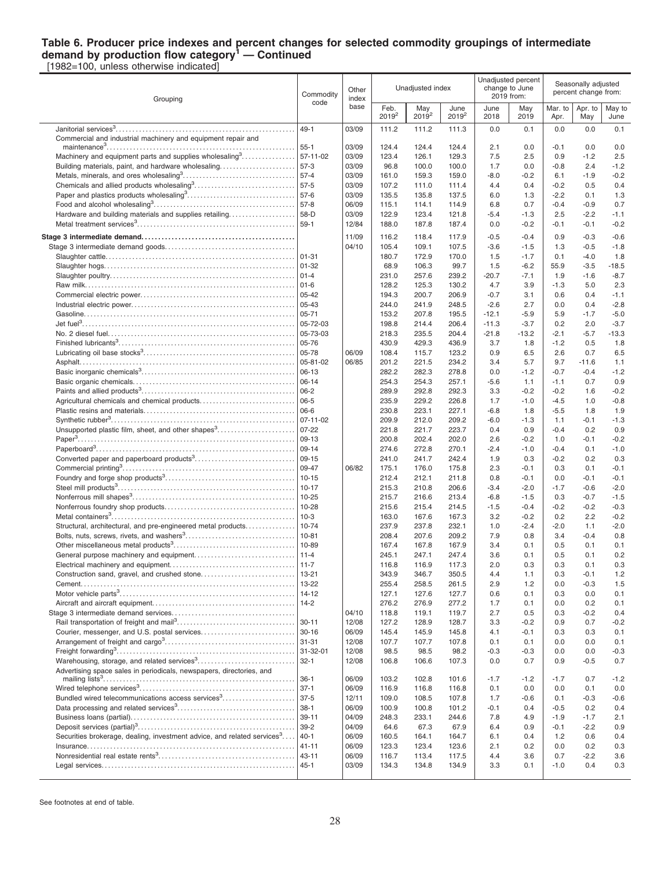#### **Table 6. Producer price indexes and percent changes for selected commodity groupings of intermediate demand by production flow category<sup>1</sup> — Continued**

[1982=100, unless otherwise indicated]

| Grouping                                                                            | Commodity<br>code    | Other<br>index | Unadjusted index          |                 |                  | Unadjusted percent<br>change to June<br>2019 from: |                   | Seasonally adjusted<br>percent change from: |                  |                   |
|-------------------------------------------------------------------------------------|----------------------|----------------|---------------------------|-----------------|------------------|----------------------------------------------------|-------------------|---------------------------------------------|------------------|-------------------|
|                                                                                     |                      | base           | Feb.<br>2019 <sup>2</sup> | May<br>$2019^2$ | June<br>$2019^2$ | June<br>2018                                       | May<br>2019       | Mar. to<br>Apr.                             | Apr. to<br>May   | May to<br>June    |
|                                                                                     | $49 - 1$             | 03/09          | 111.2                     | 111.2           | 111.3            | 0.0                                                | 0.1               | 0.0                                         | 0.0              | 0.1               |
| Commercial and industrial machinery and equipment repair and                        | 55-1                 | 03/09          | 124.4                     | 124.4           | 124.4            | 2.1                                                | 0.0               | $-0.1$                                      | 0.0              | 0.0               |
| Machinery and equipment parts and supplies wholesaling <sup>3</sup>                 | 57-11-02             | 03/09          | 123.4                     | 126.1           | 129.3            | 7.5                                                | 2.5               | 0.9                                         | $-1.2$           | 2.5               |
| Building materials, paint, and hardware wholesaling                                 | 57-3                 | 03/09          | 96.8                      | 100.0           | 100.0            | 1.7                                                | 0.0               | $-0.8$                                      | 2.4              | $-1.2$            |
|                                                                                     | 57-4                 | 03/09          | 161.0                     | 159.3           | 159.0            | $-8.0$                                             | $-0.2$            | 6.1                                         | $-1.9$           | $-0.2$            |
|                                                                                     | 57-5<br>57-6         | 03/09<br>03/09 | 107.2<br>135.5            | 111.0<br>135.8  | 111.4<br>137.5   | 4.4<br>6.0                                         | 0.4<br>1.3        | $-0.2$<br>$-2.2$                            | 0.5<br>0.1       | 0.4<br>1.3        |
|                                                                                     | $57 - 8$             | 06/09          | 115.1                     | 114.1           | 114.9            | 6.8                                                | 0.7               | $-0.4$                                      | $-0.9$           | 0.7               |
| Hardware and building materials and supplies retailing                              | 58-D                 | 03/09          | 122.9                     | 123.4           | 121.8            | $-5.4$                                             | $-1.3$            | 2.5                                         | $-2.2$           | $-1.1$            |
|                                                                                     | $59-1$               | 12/84          | 188.0                     | 187.8           | 187.4            | 0.0                                                | $-0.2$            | $-0.1$                                      | $-0.1$           | $-0.2$            |
|                                                                                     |                      | 11/09          | 116.2                     | 118.4           | 117.9            | $-0.5$                                             | $-0.4$            | 0.9                                         | $-0.3$           | $-0.6$            |
|                                                                                     |                      | 04/10          | 105.4                     | 109.1           | 107.5            | $-3.6$                                             | $-1.5$            | 1.3                                         | $-0.5$           | $-1.8$            |
|                                                                                     | $ 01-31$             |                | 180.7                     | 172.9           | 170.0<br>99.7    | 1.5                                                | $-1.7$            | 0.1                                         | $-4.0$           | 1.8               |
|                                                                                     | $ 01-4$              |                | 68.9<br>231.0             | 106.3<br>257.6  | 239.2            | 1.5<br>$-20.7$                                     | $-6.2$<br>$-7.1$  | 55.9<br>1.9                                 | $-3.5$<br>$-1.6$ | $-18.5$<br>$-8.7$ |
|                                                                                     | $ 01-6$              |                | 128.2                     | 125.3           | 130.2            | 4.7                                                | 3.9               | $-1.3$                                      | 5.0              | 2.3               |
|                                                                                     | $05 - 42$            |                | 194.3                     | 200.7           | 206.9            | $-0.7$                                             | 3.1               | 0.6                                         | 0.4              | $-1.1$            |
|                                                                                     | $ 05 - 43$           |                | 244.0                     | 241.9           | 248.5            | $-2.6$                                             | 2.7               | 0.0                                         | 0.4              | $-2.8$            |
|                                                                                     | $05 - 71$            |                | 153.2                     | 207.8           | 195.5            | $-12.1$                                            | $-5.9$            | 5.9                                         | $-1.7$           | $-5.0$            |
|                                                                                     | 05-72-03<br>05-73-03 |                | 198.8<br>218.3            | 214.4<br>235.5  | 206.4<br>204.4   | $-11.3$<br>$-21.8$                                 | $-3.7$<br>$-13.2$ | 0.2<br>$-2.1$                               | 2.0<br>$-5.7$    | $-3.7$<br>$-13.3$ |
|                                                                                     | 05-76                |                | 430.9                     | 429.3           | 436.9            | 3.7                                                | 1.8               | $-1.2$                                      | 0.5              | 1.8               |
|                                                                                     | 05-78                | 06/09          | 108.4                     | 115.7           | 123.2            | 0.9                                                | 6.5               | 2.6                                         | 0.7              | 6.5               |
|                                                                                     | 05-81-02             | 06/85          | 201.2                     | 221.5           | 234.2            | 3.4                                                | 5.7               | 9.7                                         | $-11.6$          | 1.1               |
|                                                                                     | 06-13                |                | 282.2                     | 282.3           | 278.8            | 0.0                                                | $-1.2$            | $-0.7$                                      | $-0.4$           | $-1.2$            |
|                                                                                     | 06-14<br>06-2        |                | 254.3<br>289.9            | 254.3<br>292.8  | 257.1<br>292.3   | $-5.6$<br>3.3                                      | 1.1<br>$-0.2$     | $-1.1$<br>$-0.2$                            | 0.7<br>1.6       | 0.9<br>$-0.2$     |
|                                                                                     | 06-5                 |                | 235.9                     | 229.2           | 226.8            | 1.7                                                | $-1.0$            | $-4.5$                                      | 1.0              | $-0.8$            |
|                                                                                     | 06-6                 |                | 230.8                     | 223.1           | 227.1            | $-6.8$                                             | 1.8               | $-5.5$                                      | 1.8              | 1.9               |
|                                                                                     | $07 - 11 - 02$       |                | 209.9                     | 212.0           | 209.2            | $-6.0$                                             | $-1.3$            | 1.1                                         | $-0.1$           | $-1.3$            |
| Unsupported plastic film, sheet, and other shapes <sup>3</sup>                      | $ 07-22$             |                | 221.8                     | 221.7           | 223.7            | 0.4                                                | 0.9               | $-0.4$                                      | 0.2              | 0.9               |
|                                                                                     | 09-13<br>09-14       |                | 200.8<br>274.6            | 202.4<br>272.8  | 202.0<br>270.1   | 2.6<br>$-2.4$                                      | $-0.2$<br>$-1.0$  | 1.0<br>$-0.4$                               | $-0.1$<br>0.1    | $-0.2$<br>$-1.0$  |
|                                                                                     | 09-15                |                | 241.0                     | 241.7           | 242.4            | 1.9                                                | 0.3               | $-0.2$                                      | 0.2              | 0.3               |
|                                                                                     | 09-47                | 06/82          | 175.1                     | 176.0           | 175.8            | 2.3                                                | $-0.1$            | 0.3                                         | 0.1              | $-0.1$            |
|                                                                                     | $10 - 15$            |                | 212.4                     | 212.1           | 211.8            | 0.8                                                | $-0.1$            | 0.0                                         | $-0.1$           | $-0.1$            |
|                                                                                     | $10 - 17$            |                | 215.3                     | 210.8           | 206.6            | $-3.4$                                             | $-2.0$            | $-1.7$                                      | $-0.6$           | $-2.0$            |
|                                                                                     | 10-25<br>10-28       |                | 215.7<br>215.6            | 216.6<br>215.4  | 213.4<br>214.5   | $-6.8$<br>$-1.5$                                   | $-1.5$<br>$-0.4$  | 0.3<br>$-0.2$                               | $-0.7$<br>$-0.2$ | $-1.5$<br>$-0.3$  |
|                                                                                     | $10-3$               |                | 163.0                     | 167.6           | 167.3            | 3.2                                                | $-0.2$            | 0.2                                         | 2.2              | $-0.2$            |
| Structural, architectural, and pre-engineered metal products                        | 10-74                |                | 237.9                     | 237.8           | 232.1            | 1.0                                                | $-2.4$            | $-2.0$                                      | 1.1              | $-2.0$            |
|                                                                                     | 10-81                |                | 208.4                     | 207.6           | 209.2            | 7.9                                                | 0.8               | 3.4                                         | $-0.4$           | 0.8               |
|                                                                                     | 10-89                |                | 167.4                     | 167.8           | 167.9            | 3.4                                                | 0.1               | 0.5                                         | 0.1              | 0.1               |
|                                                                                     | $11-7$               |                | 245.1<br>116.8            | 247.1<br>116.9  | 247.4<br>117.3   | 3.6<br>2.0                                         | 0.1<br>0.3        | 0.5<br>0.3                                  | 0.1<br>0.1       | 0.2<br>0.3        |
|                                                                                     | 13-21                |                | 343.9                     | 346.7           | 350.5            | 4.4                                                | 1.1               | 0.3                                         | -0.1             | 1.2               |
|                                                                                     | 13-22                |                | 255.4                     | 258.5           | 261.5            | 2.9                                                | 1.2               | 0.0                                         | $-0.3$           | 1.5               |
|                                                                                     | $14 - 12$            |                | 127.1                     | 127.6           | 127.7            | 0.6                                                | 0.1               | 0.3                                         | 0.0              | 0.1               |
|                                                                                     | $14-2$               |                | 276.2                     | 276.9           | 277.2            | 1.7                                                | 0.1               | 0.0                                         | 0.2              | 0.1               |
|                                                                                     | $30 - 11$            | 04/10<br>12/08 | 118.8<br>127.2            | 119.1<br>128.9  | 119.7<br>128.7   | 2.7<br>3.3                                         | 0.5<br>$-0.2$     | 0.3<br>0.9                                  | $-0.2$<br>0.7    | 0.4<br>-0.2       |
|                                                                                     | $30 - 16$            | 06/09          | 145.4                     | 145.9           | 145.8            | 4.1                                                | $-0.1$            | 0.3                                         | 0.3              | 0.1               |
|                                                                                     | 31-31                | 12/08          | 107.7                     | 107.7           | 107.8            | 0.1                                                | 0.1               | 0.0                                         | 0.0              | 0.1               |
|                                                                                     | 31-32-01             | 12/08          | 98.5                      | 98.5            | 98.2             | $-0.3$                                             | $-0.3$            | 0.0                                         | 0.0              | -0.3              |
| Warehousing, storage, and related services <sup>3</sup>                             | $32 - 1$             | 12/08          | 106.8                     | 106.6           | 107.3            | 0.0                                                | 0.7               | 0.9                                         | $-0.5$           | 0.7               |
| Advertising space sales in periodicals, newspapers, directories, and                | $36-1$               | 06/09          | 103.2                     | 102.8           | 101.6            | $-1.7$                                             | $-1.2$            | $-1.7$                                      | 0.7              | $-1.2$            |
|                                                                                     | $37-1$               | 06/09          | 116.9                     | 116.8           | 116.8            | 0.1                                                | 0.0               | 0.0                                         | 0.1              | 0.0               |
| Bundled wired telecommunications access services <sup>3</sup>                       | $37-5$               | 12/11          | 109.0                     | 108.5           | 107.8            | 1.7                                                | $-0.6$            | 0.1                                         | $-0.3$           | -0.6              |
|                                                                                     | $38-1$               | 06/09          | 100.9                     | 100.8           | 101.2            | $-0.1$                                             | 0.4               | $-0.5$                                      | 0.2              | 0.4               |
|                                                                                     | $39 - 11$<br>39-2    | 04/09<br>04/09 | 248.3<br>64.6             | 233.1<br>67.3   | 244.6<br>67.9    | 7.8<br>6.4                                         | 4.9<br>0.9        | $-1.9$<br>$-0.1$                            | $-1.7$<br>$-2.2$ | 2.1<br>0.9        |
| Securities brokerage, dealing, investment advice, and related services <sup>3</sup> | $40 - 1$             | 06/09          | 160.5                     | 164.1           | 164.7            | 6.1                                                | 0.4               | 1.2                                         | 0.6              | 0.4               |
|                                                                                     | 41-11                | 06/09          | 123.3                     | 123.4           | 123.6            | 2.1                                                | 0.2               | 0.0                                         | 0.2              | 0.3               |
|                                                                                     | 43-11                | 06/09          | 116.7                     | 113.4           | 117.5            | 4.4                                                | 3.6               | 0.7                                         | $-2.2$           | 3.6               |
|                                                                                     | $45 - 1$             | 03/09          | 134.3                     | 134.8           | 134.9            | 3.3                                                | 0.1               | $-1.0$                                      | 0.4              | 0.3               |
|                                                                                     |                      |                |                           |                 |                  |                                                    |                   |                                             |                  |                   |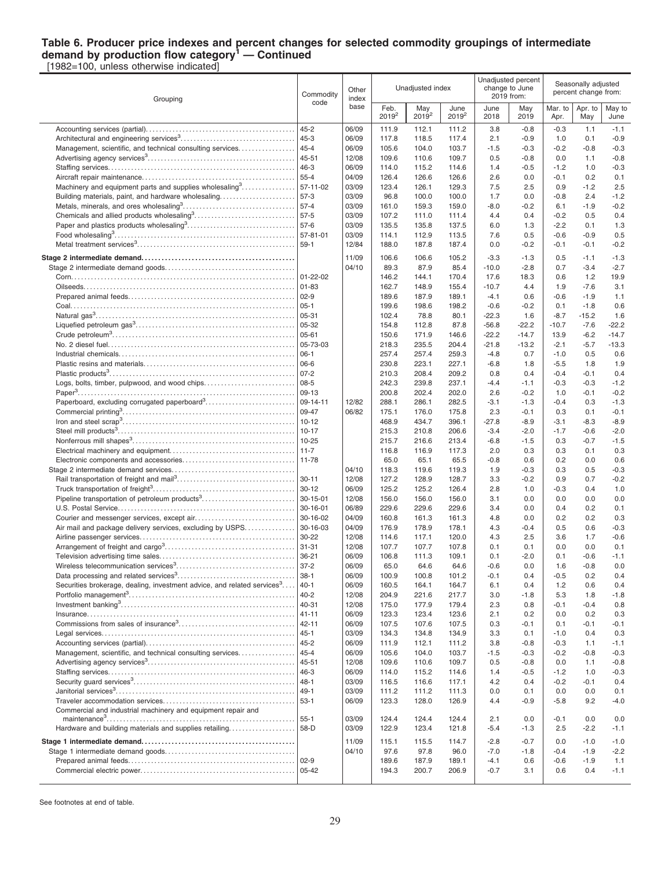#### **Table 6. Producer price indexes and percent changes for selected commodity groupings of intermediate demand by production flow category<sup>1</sup> — Continued** [1982=100, unless otherwise indicated]

Grouping Commodity code **Other** index base Unadiusted index Unadjusted percent change to June 2019 from: Seasonally adjusted percent change from: Feb. 2019<sup>2</sup> May 2019<sup>2</sup> June 2019<sup>2</sup> June 2018 May 2019 Mar<sub>to</sub> Apr. Apr. to May May to June Accounting services (partial). . . . . . . . . . . . . . . . . . . . . . . . . . . . . . . . . . . . . . . . . . . . . 45-2 06/09 111.9 112.1 111.2 3.8 -0.8 -0.3 1.1 -1.1 Architectural and engineering services<sup>3</sup> . . . . . . . . . . . . . . . . . . . . . . . . . . . . . . . . . . . 45-3 06/09 117.8 118.5 117.4 2.1 -0.9 1.0 0.1 -0.9 Management, scientific, and technical consulting services. . . . . . . . . . . . . . 45-4  $\sqrt{06/09}$  | 105.6 104.0 103.7 | -1.5 -0.3 | -0.2 -0.8 -0.3 Advertising agency services<sup>3</sup> . . . . . . . . . . . . . . . . . . . . . . . . . . . . . . . . . . . . . . . . . . . . . 45-51 12/08 109.6 110.6 109.7 0.5 -0.8 0.0 1.1 -0.8 Staffing services. . . . . . . . . . . . . . . . . . . . . . . . . . . . . . . . . . . . . . . . . . . . . . . . . . . . . . . . . 46-3 06/09 114.0 115.2 114.6 1.4 -0.5 -1.2 1.0 -0.3 Aircraft repair maintenance. . . . . . . . . . . . . . . . . . . . . . . . . . . . . . . . . . . . . . . . . . . . . . 55-4 04/09 126.4 126.6 126.6 2.6 0.0 -0.1 0.2 0.1 Machinery and equipment parts and supplies wholesaling<sup>3</sup>..............| 57-11-02  $\|$  03/09  $\|$  123.4 126.1 129.3  $\|$  7.5 2.5  $\|$  0.9 -1.2 2.5 Building materials, paint, and hardware wholesaling. . . . . . . . . . . . . . . . . . . . . . . 57-3 03/09 96.8 100.0 100.0 1.7 0.0 -0.8 2.4 -1.2 Metals, minerals, and ores wholesaling<sup>3</sup> . . . . . . . . . . . . . . . . . . . . . . . . . . . . . . . . . . 57-4 03/09 161.0 159.3 159.0 -8.0 -0.2 6.1 -1.9 -0.2 Chemicals and allied products wholesaling<sup>3</sup>...............................| 57-5  $\qquad$  | 03/09 | 107.2 111.0 111.4 | 4.4 0.4 | -0.2 0.5 0.4 Paper and plastics products wholesaling<sup>3</sup> . . . . . . . . . . . . . . . . . . . . . . . . . . . . . . . . . 57-6 03/09 135.5 135.8 137.5 6.0 1.3 -2.2 0.1 1.3 Food wholesaling<sup>3</sup> . . . . . . . . . . . . . . . . . . . . . . . . . . . . . . . . . . . . . . . . . . . . . . . . . . . . . . . 57-81-01 03/09 114.1 112.9 113.5 7.6 0.5 -0.6 -0.9 0.5 Metal treatment services<sup>3</sup> . . . . . . . . . . . . . . . . . . . . . . . . . . . . . . . . . . . . . . . . . . . . . . . . 59-1 12/84 188.0 187.8 187.4 0.0 -0.2 -0.1 -0.1 -0.2 **Stage 2 intermediate demand. . . . . . . . . . . . . . . . . . . . . . . . . . . . . . . . . . . . . . . . . . . . . .** 11/09 106.6 106.6 105.2 -3.3 -1.3 0.5 -1.1 -1.3 Stage 2 intermediate demand goods. . . . . . . . . . . . . . . . . . . . . . . . . . . . . . . . . . . . . . . 04/10 89.3 87.9 85.4 -10.0 -2.8 0.7 -3.4 -2.7 Corn. . . . . . . . . . . . . . . . . . . . . . . . . . . . . . . . . . . . . . . . . . . . . . . . . . . . . . . . . . . . . . . . . . . . 01-22-02 146.2 144.1 170.4 17.6 18.3 0.6 1.2 19.9 Oilseeds. . . . . . . . . . . . . . . . . . . . . . . . . . . . . . . . . . . . . . . . . . . . . . . . . . . . . . . . . . . . . . . . 01-83 162.7 148.9 155.4 -10.7 4.4 1.9 -7.6 3.1 Prepared animal feeds. . . . . . . . . . . . . . . . . . . . . . . . . . . . . . . . . . . . . . . . . . . . . . . . . . . 02-9 189.6 187.9 189.1 -4.1 0.6 -0.6 -1.9 1.1 Coal. . . . . . . . . . . . . . . . . . . . . . . . . . . . . . . . . . . . . . . . . . . . . . . . . . . . . . . . . . . . . . . . . . . . 05-1 199.6 198.6 198.2 -0.6 -0.2 0.1 -1.8 0.6 Natural gas<sup>3</sup> . . . . . . . . . . . . . . . . . . . . . . . . . . . . . . . . . . . . . . . . . . . . . . . . . . . . . . . . . . . . 05-31 102.4 78.8 80.1 -22.3 1.6 -8.7 -15.2 1.6 19 -56.8 -22.2 - 10.7 -7.6 -22.2 - 10.7 - 7.6 -22.2 - 154.8 - 112.8 - 112.8 - 156.8 -22.2 - 10.7 -7.6 -22.2 - 1 Crude petroleum<sup>3</sup> . . . . . . . . . . . . . . . . . . . . . . . . . . . . . . . . . . . . . . . . . . . . . . . . . . . . . . . 05-61 150.6 171.9 146.6 -22.2 -14.7 13.9 -6.2 -14.7 No. 2 diesel fuel. . . . . . . . . . . . . . . . . . . . . . . . . . . . . . . . . . . . . . . . . . . . . . . . . . . . . . . . . 05-73-03 218.3 235.5 204.4 -21.8 -13.2 -2.1 -5.7 -13.3 Industrial chemicals. . . . . . . . . . . . . . . . . . . . . . . . . . . . . . . . . . . . . . . . . . . . . . . . . . . . . 06-1 257.4 257.4 259.3 -4.8 0.7 -1.0 0.5 0.6 Plastic resins and materials. . . . . . . . . . . . . . . . . . . . . . . . . . . . . . . . . . . . . . . . . . . . . . 06-6 230.8 223.1 227.1 -6.8 1.8 -5.5 1.8 1.9 Plastic products<sup>3</sup> . . . . . . . . . . . . . . . . . . . . . . . . . . . . . . . . . . . . . . . . . . . . . . . . . . . . . . . . 07-2 210.3 208.4 209.2 0.8 0.4 -0.4 -0.1 0.4 Logs, bolts, timber, pulpwood, and wood chips. . . . . . . . . . . . . . . . . . . . . . . . . . . 08-5 242.3 239.8 237.1 -4.4 -1.1 -0.3 -0.3 -1.2 Paper<sup>3</sup> . . . . . . . . . . . . . . . . . . . . . . . . . . . . . . . . . . . . . . . . . . . . . . . . . . . . . . . . . . . . . . . . . . 09-13 200.8 202.4 202.0 2.6 -0.2 1.0 -0.1 -0.2 Paperboard, excluding corrugated paperboard<sup>3</sup>............................ 09-14-11 | 12/82 | 288.1 286.1 282.5 | 3.1 -1.3 | -0.4 0.3 -1.3 Commercial printing<sup>3</sup> . . . . . . . . . . . . . . . . . . . . . . . . . . . . . . . . . . . . . . . . . . . . . . . . . . . . 09-47 06/82 175.1 176.0 175.8 2.3 -0.1 0.3 0.1 -0.1 Iron and steel scrap<sup>3</sup> . . . . . . . . . . . . . . . . . . . . . . . . . . . . . . . . . . . . . . . . . . . . . . . . . . . . 10-12 468.9 434.7 396.1 -27.8 -8.9 -3.1 -8.3 -8.9 Steel mill products<sup>3</sup> . . . . . . . . . . . . . . . . . . . . . . . . . . . . . . . . . . . . . . . . . . . . . . . . . . . . . . 10-17 215.3 210.8 206.6 -3.4 -2.0 -1.7 -0.6 -2.0 Nonferrous mill shapes<sup>3</sup> . . . . . . . . . . . . . . . . . . . . . . . . . . . . . . . . . . . . . . . . . . . . . . . . . 10-25 215.7 216.6 213.4 -6.8 -1.5 0.3 -0.7 -1.5 Electrical machinery and equipment. . . . . . . . . . . . . . . . . . . . . . . . . . . . . . . . . . . . . . 11-7 116.8 116.9 117.3 2.0 0.3 0.3 0.1 0.3 Electronic components and accessories. . . . . . . . . . . . . . . . . . . . . . . . . . . . . . . . . . 11-78 65.0 65.1 65.5 -0.8 0.6 0.2 0.0 0.6 Stage 2 intermediate demand services. . . . . . . . . . . . . . . . . . . . . . . . . . . . . . . . . . . . . 04/10 118.3 119.6 119.3 1.9 -0.3 0.3 0.5 -0.3 Rail transportation of freight and mail<sup>3</sup> . . . . . . . . . . . . . . . . . . . . . . . . . . . . . . . . . . . . 30-11 12/08 127.2 128.9 128.7 3.3 -0.2 0.9 0.7 -0.2 Truck transportation of freight<sup>3</sup> . . . . . . . . . . . . . . . . . . . . . . . . . . . . . . . . . . . . . . . . . . . 30-12 06/09 125.2 125.2 126.4 2.8 1.0 -0.3 0.4 1.0 Pipeline transportation of petroleum products<sup>3</sup> . . . . . . . . . . . . . . . . . . . . . . . . . . . . 30-15-01 12/08 156.0 156.0 156.0 3.1 0.0 0.0 0.0 0.0 U.S. Postal Service. . . . . . . . . . . . . . . . . . . . . . . . . . . . . . . . . . . . . . . . . . . . . . . . . . . . . . 30-16-01 06/89 229.6 229.6 229.6 3.4 0.0 0.4 0.2 0.1 Courier and messenger services, except air. . . . . . . . . . . . . . . . . . . . . . . . . . . . . . 30-16-02 04/09 160.8 161.3 161.3 4.8 0.0 0.2 0.2 0.3 Air mail and package delivery services, excluding by USPS. . . . . . . . . . . . . 30-16-03  $\vert$  0.4/09  $\vert$  176.9 178.1  $\vert$  4.3 -0.4  $\vert$  0.5 0.6 -0.3 Airline passenger services. . . . . . . . . . . . . . . . . . . . . . . . . . . . . . . . . . . . . . . . . . . . . . . 30-22 12/08 114.6 117.1 120.0 4.3 2.5 3.6 1.7 -0.6 Arrangement of freight and cargo<sup>3</sup> . . . . . . . . . . . . . . . . . . . . . . . . . . . . . . . . . . . . . . . 31-31 12/08 107.7 107.7 107.8 0.1 0.1 0.0 0.0 0.1 Television advertising time sales. . . . . . . . . . . . . . . . . . . . . . . . . . . . . . . . . . . . . . . . . 36-21 06/09 106.8 111.3 109.1 0.1 -2.0 0.1 -0.6 -1.1 Wireless telecommunication services<sup>3</sup> . . . . . . . . . . . . . . . . . . . . . . . . . . . . . . . . . . . . 37-2 06/09 65.0 64.6 64.6 -0.6 0.0 1.6 -0.8 0.0 Data processing and related services<sup>3</sup> . . . . . . . . . . . . . . . . . . . . . . . . . . . . . . . . . . . . 38-1 06/09 100.9 100.8 101.2 -0.1 0.4 -0.5 0.2 0.4 Securities brokerage, dealing, investment advice, and related services<sup>3</sup>... ....|40-1 | 06/09 | 160.5 164.1 164.7 | 6.1 0.4 | 1.2 0.6 0.4 Portfolio management<sup>3</sup> . . . . . . . . . . . . . . . . . . . . . . . . . . . . . . . . . . . . . . . . . . . . . . . . . . 40-2 12/08 204.9 221.6 217.7 3.0 -1.8 5.3 1.8 -1.8 Investment banking<sup>3</sup> . . . . . . . . . . . . . . . . . . . . . . . . . . . . . . . . . . . . . . . . . . . . . . . . . . . . . 40-31 12/08 175.0 177.9 179.4 2.3 0.8 -0.1 -0.4 0.8 Insurance. . . . . . . . . . . . . . . . . . . . . . . . . . . . . . . . . . . . . . . . . . . . . . . . . . . . . . . . . . . . . . . 41-11 06/09 123.3 123.4 123.6 2.1 0.2 0.0 0.2 0.3 Commissions from sales of insurance<sup>3</sup> . . . . . . . . . . . . . . . . . . . . . . . . . . . . . . . . . . . 42-11 06/09 107.5 107.6 107.5 0.3 -0.1 0.1 -0.1 -0.1 Legal services. . . . . . . . . . . . . . . . . . . . . . . . . . . . . . . . . . . . . . . . . . . . . . . . . . . . . . . . . . . 45-1 03/09 134.3 134.8 134.9 3.3 0.1 -1.0 0.4 0.3 Accounting services (partial). . . . . . . . . . . . . . . . . . . . . . . . . . . . . . . . . . . . . . . . . . . . . 45-2 06/09 111.9 112.1 111.2 3.8 -0.8 -0.3 1.1 -1.1 Management, scientific, and technical consulting services. . . . . . . . . . . . . 45-4  $\sqrt{|06/09|}$  105.6 104.0 103.7 -1.5 -0.3 -0.3 -0.2 -0.8 -0.3 Advertising agency services<sup>3</sup> . . . . . . . . . . . . . . . . . . . . . . . . . . . . . . . . . . . . . . . . . . . . . 45-51 12/08 109.6 110.6 109.7 0.5 -0.8 0.0 1.1 -0.8 Staffing services. . . . . . . . . . . . . . . . . . . . . . . . . . . . . . . . . . . . . . . . . . . . . . . . . . . . . . . . . 46-3 06/09 114.0 115.2 114.6 1.4 -0.5 -1.2 1.0 -0.3 Security guard services<sup>3</sup> . . . . . . . . . . . . . . . . . . . . . . . . . . . . . . . . . . . . . . . . . . . . . . . . . 48-1 03/09 116.5 116.6 117.1 4.2 0.4 -0.2 -0.1 0.4 Janitorial services<sup>3</sup> . . . . . . . . . . . . . . . . . . . . . . . . . . . . . . . . . . . . . . . . . . . . . . . . . . . . . . 49-1 03/09 111.2 111.2 111.3 0.0 0.1 0.0 0.0 0.1 Traveler accommodation services. . . . . . . . . . . . . . . . . . . . . . . . . . . . . . . . . . . . . . . . 53-1 06/09 123.3 128.0 126.9 4.4 -0.9 -5.8 9.2 -4.0 Commercial and industrial machinery and equipment repair and maintenance<sup>3</sup> . . . . . . . . . . . . . . . . . . . . . . . . . . . . . . . . . . . . . . . . . . . . . . . . . . . . . . . . . 55-1 03/09 124.4 124.4 124.4 2.1 0.0 -0.1 0.0 0.0 Hardware and building materials and supplies retailing. . . . . . . . . . . . . . . . . . 58-D  $\big| 03/09 \big| 122.9 \qquad 123.4 \qquad 121.8 \big|$  -5.4 -1.3  $\big| 2.5 \qquad 2.2$  -1.1 **Stage 1 intermediate demand. . . . . . . . . . . . . . . . . . . . . . . . . . . . . . . . . . . . . . . . . . . . . .** 11/09 115.1 115.5 114.7 -2.8 -0.7 0.0 -1.0 -1.0 Stage 1 intermediate demand goods. . . . . . . . . . . . . . . . . . . . . . . . . . . . . . . . . . . . . . . 04/10 97.6 97.8 96.0 -7.0 -1.8 -0.4 -1.9 -2.2 Prepared animal feeds. . . . . . . . . . . . . . . . . . . . . . . . . . . . . . . . . . . . . . . . . . . . . . . . . . . 02-9 189.6 187.9 189.1 -4.1 0.6 -0.6 -1.9 1.1 Commercial electric power. . . . . . . . . . . . . . . . . . . . . . . . . . . . . . . . . . . . . . . . . . . . . . . 05-42 194.3 200.7 206.9 -0.7 3.1 0.6 0.4 -1.1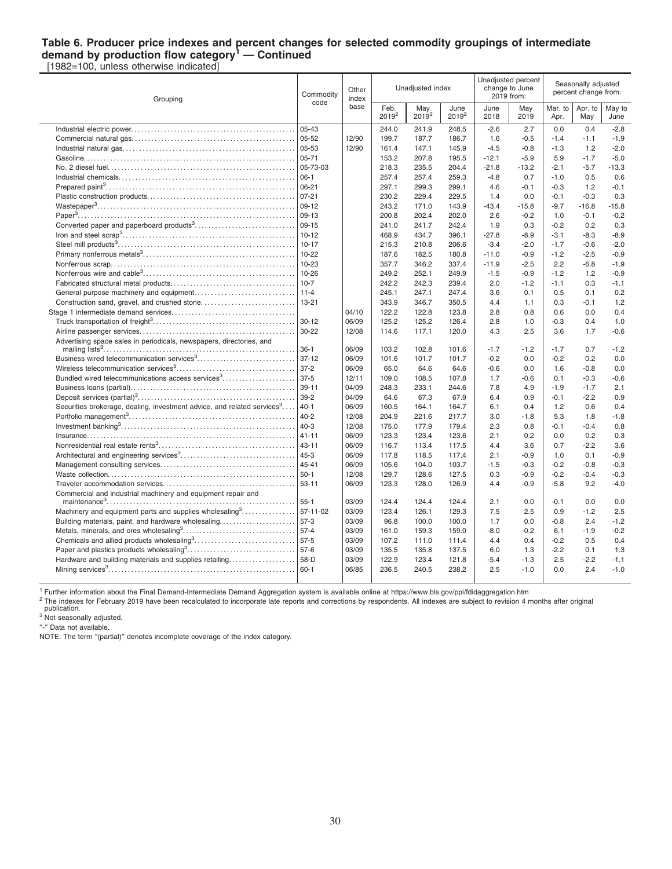#### **Table 6. Producer price indexes and percent changes for selected commodity groupings of intermediate demand by production flow category<sup>1</sup> — Continued** [1982=100, unless otherwise indicated]

Grouping Commodity code **Other** index base Unadjusted index Unadjusted percent change to June 2019 from: Seasonally adjusted percent change from: Feb. 2019<sup>2</sup> May 2019<sup>2</sup> June  $2019^2$ June 2018 May 2019 Mar. to Apr. Apr. to May May to June Industrial electric power. . . . . . . . . . . . . . . . . . . . . . . . . . . . . . . . . . . . . . . . . . . . . . . . . . 05-43 244.0 241.9 248.5 -2.6 2.7 0.0 0.4 -2.8 Commercial natural gas. . . . . . . . . . . . . . . . . . . . . . . . . . . . . . . . . . . . . . . . . . . . . . . . . . 05-52 12/90 199.7 187.7 186.7 1.6 -0.5 -1.4 -1.1 -1.9 Industrial natural gas. . . . . . . . . . . . . . . . . . . . . . . . . . . . . . . . . . . . . . . . . . . . . . . . . . . . 05-53 12/90 161.4 147.1 145.9 -4.5 -0.8 -1.3 1.2 -2.0 Gasoline. . . . . . . . . . . . . . . . . . . . . . . . . . . . . . . . . . . . . . . . . . . . . . . . . . . . . . . . . . . . . . . . 05-71 153.2 207.8 195.5 -12.1 -5.9 5.9 -1.7 -5.0 No. 2 diesel fuel. . . . . . . . . . . . . . . . . . . . . . . . . . . . . . . . . . . . . . . . . . . . . . . . . . . . . . . . . 05-73-03 218.3 235.5 204.4 -21.8 -13.2 -2.1 -5.7 -13.3 Industrial chemicals. . . . . . . . . . . . . . . . . . . . . . . . . . . . . . . . . . . . . . . . . . . . . . . . . . . . . 06-1 257.4 257.4 259.3 -4.8 0.7 -1.0 0.5 0.6 Prepared paint<sup>3</sup> . . . . . . . . . . . . . . . . . . . . . . . . . . . . . . . . . . . . . . . . . . . . . . . . . . . . . . . . . 06-21 297.1 299.3 299.1 4.6 -0.1 -0.3 1.2 -0.1 Plastic construction products. . . . . . . . . . . . . . . . . . . . . . . . . . . . . . . . . . . . . . . . . . . . . 07-21 230.2 229.4 229.5 1.4 0.0 -0.1 -0.3 0.3 Wastepaper<sup>3</sup> . . . . . . . . . . . . . . . . . . . . . . . . . . . . . . . . . . . . . . . . . . . . . . . . . . . . . . . . . . . . 09-12 243.2 171.0 143.9 -43.4 -15.8 -9.7 -16.8 -15.8 Paper<sup>3</sup> . . . . . . . . . . . . . . . . . . . . . . . . . . . . . . . . . . . . . . . . . . . . . . . . . . . . . . . . . . . . . . . . . . 09-13 200.8 202.4 202.0 2.6 -0.2 1.0 -0.1 -0.2 Converted paper and paperboard products<sup>3</sup> . . . . . . . . . . . . . . . . . . . . . . . . . . . . . . 09-15 241.0 241.7 242.4 1.9 0.3 -0.2 0.2 0.3 Iron and steel scrap<sup>3</sup> . . . . . . . . . . . . . . . . . . . . . . . . . . . . . . . . . . . . . . . . . . . . . . . . . . . . 10-12 468.9 434.7 396.1 -27.8 -8.9 -3.1 -8.3 -8.9 Steel mill products<sup>3</sup> . . . . . . . . . . . . . . . . . . . . . . . . . . . . . . . . . . . . . . . . . . . . . . . . . . . . . . 10-17 215.3 210.8 206.6 -3.4 -2.0 -1.7 -0.6 -2.0 Primary nonferrous metals<sup>3</sup> . . . . . . . . . . . . . . . . . . . . . . . . . . . . . . . . . . . . . . . . . . . . . . 10-22 187.6 182.5 180.8 -11.0 -0.9 -1.2 -2.5 -0.9 Nonferrous scrap. . . . . . . . . . . . . . . . . . . . . . . . . . . . . . . . . . . . . . . . . . . . . . . . . . . . . . . . 10-23 357.7 346.2 337.4 -11.9 -2.5 2.2 -6.8 -1.9 Nonferrous wire and cable<sup>3</sup> . . . . . . . . . . . . . . . . . . . . . . . . . . . . . . . . . . . . . . . . . . . . . . 10-26 249.2 252.1 249.9 -1.5 -0.9 -1.2 1.2 -0.9 Fabricated structural metal products. . . . . . . . . . . . . . . . . . . . . . . . . . . . . . . . . . . . . . 10-7 242.2 242.3 239.4 2.0 -1.2 -1.1 0.3 -1.1 General purpose machinery and equipment. . . . . . . . . . . . . . . . . . . . . . . . . . . . . . 11-4 245.1 247.1 247.4 3.6 0.1 0.5 0.1 0.2 Construction sand, gravel, and crushed stone. . . . . . . . . . . . . . . . . . . . . . . . . . . . 13-21 343.9 346.7 350.5 4.4 1.1 0.3 -0.1 1.2 Stage 1 intermediate demand services. . . . . . . . . . . . . . . . . . . . . . . . . . . . . . . . . . . . . 04/10 122.2 122.8 123.8 2.8 0.8 0.6 0.0 0.4 Truck transportation of freight<sup>3</sup> . . . . . . . . . . . . . . . . . . . . . . . . . . . . . . . . . . . . . . . . . . . 30-12 06/09 125.2 125.2 126.4 2.8 1.0 -0.3 0.4 1.0 Airline passenger services. . . . . . . . . . . . . . . . . . . . . . . . . . . . . . . . . . . . . . . . . . . . . . . 30-22 12/08 114.6 117.1 120.0 4.3 2.5 3.6 1.7 -0.6 Advertising space sales in periodicals, newspapers, directories, and mailing lists<sup>3</sup> . . . . . . . . . . . . . . . . . . . . . . . . . . . . . . . . . . . . . . . . . . . . . . . . . . . . . . . . . . 36-1 06/09 103.2 102.8 101.6 -1.7 -1.2 -1.7 0.7 -1.2 Business wired telecommunication services<sup>3</sup> . . . . . . . . . . . . . . . . . . . . . . . . . . . . . . 37-12 06/09 101.6 101.7 101.7 -0.2 0.0 -0.2 0.2 0.0 Wireless telecommunication services<sup>3</sup> . . . . . . . . . . . . . . . . . . . . . . . . . . . . . . . . . . . . 37-2 06/09 65.0 64.6 64.6 -0.6 0.0 1.6 -0.8 0.0 Bundled wired telecommunications access services<sup>3</sup>...................| 37-5 | 12/11 | 109.0 108.5 107.8 | 1.7 -0.6 | 0.1 -0.3 -0.6 Business loans (partial). . . . . . . . . . . . . . . . . . . . . . . . . . . . . . . . . . . . . . . . . . . . . . . . . . 39-11 04/09 248.3 233.1 244.6 7.8 4.9 -1.9 -1.7 2.1 Deposit services (partial)<sup>3</sup> . . . . . . . . . . . . . . . . . . . . . . . . . . . . . . . . . . . . . . . . . . . . . . . . 39-2 04/09 64.6 67.3 67.9 6.4 0.9 -0.1 -2.2 0.9 Securities brokerage, dealing, investment advice, and related services $3 \ldots$ ....|40-1 | 06/09 | 160.5 164.1 164.7 | 6.1 0.4 | 1.2 0.6 0.4 Portfolio management<sup>3</sup> . . . . . . . . . . . . . . . . . . . . . . . . . . . . . . . . . . . . . . . . . . . . . . . . . . 40-2 12/08 204.9 221.6 217.7 3.0 -1.8 5.3 1.8 -1.8 Investment banking<sup>3</sup> . . . . . . . . . . . . . . . . . . . . . . . . . . . . . . . . . . . . . . . . . . . . . . . . . . . . . 40-3 12/08 175.0 177.9 179.4 2.3 0.8 -0.1 -0.4 0.8 Insurance. . . . . . . . . . . . . . . . . . . . . . . . . . . . . . . . . . . . . . . . . . . . . . . . . . . . . . . . . . . . . . . 41-11 06/09 123.3 123.4 123.6 2.1 0.2 0.0 0.2 0.3 Nonresidential real estate rents<sup>3</sup> . . . . . . . . . . . . . . . . . . . . . . . . . . . . . . . . . . . . . . . . . 43-11 06/09 116.7 113.4 117.5 4.4 3.6 0.7 -2.2 3.6 Architectural and engineering services<sup>3</sup> . . . . . . . . . . . . . . . . . . . . . . . . . . . . . . . . . . . 45-3 06/09 117.8 118.5 117.4 2.1 -0.9 1.0 0.1 -0.9 Management consulting services. . . . . . . . . . . . . . . . . . . . . . . . . . . . . . . . . . . . . . . . . 45-41 06/09 105.6 104.0 103.7 -1.5 -0.3 -0.2 -0.8 -0.3 Waste collection. . . . . . . . . . . . . . . . . . . . . . . . . . . . . . . . . . . . . . . . . . . . . . . . . . . . . . . . . 50-1 12/08 129.7 128.6 127.5 0.3 -0.9 -0.2 -0.4 -0.3 Traveler accommodation services. . . . . . . . . . . . . . . . . . . . . . . . . . . . . . . . . . . . . . . . 53-11 06/09 123.3 128.0 126.9 4.4 -0.9 -5.8 9.2 -4.0 Commercial and industrial machinery and equipment repair and maintenance<sup>3</sup> . . . . . . . . . . . . . . . . . . . . . . . . . . . . . . . . . . . . . . . . . . . . . . . . . . . . . . . . . 55-1 03/09 124.4 124.4 124.4 2.1 0.0 -0.1 0.0 0.0 Machinery and equipment parts and supplies wholesaling<sup>3</sup>..............| 57-11-02  $\begin{array}{|l} 63/09 & 123.4 & 126.1 & 129.3 \end{array}$  17.5 2.5 0.9 -1.2 2.5 Building materials, paint, and hardware wholesaling. . . . . . . . . . . . . . . . . . . . . . . 57-3 03/09 96.8 100.0 100.0 1.7 0.0 -0.8 2.4 -1.2 Metals, minerals, and ores wholesaling<sup>3</sup> . . . . . . . . . . . . . . . . . . . . . . . . . . . . . . . . . . 57-4 03/09 161.0 159.3 159.0 -8.0 -0.2 6.1 -1.9 -0.2 Chemicals and allied products wholesaling<sup>3</sup>...............................| 57-5  $\qquad$  | 03/09 | 107.2 111.0 111.4 | 4.4 0.4 | -0.2 0.5 0.4 Paper and plastics products wholesaling<sup>3</sup> . . . . . . . . . . . . . . . . . . . . . . . . . . . . . . . . . 57-6 03/09 135.5 135.8 137.5 6.0 1.3 -2.2 0.1 1.3 Hardware and building materials and supplies retailing. . . . . . . . . . . . . . . . . . . . 58-D 03/09 122.9 123.4 121.8 -5.4 -1.3 2.5 -2.2 -1.1 Mining services<sup>3</sup> . . . . . . . . . . . . . . . . . . . . . . . . . . . . . . . . . . . . . . . . . . . . . . . . . . . . . . . . . 60-1 06/85 236.5 240.5 238.2 2.5 -1.0 0.0 2.4 -1.0

<sup>1</sup> Further information about the Final Demand-Intermediate Demand Aggregation system is available online at https://www.bls.gov/ppi/fdidaggregation.htm

<sup>2</sup> The indexes for February 2019 have been recalculated to incorporate late reports and corrections by respondents. All indexes are subject to revision 4 months after original publication.

<sup>3</sup> Not seasonally adjusted.

″-″ Data not available.

NOTE: The term ″(partial)″ denotes incomplete coverage of the index category.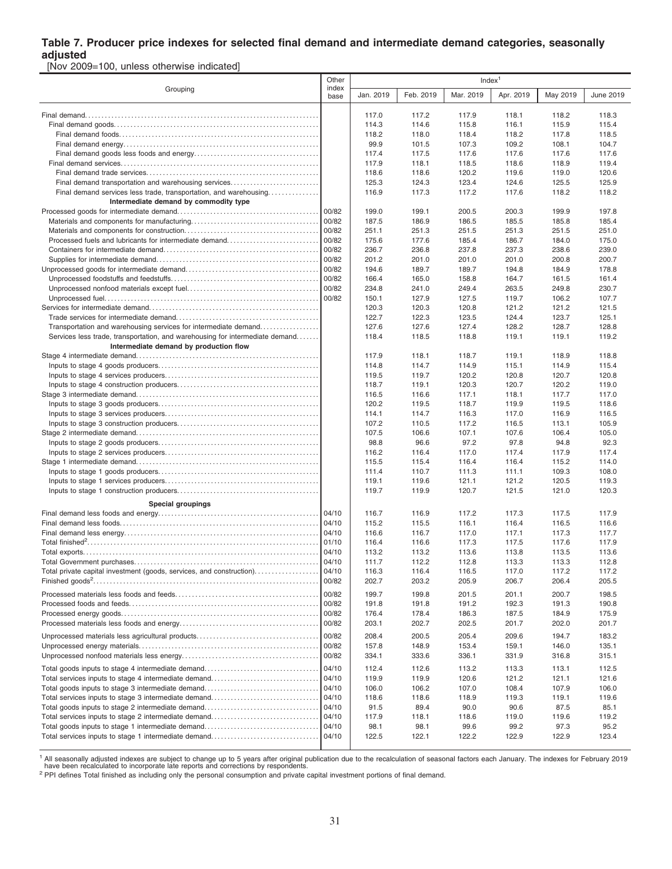#### **Table 7. Producer price indexes for selected final demand and intermediate demand categories, seasonally adjusted**

[Nov 2009=100, unless otherwise indicated]

|                                                                              |               | Index <sup>1</sup> |           |           |           |          |           |  |  |
|------------------------------------------------------------------------------|---------------|--------------------|-----------|-----------|-----------|----------|-----------|--|--|
| Grouping                                                                     | index<br>base | Jan. 2019          | Feb. 2019 | Mar. 2019 | Apr. 2019 | May 2019 | June 2019 |  |  |
|                                                                              |               | 117.0              | 117.2     | 117.9     | 118.1     | 118.2    | 118.3     |  |  |
|                                                                              |               | 114.3              | 114.6     | 115.8     | 116.1     | 115.9    | 115.4     |  |  |
|                                                                              |               | 118.2              | 118.0     | 118.4     | 118.2     | 117.8    | 118.5     |  |  |
|                                                                              |               | 99.9               | 101.5     | 107.3     | 109.2     | 108.1    | 104.7     |  |  |
|                                                                              |               | 117.4              | 117.5     | 117.6     | 117.6     | 117.6    | 117.6     |  |  |
|                                                                              |               | 117.9              | 118.1     | 118.5     | 118.6     | 118.9    | 119.4     |  |  |
|                                                                              |               | 118.6              | 118.6     | 120.2     | 119.6     | 119.0    | 120.6     |  |  |
| Final demand transportation and warehousing services                         |               | 125.3              | 124.3     | 123.4     | 124.6     | 125.5    | 125.9     |  |  |
| Final demand services less trade, transportation, and warehousing            |               | 116.9              | 117.3     | 117.2     | 117.6     | 118.2    | 118.2     |  |  |
| Intermediate demand by commodity type                                        |               |                    |           |           |           |          |           |  |  |
|                                                                              | 00/82         | 199.0              | 199.1     | 200.5     | 200.3     | 199.9    | 197.8     |  |  |
|                                                                              | 00/82         | 187.5              | 186.9     | 186.5     | 185.5     | 185.8    | 185.4     |  |  |
|                                                                              | 00/82         | 251.1              | 251.3     | 251.5     | 251.3     | 251.5    | 251.0     |  |  |
| Processed fuels and lubricants for intermediate demand                       | 00/82         | 175.6              | 177.6     | 185.4     | 186.7     | 184.0    | 175.0     |  |  |
|                                                                              | 00/82         | 236.7              | 236.8     | 237.8     | 237.3     | 238.6    | 239.0     |  |  |
|                                                                              | 00/82         | 201.2              | 201.0     | 201.0     | 201.0     | 200.8    | 200.7     |  |  |
|                                                                              | 00/82         | 194.6              | 189.7     | 189.7     | 194.8     | 184.9    | 178.8     |  |  |
|                                                                              | 00/82         | 166.4              | 165.0     | 158.8     | 164.7     | 161.5    | 161.4     |  |  |
|                                                                              | 00/82         | 234.8              | 241.0     | 249.4     | 263.5     | 249.8    | 230.7     |  |  |
|                                                                              | 00/82         | 150.1              | 127.9     | 127.5     | 119.7     | 106.2    | 107.7     |  |  |
|                                                                              |               | 120.3              | 120.3     | 120.8     | 121.2     | 121.2    | 121.5     |  |  |
|                                                                              |               | 122.7              | 122.3     | 123.5     | 124.4     | 123.7    | 125.1     |  |  |
| Transportation and warehousing services for intermediate demand              |               | 127.6              | 127.6     | 127.4     | 128.2     | 128.7    | 128.8     |  |  |
| Services less trade, transportation, and warehousing for intermediate demand |               | 118.4              | 118.5     | 118.8     | 119.1     | 119.1    | 119.2     |  |  |
| Intermediate demand by production flow                                       |               |                    |           |           |           |          |           |  |  |
|                                                                              |               | 117.9              | 118.1     | 118.7     | 119.1     | 118.9    | 118.8     |  |  |
|                                                                              |               | 114.8              | 114.7     | 114.9     | 115.1     | 114.9    | 115.4     |  |  |
|                                                                              |               | 119.5              | 119.7     | 120.2     | 120.8     | 120.7    | 120.8     |  |  |
|                                                                              |               | 118.7              | 119.1     | 120.3     | 120.7     | 120.2    | 119.0     |  |  |
|                                                                              |               | 116.5              | 116.6     | 117.1     | 118.1     | 117.7    | 117.0     |  |  |
|                                                                              |               | 120.2              | 119.5     | 118.7     | 119.9     | 119.5    | 118.6     |  |  |
|                                                                              |               | 114.1              | 114.7     | 116.3     | 117.0     | 116.9    | 116.5     |  |  |
|                                                                              |               | 107.2              | 110.5     | 117.2     | 116.5     | 113.1    | 105.9     |  |  |
|                                                                              |               | 107.5              | 106.6     | 107.1     | 107.6     | 106.4    | 105.0     |  |  |
|                                                                              |               | 98.8               | 96.6      | 97.2      | 97.8      | 94.8     | 92.3      |  |  |
|                                                                              |               | 116.2              | 116.4     | 117.0     | 117.4     | 117.9    | 117.4     |  |  |
|                                                                              |               | 115.5              | 115.4     | 116.4     | 116.4     | 115.2    | 114.0     |  |  |
|                                                                              |               | 111.4              | 110.7     | 111.3     | 111.1     | 109.3    | 108.0     |  |  |
|                                                                              |               | 119.1              | 119.6     | 121.1     | 121.2     | 120.5    | 119.3     |  |  |
|                                                                              |               | 119.7              | 119.9     | 120.7     | 121.5     | 121.0    | 120.3     |  |  |
| Special groupings                                                            |               |                    |           |           |           |          |           |  |  |
|                                                                              | 04/10         | 116.7              | 116.9     | 117.2     | 117.3     | 117.5    | 117.9     |  |  |
|                                                                              | 04/10         | 115.2              | 115.5     | 116.1     | 116.4     | 116.5    | 116.6     |  |  |
|                                                                              | 04/10         | 116.6              | 116.7     | 117.0     | 117.1     | 117.3    | 117.7     |  |  |
|                                                                              | 01/10         | 116.4              | 116.6     | 117.3     | 117.5     | 117.6    | 117.9     |  |  |
|                                                                              | 04/10         | 113.2              | 113.2     | 113.6     | 113.8     | 113.5    | 113.6     |  |  |
|                                                                              | 04/10         | 111.7              | 112.2     | 112.8     | 113.3     | 113.3    | 112.8     |  |  |
| Total private capital investment (goods, services, and construction)         | 04/10         | 116.3              | 116.4     | 116.5     | 117.0     | 117.2    | 117.2     |  |  |
|                                                                              | 00/82         | 202.7              | 203.2     | 205.9     | 206.7     | 206.4    | 205.5     |  |  |
|                                                                              | 00/82         | 199.7              | 199.8     | 201.5     | 201.1     | 200.7    | 198.5     |  |  |
|                                                                              | 00/82         | 191.8              | 191.8     | 191.2     | 192.3     | 191.3    | 190.8     |  |  |
|                                                                              | 00/82         | 176.4              | 178.4     | 186.3     | 187.5     | 184.9    | 175.9     |  |  |
|                                                                              | 00/82         | 203.1              | 202.7     | 202.5     | 201.7     | 202.0    | 201.7     |  |  |
|                                                                              |               |                    |           |           |           |          |           |  |  |
|                                                                              | 00/82         | 208.4              | 200.5     | 205.4     | 209.6     | 194.7    | 183.2     |  |  |
|                                                                              | 00/82         | 157.8              | 148.9     | 153.4     | 159.1     | 146.0    | 135.1     |  |  |
|                                                                              | 00/82         | 334.1              | 333.6     | 336.1     | 331.9     | 316.8    | 315.1     |  |  |
|                                                                              | 04/10         | 112.4              | 112.6     | 113.2     | 113.3     | 113.1    | 112.5     |  |  |
| Total services inputs to stage 4 intermediate demand                         | 04/10         | 119.9              | 119.9     | 120.6     | 121.2     | 121.1    | 121.6     |  |  |
|                                                                              | 04/10         | 106.0              | 106.2     | 107.0     | 108.4     | 107.9    | 106.0     |  |  |
| Total services inputs to stage 3 intermediate demand                         | 04/10         | 118.6              | 118.6     | 118.9     | 119.3     | 119.1    | 119.6     |  |  |
| Total goods inputs to stage 2 intermediate demand                            | 04/10         | 91.5               | 89.4      | 90.0      | 90.6      | 87.5     | 85.1      |  |  |
| Total services inputs to stage 2 intermediate demand                         | 04/10         | 117.9              | 118.1     | 118.6     | 119.0     | 119.6    | 119.2     |  |  |
| Total goods inputs to stage 1 intermediate demand                            | 04/10         | 98.1               | 98.1      | 99.6      | 99.2      | 97.3     | 95.2      |  |  |
| Total services inputs to stage 1 intermediate demand                         | 04/10         | 122.5              | 122.1     | 122.2     | 122.9     | 122.9    | 123.4     |  |  |

<sup>1</sup> All seasonally adjusted indexes are subject to change up to 5 years after original publication due to the recalculation of seasonal factors each January. The indexes for February 2019<br>have been recalculated to incorpor